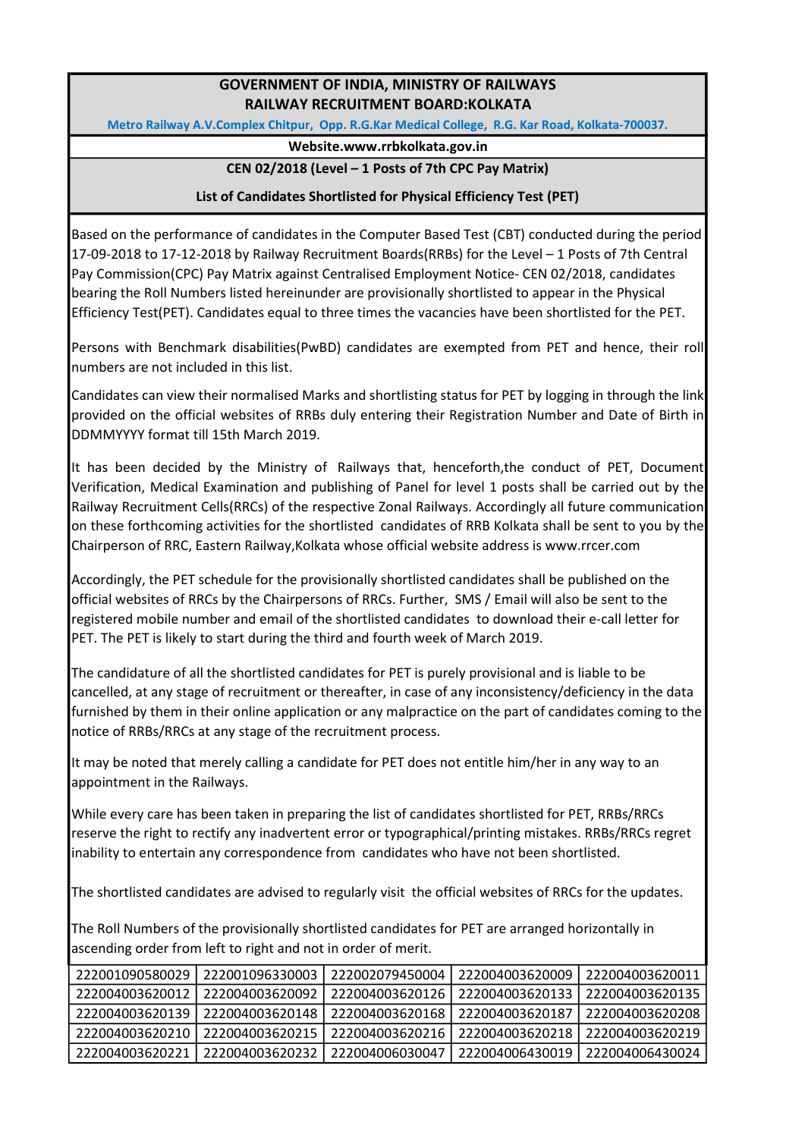# GOVERNMENT OF INDIA, MINISTRY OF RAILWAYS RAILWAY RECRUITMENT BOARD:KOLKATA

Metro Railway A.V.Complex Chitpur, Opp. R.G.Kar Medical College, R.G. Kar Road, Kolkata-700037.

#### Website.www.rrbkolkata.gov.in

### CEN 02/2018 (Level – 1 Posts of 7th CPC Pay Matrix)

### List of Candidates Shortlisted for Physical Efficiency Test (PET)

Based on the performance of candidates in the Computer Based Test (CBT) conducted during the period 17-09-2018 to 17-12-2018 by Railway Recruitment Boards(RRBs) for the Level – 1 Posts of 7th Central Pay Commission(CPC) Pay Matrix against Centralised Employment Notice- CEN 02/2018, candidates bearing the Roll Numbers listed hereinunder are provisionally shortlisted to appear in the Physical Efficiency Test(PET). Candidates equal to three times the vacancies have been shortlisted for the PET.

Persons with Benchmark disabilities(PwBD) candidates are exempted from PET and hence, their roll numbers are not included in this list.

Candidates can view their normalised Marks and shortlisting status for PET by logging in through the link provided on the official websites of RRBs duly entering their Registration Number and Date of Birth in DDMMYYYY format till 15th March 2019.

It has been decided by the Ministry of Railways that, henceforth,the conduct of PET, Document Verification, Medical Examination and publishing of Panel for level 1 posts shall be carried out by the Railway Recruitment Cells(RRCs) of the respective Zonal Railways. Accordingly all future communication on these forthcoming activities for the shortlisted candidates of RRB Kolkata shall be sent to you by the Chairperson of RRC, Eastern Railway,Kolkata whose official website address is www.rrcer.com

Accordingly, the PET schedule for the provisionally shortlisted candidates shall be published on the official websites of RRCs by the Chairpersons of RRCs. Further, SMS / Email will also be sent to the registered mobile number and email of the shortlisted candidates to download their e-call letter for PET. The PET is likely to start during the third and fourth week of March 2019.

The candidature of all the shortlisted candidates for PET is purely provisional and is liable to be cancelled, at any stage of recruitment or thereafter, in case of any inconsistency/deficiency in the data furnished by them in their online application or any malpractice on the part of candidates coming to the notice of RRBs/RRCs at any stage of the recruitment process.

It may be noted that merely calling a candidate for PET does not entitle him/her in any way to an appointment in the Railways.

While every care has been taken in preparing the list of candidates shortlisted for PET, RRBs/RRCs reserve the right to rectify any inadvertent error or typographical/printing mistakes. RRBs/RRCs regret inability to entertain any correspondence from candidates who have not been shortlisted.

The shortlisted candidates are advised to regularly visit the official websites of RRCs for the updates.

The Roll Numbers of the provisionally shortlisted candidates for PET are arranged horizontally in ascending order from left to right and not in order of merit.

| 222001090580029   | 222001096330003 l | 222002079450004                   | 222004003620009                   | 222004003620011 |
|-------------------|-------------------|-----------------------------------|-----------------------------------|-----------------|
| 222004003620012   | 222004003620092   |                                   | 222004003620126   222004003620133 | 222004003620135 |
| 222004003620139 l | 222004003620148 l | 222004003620168   222004003620187 |                                   | 222004003620208 |
| 222004003620210   |                   | 222004003620215   222004003620216 | 222004003620218                   | 222004003620219 |
| 222004003620221   | 222004003620232 l | 222004006030047                   | 222004006430019                   | 222004006430024 |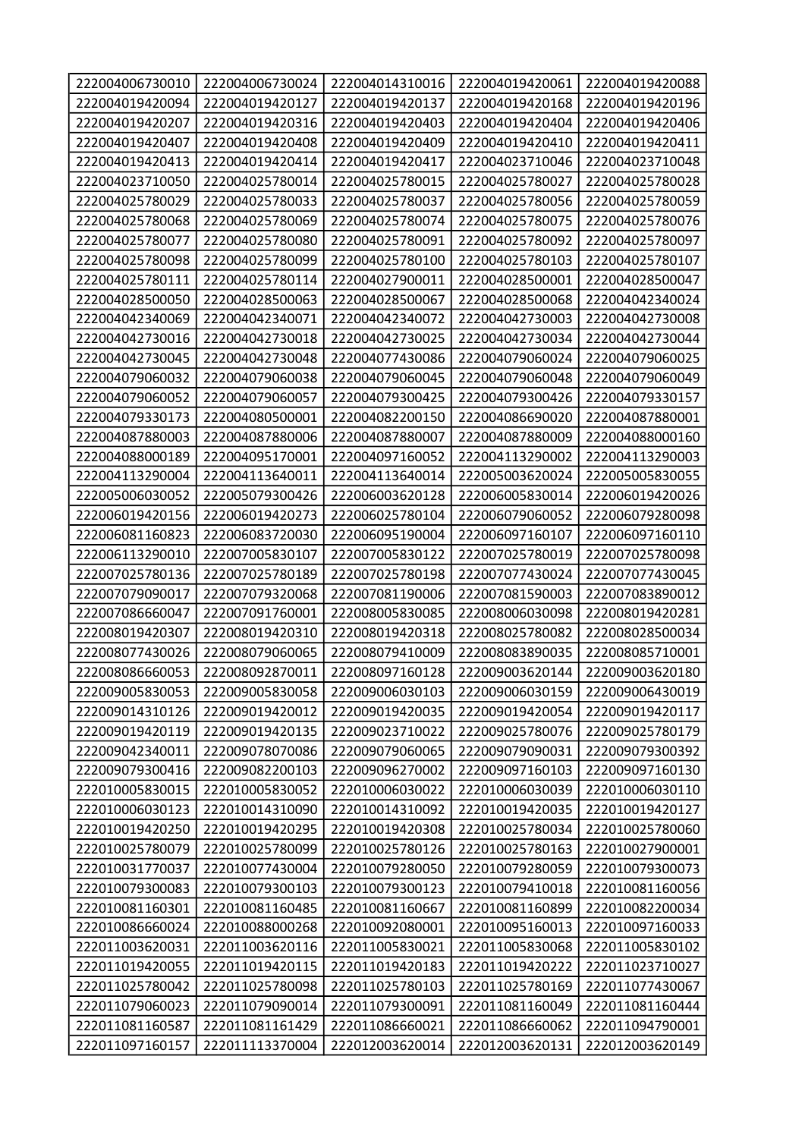| 222004006730010                    | 222004006730024                    | 222004014310016                    | 222004019420061                    | 222004019420088                    |
|------------------------------------|------------------------------------|------------------------------------|------------------------------------|------------------------------------|
| 222004019420094                    | 222004019420127                    | 222004019420137                    | 222004019420168                    | 222004019420196                    |
| 222004019420207                    | 222004019420316                    | 222004019420403                    | 222004019420404                    | 222004019420406                    |
| 222004019420407                    | 222004019420408                    | 222004019420409                    | 222004019420410                    | 222004019420411                    |
| 222004019420413                    | 222004019420414                    | 222004019420417                    | 222004023710046                    | 222004023710048                    |
| 222004023710050                    | 222004025780014                    | 222004025780015                    | 222004025780027                    | 222004025780028                    |
| 222004025780029                    | 222004025780033                    | 222004025780037                    | 222004025780056                    | 222004025780059                    |
| 222004025780068                    | 222004025780069                    | 222004025780074                    | 222004025780075                    | 222004025780076                    |
| 222004025780077                    | 222004025780080                    | 222004025780091                    | 222004025780092                    | 222004025780097                    |
| 222004025780098                    | 222004025780099                    | 222004025780100                    | 222004025780103                    | 222004025780107                    |
| 222004025780111                    | 222004025780114                    | 222004027900011                    | 222004028500001                    | 222004028500047                    |
| 222004028500050                    | 222004028500063                    | 222004028500067                    | 222004028500068                    | 222004042340024                    |
| 222004042340069                    | 222004042340071                    | 222004042340072                    | 222004042730003                    | 222004042730008                    |
| 222004042730016                    | 222004042730018                    | 222004042730025                    | 222004042730034                    | 222004042730044                    |
| 222004042730045                    | 222004042730048                    | 222004077430086                    | 222004079060024                    | 222004079060025                    |
| 222004079060032                    | 222004079060038                    | 222004079060045                    | 222004079060048                    | 222004079060049                    |
| 222004079060052                    | 222004079060057                    | 222004079300425                    | 222004079300426                    | 222004079330157                    |
| 222004079330173                    | 222004080500001                    | 222004082200150                    | 222004086690020                    | 222004087880001                    |
| 222004087880003                    | 222004087880006                    | 222004087880007                    | 222004087880009                    | 222004088000160                    |
| 222004088000189                    | 222004095170001                    | 222004097160052                    | 222004113290002                    | 222004113290003                    |
| 222004113290004                    | 222004113640011                    | 222004113640014                    | 222005003620024                    | 222005005830055                    |
| 222005006030052                    | 222005079300426                    | 222006003620128                    | 222006005830014                    | 222006019420026                    |
| 222006019420156                    | 222006019420273                    | 222006025780104                    | 222006079060052                    | 222006079280098                    |
| 222006081160823                    | 222006083720030                    | 222006095190004                    | 222006097160107                    | 222006097160110                    |
| 222006113290010                    | 222007005830107                    | 222007005830122                    | 222007025780019                    | 222007025780098                    |
| 222007025780136                    | 222007025780189                    | 222007025780198                    | 222007077430024                    | 222007077430045                    |
| 222007079090017                    | 222007079320068                    | 222007081190006                    | 222007081590003                    | 222007083890012                    |
| 222007086660047                    | 222007091760001                    | 222008005830085                    | 222008006030098                    | 222008019420281                    |
| 222008019420307                    | 222008019420310                    | 222008019420318                    | 222008025780082                    | 222008028500034                    |
| 222008077430026                    | 222008079060065                    | 222008079410009                    | 222008083890035                    | 222008085710001                    |
| 222008086660053                    | 222008092870011                    | 222008097160128                    | 222009003620144                    | 222009003620180                    |
| 222009005830053                    | 222009005830058                    | 222009006030103                    | 222009006030159                    | 222009006430019                    |
| 222009014310126                    | 222009019420012                    | 222009019420035                    | 222009019420054                    | 222009019420117                    |
| 222009019420119                    | 222009019420135                    | 222009023710022                    | 222009025780076                    | 222009025780179                    |
| 222009042340011                    | 222009078070086                    | 222009079060065                    | 222009079090031                    | 222009079300392                    |
| 222009079300416                    | 222009082200103                    | 222009096270002                    | 222009097160103                    | 222009097160130                    |
| 222010005830015                    | 222010005830052                    | 222010006030022                    | 222010006030039                    | 222010006030110                    |
| 222010006030123                    | 222010014310090                    | 222010014310092                    | 222010019420035                    | 222010019420127                    |
| 222010019420250                    | 222010019420295                    | 222010019420308                    | 222010025780034                    | 222010025780060                    |
| 222010025780079                    | 222010025780099                    | 222010025780126                    | 222010025780163                    | 222010027900001                    |
| 222010031770037                    | 222010077430004                    | 222010079280050                    | 222010079280059                    | 222010079300073                    |
| 222010079300083                    | 222010079300103                    | 222010079300123                    | 222010079410018                    | 222010081160056                    |
| 222010081160301                    | 222010081160485                    | 222010081160667                    | 222010081160899                    | 222010082200034                    |
| 222010086660024                    | 222010088000268                    | 222010092080001                    | 222010095160013                    | 222010097160033                    |
| 222011003620031                    | 222011003620116                    | 222011005830021                    | 222011005830068                    | 222011005830102                    |
| 222011019420055                    | 222011019420115                    | 222011019420183                    | 222011019420222                    | 222011023710027                    |
|                                    |                                    |                                    |                                    |                                    |
| 222011025780042                    | 222011025780098                    | 222011025780103                    | 222011025780169                    | 222011077430067                    |
| 222011079060023                    | 222011079090014                    | 222011079300091                    | 222011081160049                    | 222011081160444                    |
| 222011081160587<br>222011097160157 | 222011081161429<br>222011113370004 | 222011086660021<br>222012003620014 | 222011086660062<br>222012003620131 | 222011094790001<br>222012003620149 |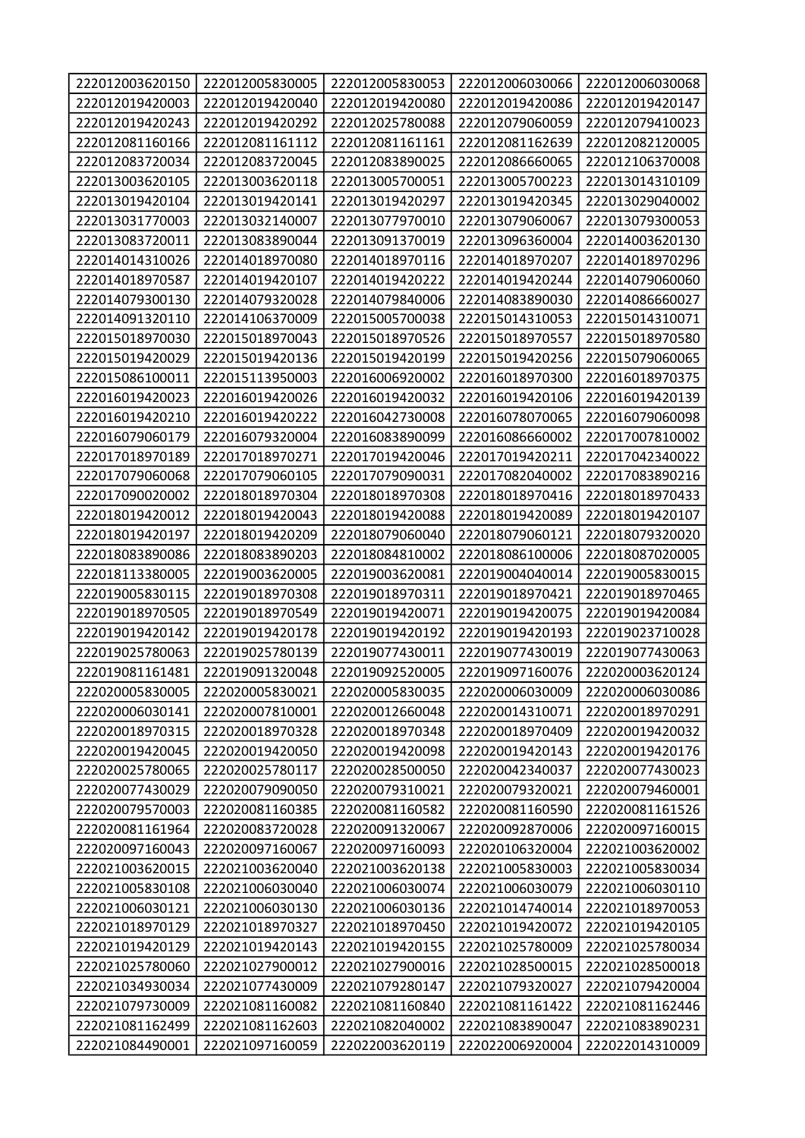| 222012003620150 | 222012005830005 | 222012005830053 | 222012006030066 | 222012006030068 |
|-----------------|-----------------|-----------------|-----------------|-----------------|
| 222012019420003 | 222012019420040 | 222012019420080 | 222012019420086 | 222012019420147 |
| 222012019420243 | 222012019420292 | 222012025780088 | 222012079060059 | 222012079410023 |
| 222012081160166 | 222012081161112 | 222012081161161 | 222012081162639 | 222012082120005 |
| 222012083720034 | 222012083720045 | 222012083890025 | 222012086660065 | 222012106370008 |
| 222013003620105 | 222013003620118 | 222013005700051 | 222013005700223 | 222013014310109 |
| 222013019420104 | 222013019420141 | 222013019420297 | 222013019420345 | 222013029040002 |
| 222013031770003 | 222013032140007 | 222013077970010 | 222013079060067 | 222013079300053 |
| 222013083720011 | 222013083890044 | 222013091370019 | 222013096360004 | 222014003620130 |
| 222014014310026 | 222014018970080 | 222014018970116 | 222014018970207 | 222014018970296 |
| 222014018970587 | 222014019420107 | 222014019420222 | 222014019420244 | 222014079060060 |
| 222014079300130 | 222014079320028 | 222014079840006 | 222014083890030 | 222014086660027 |
| 222014091320110 | 222014106370009 | 222015005700038 | 222015014310053 | 222015014310071 |
| 222015018970030 | 222015018970043 | 222015018970526 | 222015018970557 | 222015018970580 |
| 222015019420029 | 222015019420136 | 222015019420199 | 222015019420256 | 222015079060065 |
| 222015086100011 | 222015113950003 | 222016006920002 | 222016018970300 | 222016018970375 |
| 222016019420023 | 222016019420026 | 222016019420032 | 222016019420106 | 222016019420139 |
| 222016019420210 | 222016019420222 | 222016042730008 | 222016078070065 | 222016079060098 |
| 222016079060179 | 222016079320004 | 222016083890099 | 222016086660002 | 222017007810002 |
| 222017018970189 | 222017018970271 | 222017019420046 | 222017019420211 | 222017042340022 |
| 222017079060068 | 222017079060105 | 222017079090031 | 222017082040002 | 222017083890216 |
| 222017090020002 | 222018018970304 | 222018018970308 | 222018018970416 | 222018018970433 |
| 222018019420012 | 222018019420043 | 222018019420088 | 222018019420089 | 222018019420107 |
| 222018019420197 | 222018019420209 | 222018079060040 | 222018079060121 | 222018079320020 |
| 222018083890086 | 222018083890203 | 222018084810002 | 222018086100006 | 222018087020005 |
| 222018113380005 | 222019003620005 | 222019003620081 | 222019004040014 | 222019005830015 |
| 222019005830115 | 222019018970308 | 222019018970311 | 222019018970421 | 222019018970465 |
| 222019018970505 | 222019018970549 | 222019019420071 | 222019019420075 | 222019019420084 |
| 222019019420142 | 222019019420178 | 222019019420192 | 222019019420193 | 222019023710028 |
| 222019025780063 | 222019025780139 | 222019077430011 | 222019077430019 | 222019077430063 |
| 222019081161481 | 222019091320048 | 222019092520005 | 222019097160076 | 222020003620124 |
| 222020005830005 | 222020005830021 | 222020005830035 | 222020006030009 | 222020006030086 |
| 222020006030141 | 222020007810001 | 222020012660048 | 222020014310071 | 222020018970291 |
| 222020018970315 | 222020018970328 | 222020018970348 | 222020018970409 | 222020019420032 |
| 222020019420045 | 222020019420050 | 222020019420098 | 222020019420143 | 222020019420176 |
| 222020025780065 | 222020025780117 | 222020028500050 | 222020042340037 | 222020077430023 |
| 222020077430029 | 222020079090050 | 222020079310021 | 222020079320021 | 222020079460001 |
| 222020079570003 | 222020081160385 | 222020081160582 | 222020081160590 | 222020081161526 |
| 222020081161964 | 222020083720028 | 222020091320067 | 222020092870006 | 222020097160015 |
| 222020097160043 | 222020097160067 | 222020097160093 | 222020106320004 | 222021003620002 |
| 222021003620015 | 222021003620040 | 222021003620138 | 222021005830003 | 222021005830034 |
| 222021005830108 | 222021006030040 | 222021006030074 | 222021006030079 | 222021006030110 |
| 222021006030121 | 222021006030130 | 222021006030136 | 222021014740014 | 222021018970053 |
| 222021018970129 | 222021018970327 | 222021018970450 | 222021019420072 | 222021019420105 |
| 222021019420129 | 222021019420143 | 222021019420155 | 222021025780009 | 222021025780034 |
| 222021025780060 | 222021027900012 | 222021027900016 | 222021028500015 | 222021028500018 |
| 222021034930034 | 222021077430009 | 222021079280147 | 222021079320027 | 222021079420004 |
| 222021079730009 | 222021081160082 | 222021081160840 | 222021081161422 | 222021081162446 |
| 222021081162499 | 222021081162603 | 222021082040002 | 222021083890047 | 222021083890231 |
| 222021084490001 | 222021097160059 | 222022003620119 | 222022006920004 | 222022014310009 |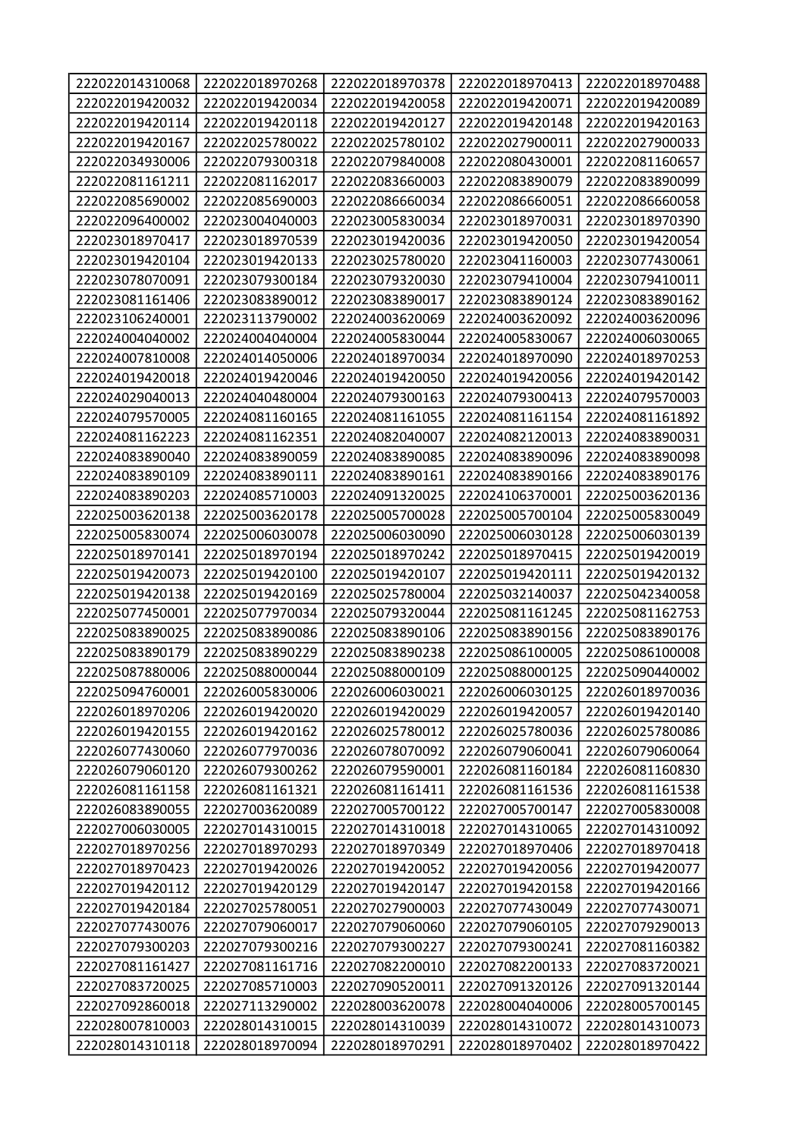| 222022014310068 | 222022018970268 | 222022018970378 | 222022018970413 | 222022018970488 |
|-----------------|-----------------|-----------------|-----------------|-----------------|
| 222022019420032 | 222022019420034 | 222022019420058 | 222022019420071 | 222022019420089 |
| 222022019420114 | 222022019420118 | 222022019420127 | 222022019420148 | 222022019420163 |
| 222022019420167 | 222022025780022 | 222022025780102 | 222022027900011 | 222022027900033 |
| 222022034930006 | 222022079300318 | 222022079840008 | 222022080430001 | 222022081160657 |
| 222022081161211 | 222022081162017 | 222022083660003 | 222022083890079 | 222022083890099 |
| 222022085690002 | 222022085690003 | 222022086660034 | 222022086660051 | 222022086660058 |
| 222022096400002 | 222023004040003 | 222023005830034 | 222023018970031 | 222023018970390 |
| 222023018970417 | 222023018970539 | 222023019420036 | 222023019420050 | 222023019420054 |
| 222023019420104 | 222023019420133 | 222023025780020 | 222023041160003 | 222023077430061 |
| 222023078070091 | 222023079300184 | 222023079320030 | 222023079410004 | 222023079410011 |
| 222023081161406 | 222023083890012 | 222023083890017 | 222023083890124 | 222023083890162 |
| 222023106240001 | 222023113790002 | 222024003620069 | 222024003620092 | 222024003620096 |
| 222024004040002 | 222024004040004 | 222024005830044 | 222024005830067 | 222024006030065 |
| 222024007810008 | 222024014050006 | 222024018970034 | 222024018970090 | 222024018970253 |
| 222024019420018 | 222024019420046 | 222024019420050 | 222024019420056 | 222024019420142 |
| 222024029040013 | 222024040480004 | 222024079300163 | 222024079300413 | 222024079570003 |
| 222024079570005 | 222024081160165 | 222024081161055 | 222024081161154 | 222024081161892 |
| 222024081162223 | 222024081162351 | 222024082040007 | 222024082120013 | 222024083890031 |
| 222024083890040 | 222024083890059 | 222024083890085 | 222024083890096 | 222024083890098 |
| 222024083890109 | 222024083890111 | 222024083890161 | 222024083890166 | 222024083890176 |
| 222024083890203 | 222024085710003 | 222024091320025 | 222024106370001 | 222025003620136 |
| 222025003620138 | 222025003620178 | 222025005700028 | 222025005700104 | 222025005830049 |
| 222025005830074 | 222025006030078 | 222025006030090 | 222025006030128 | 222025006030139 |
| 222025018970141 | 222025018970194 | 222025018970242 | 222025018970415 | 222025019420019 |
| 222025019420073 | 222025019420100 | 222025019420107 | 222025019420111 | 222025019420132 |
| 222025019420138 | 222025019420169 | 222025025780004 | 222025032140037 | 222025042340058 |
| 222025077450001 | 222025077970034 | 222025079320044 | 222025081161245 | 222025081162753 |
| 222025083890025 | 222025083890086 | 222025083890106 | 222025083890156 | 222025083890176 |
| 222025083890179 | 222025083890229 | 222025083890238 | 222025086100005 | 222025086100008 |
| 222025087880006 | 222025088000044 | 222025088000109 | 222025088000125 | 222025090440002 |
| 222025094760001 | 222026005830006 | 222026006030021 | 222026006030125 | 222026018970036 |
| 222026018970206 | 222026019420020 | 222026019420029 | 222026019420057 | 222026019420140 |
| 222026019420155 | 222026019420162 | 222026025780012 | 222026025780036 | 222026025780086 |
| 222026077430060 | 222026077970036 | 222026078070092 | 222026079060041 | 222026079060064 |
| 222026079060120 | 222026079300262 | 222026079590001 | 222026081160184 | 222026081160830 |
| 222026081161158 | 222026081161321 | 222026081161411 | 222026081161536 | 222026081161538 |
| 222026083890055 | 222027003620089 | 222027005700122 | 222027005700147 | 222027005830008 |
| 222027006030005 | 222027014310015 | 222027014310018 | 222027014310065 | 222027014310092 |
| 222027018970256 | 222027018970293 | 222027018970349 | 222027018970406 | 222027018970418 |
| 222027018970423 | 222027019420026 | 222027019420052 | 222027019420056 | 222027019420077 |
| 222027019420112 | 222027019420129 | 222027019420147 | 222027019420158 | 222027019420166 |
| 222027019420184 | 222027025780051 | 222027027900003 | 222027077430049 | 222027077430071 |
| 222027077430076 | 222027079060017 | 222027079060060 | 222027079060105 | 222027079290013 |
| 222027079300203 | 222027079300216 | 222027079300227 | 222027079300241 | 222027081160382 |
| 222027081161427 | 222027081161716 | 222027082200010 | 222027082200133 | 222027083720021 |
| 222027083720025 | 222027085710003 | 222027090520011 | 222027091320126 | 222027091320144 |
| 222027092860018 | 222027113290002 | 222028003620078 | 222028004040006 | 222028005700145 |
| 222028007810003 | 222028014310015 | 222028014310039 | 222028014310072 | 222028014310073 |
| 222028014310118 | 222028018970094 | 222028018970291 | 222028018970402 | 222028018970422 |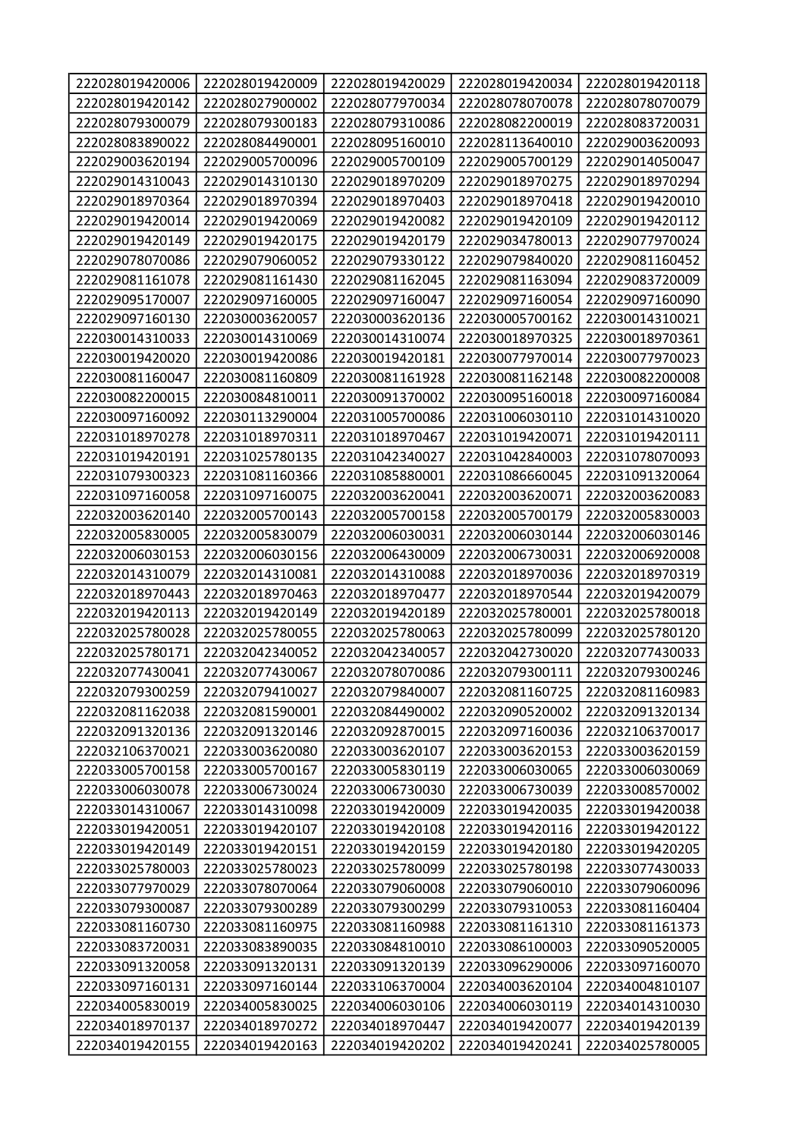| 222028019420006 | 222028019420009 | 222028019420029 | 222028019420034 | 222028019420118 |
|-----------------|-----------------|-----------------|-----------------|-----------------|
| 222028019420142 | 222028027900002 | 222028077970034 | 222028078070078 | 222028078070079 |
| 222028079300079 | 222028079300183 | 222028079310086 | 222028082200019 | 222028083720031 |
| 222028083890022 | 222028084490001 | 222028095160010 | 222028113640010 | 222029003620093 |
| 222029003620194 | 222029005700096 | 222029005700109 | 222029005700129 | 222029014050047 |
| 222029014310043 | 222029014310130 | 222029018970209 | 222029018970275 | 222029018970294 |
| 222029018970364 | 222029018970394 | 222029018970403 | 222029018970418 | 222029019420010 |
| 222029019420014 | 222029019420069 | 222029019420082 | 222029019420109 | 222029019420112 |
| 222029019420149 | 222029019420175 | 222029019420179 | 222029034780013 | 222029077970024 |
| 222029078070086 | 222029079060052 | 222029079330122 | 222029079840020 | 222029081160452 |
| 222029081161078 | 222029081161430 | 222029081162045 | 222029081163094 | 222029083720009 |
| 222029095170007 | 222029097160005 | 222029097160047 | 222029097160054 | 222029097160090 |
| 222029097160130 | 222030003620057 | 222030003620136 | 222030005700162 | 222030014310021 |
| 222030014310033 | 222030014310069 | 222030014310074 | 222030018970325 | 222030018970361 |
| 222030019420020 | 222030019420086 | 222030019420181 | 222030077970014 | 222030077970023 |
| 222030081160047 | 222030081160809 | 222030081161928 | 222030081162148 | 222030082200008 |
| 222030082200015 | 222030084810011 | 222030091370002 | 222030095160018 | 222030097160084 |
| 222030097160092 | 222030113290004 | 222031005700086 | 222031006030110 | 222031014310020 |
| 222031018970278 | 222031018970311 | 222031018970467 | 222031019420071 | 222031019420111 |
| 222031019420191 | 222031025780135 | 222031042340027 | 222031042840003 | 222031078070093 |
| 222031079300323 | 222031081160366 | 222031085880001 | 222031086660045 | 222031091320064 |
| 222031097160058 | 222031097160075 | 222032003620041 | 222032003620071 | 222032003620083 |
| 222032003620140 | 222032005700143 | 222032005700158 | 222032005700179 | 222032005830003 |
| 222032005830005 | 222032005830079 | 222032006030031 | 222032006030144 | 222032006030146 |
| 222032006030153 | 222032006030156 | 222032006430009 | 222032006730031 | 222032006920008 |
| 222032014310079 | 222032014310081 | 222032014310088 | 222032018970036 | 222032018970319 |
| 222032018970443 | 222032018970463 | 222032018970477 | 222032018970544 | 222032019420079 |
| 222032019420113 | 222032019420149 | 222032019420189 | 222032025780001 | 222032025780018 |
| 222032025780028 | 222032025780055 | 222032025780063 | 222032025780099 | 222032025780120 |
| 222032025780171 | 222032042340052 | 222032042340057 | 222032042730020 | 222032077430033 |
| 222032077430041 | 222032077430067 | 222032078070086 | 222032079300111 | 222032079300246 |
| 222032079300259 | 222032079410027 | 222032079840007 | 222032081160725 | 222032081160983 |
| 222032081162038 | 222032081590001 | 222032084490002 | 222032090520002 | 222032091320134 |
| 222032091320136 | 222032091320146 | 222032092870015 | 222032097160036 | 222032106370017 |
| 222032106370021 | 222033003620080 | 222033003620107 | 222033003620153 | 222033003620159 |
| 222033005700158 | 222033005700167 | 222033005830119 | 222033006030065 | 222033006030069 |
| 222033006030078 | 222033006730024 | 222033006730030 | 222033006730039 | 222033008570002 |
| 222033014310067 | 222033014310098 | 222033019420009 | 222033019420035 | 222033019420038 |
| 222033019420051 | 222033019420107 | 222033019420108 | 222033019420116 | 222033019420122 |
| 222033019420149 | 222033019420151 | 222033019420159 | 222033019420180 | 222033019420205 |
| 222033025780003 | 222033025780023 | 222033025780099 | 222033025780198 | 222033077430033 |
| 222033077970029 | 222033078070064 | 222033079060008 | 222033079060010 | 222033079060096 |
| 222033079300087 | 222033079300289 | 222033079300299 | 222033079310053 | 222033081160404 |
| 222033081160730 | 222033081160975 | 222033081160988 | 222033081161310 | 222033081161373 |
| 222033083720031 | 222033083890035 | 222033084810010 | 222033086100003 | 222033090520005 |
| 222033091320058 | 222033091320131 | 222033091320139 | 222033096290006 | 222033097160070 |
| 222033097160131 | 222033097160144 | 222033106370004 | 222034003620104 | 222034004810107 |
| 222034005830019 | 222034005830025 | 222034006030106 | 222034006030119 | 222034014310030 |
| 222034018970137 | 222034018970272 | 222034018970447 | 222034019420077 | 222034019420139 |
| 222034019420155 | 222034019420163 | 222034019420202 | 222034019420241 | 222034025780005 |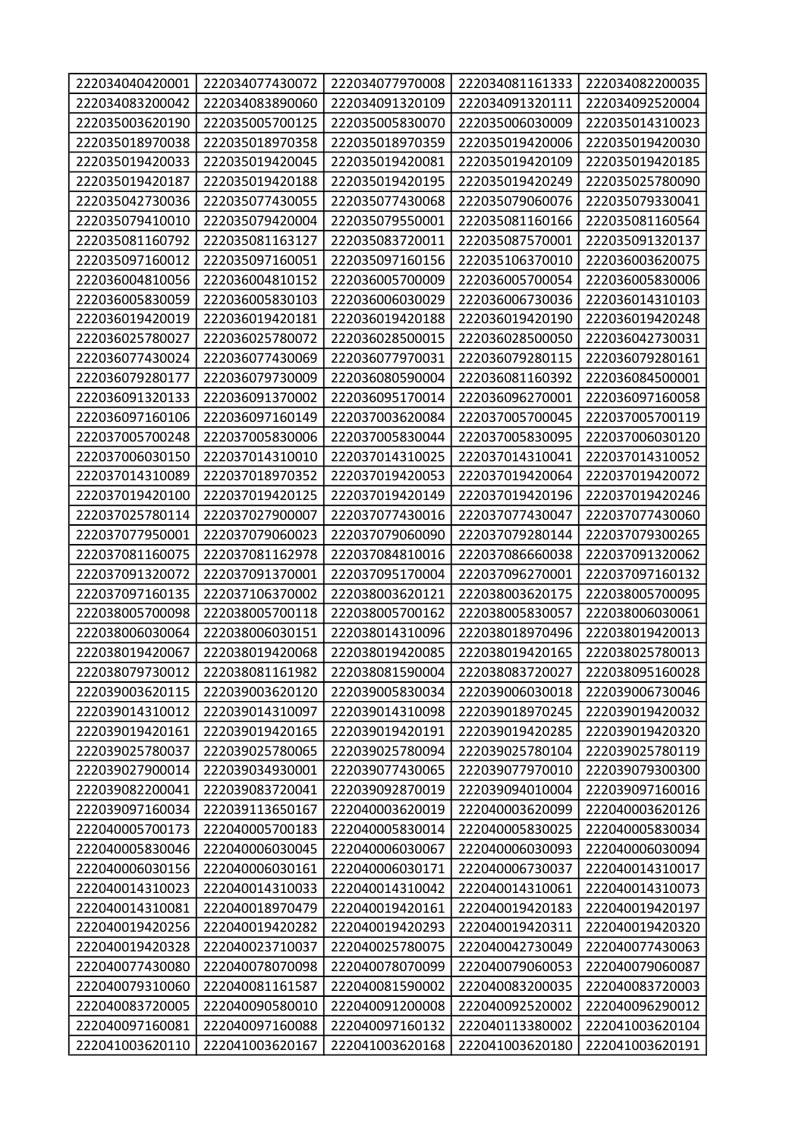| 222034040420001                    | 222034077430072                    | 222034077970008                    | 222034081161333                    | 222034082200035                    |
|------------------------------------|------------------------------------|------------------------------------|------------------------------------|------------------------------------|
| 222034083200042                    | 222034083890060                    | 222034091320109                    | 222034091320111                    | 222034092520004                    |
| 222035003620190                    | 222035005700125                    | 222035005830070                    | 222035006030009                    | 222035014310023                    |
| 222035018970038                    | 222035018970358                    | 222035018970359                    | 222035019420006                    | 222035019420030                    |
| 222035019420033                    | 222035019420045                    | 222035019420081                    | 222035019420109                    | 222035019420185                    |
| 222035019420187                    | 222035019420188                    | 222035019420195                    | 222035019420249                    | 222035025780090                    |
| 222035042730036                    | 222035077430055                    | 222035077430068                    | 222035079060076                    | 222035079330041                    |
| 222035079410010                    | 222035079420004                    | 222035079550001                    | 222035081160166                    | 222035081160564                    |
| 222035081160792                    | 222035081163127                    | 222035083720011                    | 222035087570001                    | 222035091320137                    |
| 222035097160012                    | 222035097160051                    | 222035097160156                    | 222035106370010                    | 222036003620075                    |
| 222036004810056                    | 222036004810152                    | 222036005700009                    | 222036005700054                    | 222036005830006                    |
| 222036005830059                    | 222036005830103                    | 222036006030029                    | 222036006730036                    | 222036014310103                    |
| 222036019420019                    | 222036019420181                    | 222036019420188                    | 222036019420190                    | 222036019420248                    |
| 222036025780027                    | 222036025780072                    | 222036028500015                    | 222036028500050                    | 222036042730031                    |
| 222036077430024                    | 222036077430069                    | 222036077970031                    | 222036079280115                    | 222036079280161                    |
| 222036079280177                    | 222036079730009                    | 222036080590004                    | 222036081160392                    | 222036084500001                    |
| 222036091320133                    | 222036091370002                    | 222036095170014                    | 222036096270001                    | 222036097160058                    |
| 222036097160106                    | 222036097160149                    | 222037003620084                    | 222037005700045                    | 222037005700119                    |
| 222037005700248                    | 222037005830006                    | 222037005830044                    | 222037005830095                    | 222037006030120                    |
| 222037006030150                    | 222037014310010                    | 222037014310025                    | 222037014310041                    | 222037014310052                    |
| 222037014310089                    | 222037018970352                    | 222037019420053                    | 222037019420064                    | 222037019420072                    |
| 222037019420100                    | 222037019420125                    | 222037019420149                    | 222037019420196                    | 222037019420246                    |
| 222037025780114                    | 222037027900007                    | 222037077430016                    | 222037077430047                    | 222037077430060                    |
| 222037077950001                    | 222037079060023                    | 222037079060090                    | 222037079280144                    | 222037079300265                    |
| 222037081160075                    | 222037081162978                    | 222037084810016                    | 222037086660038                    | 222037091320062                    |
| 222037091320072                    | 222037091370001                    | 222037095170004                    | 222037096270001                    | 222037097160132                    |
| 222037097160135                    | 222037106370002                    | 222038003620121                    | 222038003620175                    | 222038005700095                    |
| 222038005700098                    | 222038005700118                    | 222038005700162                    | 222038005830057                    | 222038006030061                    |
| 222038006030064                    | 222038006030151                    | 222038014310096                    | 222038018970496                    | 222038019420013                    |
| 222038019420067                    | 222038019420068                    | 222038019420085                    | 222038019420165                    | 222038025780013                    |
| 222038079730012                    | 222038081161982                    | 222038081590004                    | 222038083720027                    | 222038095160028                    |
| 222039003620115                    | 222039003620120                    | 222039005830034                    | 222039006030018                    | 222039006730046                    |
| 222039014310012                    | 222039014310097                    | 222039014310098                    | 222039018970245                    | 222039019420032                    |
| 222039019420161                    | 222039019420165                    | 222039019420191                    | 222039019420285                    | 222039019420320                    |
| 222039025780037                    | 222039025780065                    |                                    |                                    |                                    |
|                                    |                                    | 222039025780094                    | 222039025780104                    | 222039025780119                    |
| 222039027900014                    | 222039034930001                    | 222039077430065                    | 222039077970010                    | 222039079300300                    |
| 222039082200041                    | 222039083720041                    | 222039092870019                    | 222039094010004                    | 222039097160016                    |
| 222039097160034                    | 222039113650167                    | 222040003620019                    | 222040003620099                    | 222040003620126                    |
| 222040005700173                    | 222040005700183                    | 222040005830014                    | 222040005830025                    | 222040005830034                    |
| 222040005830046                    | 222040006030045                    | 222040006030067                    | 222040006030093                    | 222040006030094                    |
| 222040006030156                    | 222040006030161                    | 222040006030171                    | 222040006730037                    | 222040014310017                    |
| 222040014310023                    | 222040014310033                    | 222040014310042                    | 222040014310061                    | 222040014310073                    |
| 222040014310081                    | 222040018970479                    | 222040019420161                    | 222040019420183                    | 222040019420197                    |
| 222040019420256                    | 222040019420282                    | 222040019420293                    | 222040019420311                    | 222040019420320                    |
| 222040019420328                    | 222040023710037                    | 222040025780075                    | 222040042730049                    | 222040077430063                    |
| 222040077430080                    | 222040078070098                    | 222040078070099                    | 222040079060053                    | 222040079060087                    |
| 222040079310060                    | 222040081161587                    | 222040081590002                    | 222040083200035                    | 222040083720003                    |
| 222040083720005                    | 222040090580010                    | 222040091200008                    | 222040092520002                    | 222040096290012                    |
| 222040097160081<br>222041003620110 | 222040097160088<br>222041003620167 | 222040097160132<br>222041003620168 | 222040113380002<br>222041003620180 | 222041003620104<br>222041003620191 |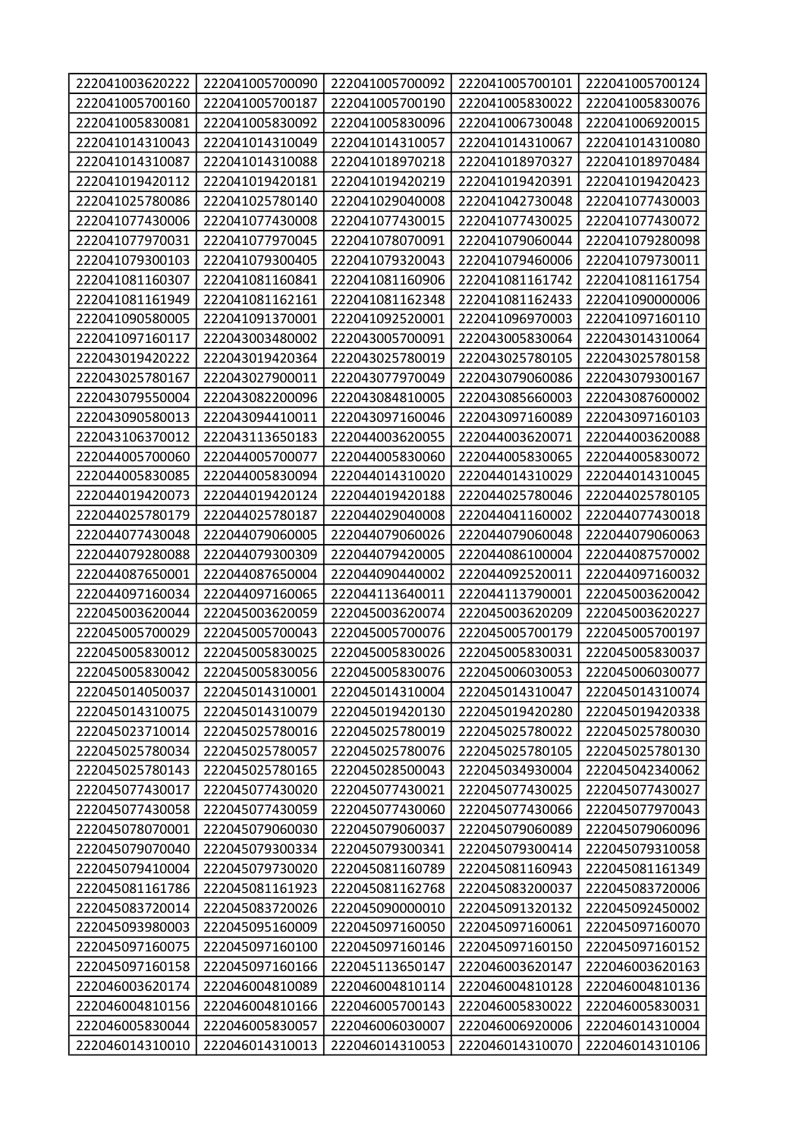| 222041003620222                    | 222041005700090                    | 222041005700092                    | 222041005700101                    | 222041005700124                    |
|------------------------------------|------------------------------------|------------------------------------|------------------------------------|------------------------------------|
| 222041005700160                    | 222041005700187                    | 222041005700190                    | 222041005830022                    | 222041005830076                    |
| 222041005830081                    | 222041005830092                    | 222041005830096                    | 222041006730048                    | 222041006920015                    |
| 222041014310043                    | 222041014310049                    | 222041014310057                    | 222041014310067                    | 222041014310080                    |
| 222041014310087                    | 222041014310088                    | 222041018970218                    | 222041018970327                    | 222041018970484                    |
| 222041019420112                    | 222041019420181                    | 222041019420219                    | 222041019420391                    | 222041019420423                    |
| 222041025780086                    | 222041025780140                    | 222041029040008                    | 222041042730048                    | 222041077430003                    |
| 222041077430006                    | 222041077430008                    | 222041077430015                    | 222041077430025                    | 222041077430072                    |
| 222041077970031                    | 222041077970045                    | 222041078070091                    | 222041079060044                    | 222041079280098                    |
| 222041079300103                    | 222041079300405                    | 222041079320043                    | 222041079460006                    | 222041079730011                    |
| 222041081160307                    | 222041081160841                    | 222041081160906                    | 222041081161742                    | 222041081161754                    |
| 222041081161949                    | 222041081162161                    | 222041081162348                    | 222041081162433                    | 222041090000006                    |
| 222041090580005                    | 222041091370001                    | 222041092520001                    | 222041096970003                    | 222041097160110                    |
| 222041097160117                    | 222043003480002                    | 222043005700091                    | 222043005830064                    | 222043014310064                    |
| 222043019420222                    | 222043019420364                    | 222043025780019                    | 222043025780105                    | 222043025780158                    |
| 222043025780167                    | 222043027900011                    | 222043077970049                    | 222043079060086                    | 222043079300167                    |
| 222043079550004                    | 222043082200096                    | 222043084810005                    | 222043085660003                    | 222043087600002                    |
| 222043090580013                    | 222043094410011                    | 222043097160046                    | 222043097160089                    | 222043097160103                    |
| 222043106370012                    | 222043113650183                    | 222044003620055                    | 222044003620071                    | 222044003620088                    |
| 222044005700060                    | 222044005700077                    | 222044005830060                    | 222044005830065                    | 222044005830072                    |
| 222044005830085                    | 222044005830094                    | 222044014310020                    | 222044014310029                    | 222044014310045                    |
| 222044019420073                    | 222044019420124                    | 222044019420188                    | 222044025780046                    | 222044025780105                    |
| 222044025780179                    | 222044025780187                    | 222044029040008                    | 222044041160002                    | 222044077430018                    |
| 222044077430048                    | 222044079060005                    | 222044079060026                    | 222044079060048                    | 222044079060063                    |
| 222044079280088                    | 222044079300309                    | 222044079420005                    | 222044086100004                    | 222044087570002                    |
| 222044087650001                    | 222044087650004                    | 222044090440002                    | 222044092520011                    | 222044097160032                    |
|                                    |                                    |                                    |                                    |                                    |
| 222044097160034                    | 222044097160065                    | 222044113640011                    | 222044113790001                    | 222045003620042                    |
| 222045003620044                    | 222045003620059                    | 222045003620074                    | 222045003620209                    | 222045003620227                    |
| 222045005700029                    | 222045005700043                    | 222045005700076                    | 222045005700179                    | 222045005700197                    |
| 222045005830012                    | 222045005830025                    | 222045005830026                    | 222045005830031                    | 222045005830037                    |
| 222045005830042                    | 222045005830056                    | 222045005830076                    | 222045006030053                    | 222045006030077                    |
| 222045014050037                    | 222045014310001                    | 222045014310004                    | 222045014310047                    | 222045014310074                    |
| 222045014310075                    | 222045014310079                    | 222045019420130                    | 222045019420280                    | 222045019420338                    |
| 222045023710014                    | 222045025780016                    | 222045025780019                    | 222045025780022                    | 222045025780030                    |
| 222045025780034                    | 222045025780057                    | 222045025780076                    | 222045025780105                    | 222045025780130                    |
| 222045025780143                    | 222045025780165                    | 222045028500043                    | 222045034930004                    | 222045042340062                    |
| 222045077430017                    | 222045077430020                    | 222045077430021                    | 222045077430025                    | 222045077430027                    |
| 222045077430058                    | 222045077430059                    | 222045077430060                    | 222045077430066                    | 222045077970043                    |
| 222045078070001                    | 222045079060030                    | 222045079060037                    | 222045079060089                    | 222045079060096                    |
| 222045079070040                    | 222045079300334                    | 222045079300341                    | 222045079300414                    | 222045079310058                    |
| 222045079410004                    | 222045079730020                    | 222045081160789                    | 222045081160943                    | 222045081161349                    |
| 222045081161786                    | 222045081161923                    | 222045081162768                    | 222045083200037                    | 222045083720006                    |
| 222045083720014                    | 222045083720026                    | 222045090000010                    | 222045091320132                    | 222045092450002                    |
| 222045093980003                    | 222045095160009                    | 222045097160050                    | 222045097160061                    | 222045097160070                    |
| 222045097160075                    | 222045097160100                    | 222045097160146                    | 222045097160150                    | 222045097160152                    |
| 222045097160158                    | 222045097160166                    | 222045113650147                    | 222046003620147                    | 222046003620163                    |
| 222046003620174                    | 222046004810089                    | 222046004810114                    | 222046004810128                    | 222046004810136                    |
| 222046004810156                    | 222046004810166                    | 222046005700143                    | 222046005830022                    | 222046005830031                    |
| 222046005830044<br>222046014310010 | 222046005830057<br>222046014310013 | 222046006030007<br>222046014310053 | 222046006920006<br>222046014310070 | 222046014310004<br>222046014310106 |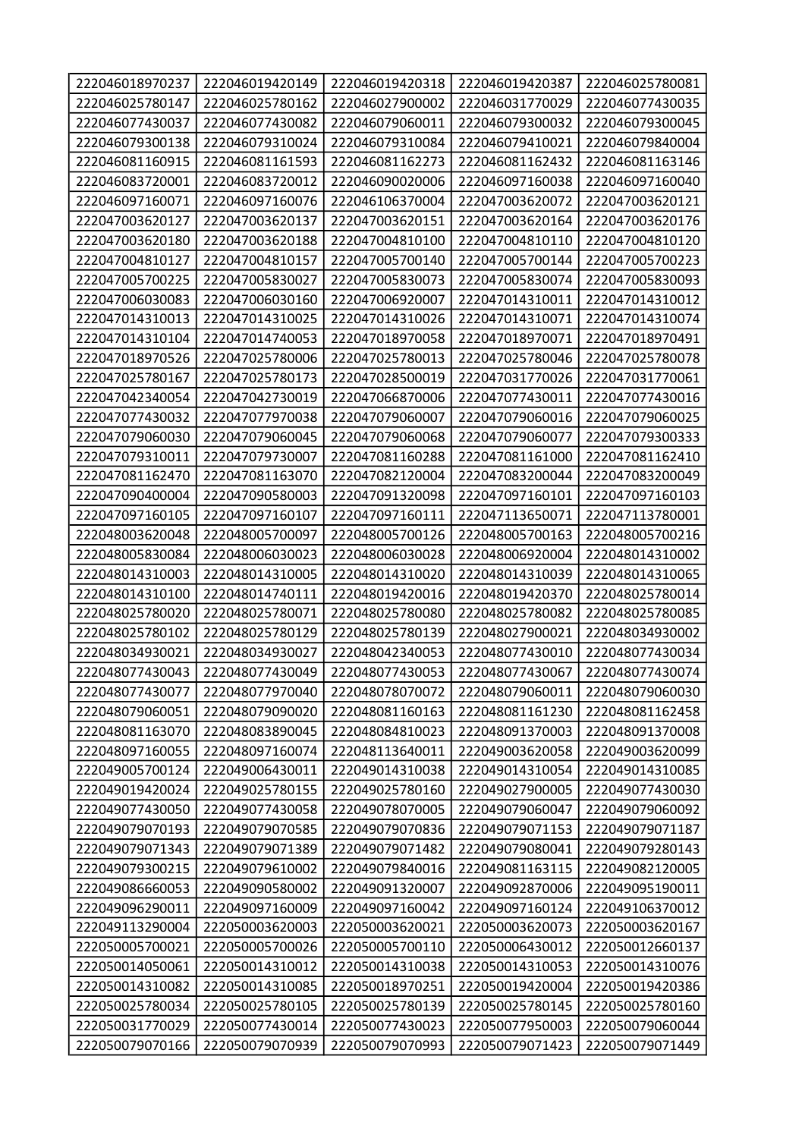| 222046018970237 | 222046019420149 | 222046019420318 | 222046019420387 | 222046025780081 |
|-----------------|-----------------|-----------------|-----------------|-----------------|
| 222046025780147 | 222046025780162 | 222046027900002 | 222046031770029 | 222046077430035 |
| 222046077430037 | 222046077430082 | 222046079060011 | 222046079300032 | 222046079300045 |
| 222046079300138 | 222046079310024 | 222046079310084 | 222046079410021 | 222046079840004 |
| 222046081160915 | 222046081161593 | 222046081162273 | 222046081162432 | 222046081163146 |
| 222046083720001 | 222046083720012 | 222046090020006 | 222046097160038 | 222046097160040 |
| 222046097160071 | 222046097160076 | 222046106370004 | 222047003620072 | 222047003620121 |
| 222047003620127 | 222047003620137 | 222047003620151 | 222047003620164 | 222047003620176 |
| 222047003620180 | 222047003620188 | 222047004810100 | 222047004810110 | 222047004810120 |
| 222047004810127 | 222047004810157 | 222047005700140 | 222047005700144 | 222047005700223 |
| 222047005700225 | 222047005830027 | 222047005830073 | 222047005830074 | 222047005830093 |
| 222047006030083 | 222047006030160 | 222047006920007 | 222047014310011 | 222047014310012 |
| 222047014310013 | 222047014310025 | 222047014310026 | 222047014310071 | 222047014310074 |
| 222047014310104 | 222047014740053 | 222047018970058 | 222047018970071 | 222047018970491 |
| 222047018970526 | 222047025780006 | 222047025780013 | 222047025780046 | 222047025780078 |
| 222047025780167 | 222047025780173 | 222047028500019 | 222047031770026 | 222047031770061 |
| 222047042340054 | 222047042730019 | 222047066870006 | 222047077430011 | 222047077430016 |
| 222047077430032 | 222047077970038 | 222047079060007 | 222047079060016 | 222047079060025 |
| 222047079060030 | 222047079060045 | 222047079060068 | 222047079060077 | 222047079300333 |
| 222047079310011 | 222047079730007 | 222047081160288 | 222047081161000 | 222047081162410 |
| 222047081162470 | 222047081163070 | 222047082120004 | 222047083200044 | 222047083200049 |
| 222047090400004 | 222047090580003 | 222047091320098 | 222047097160101 | 222047097160103 |
| 222047097160105 | 222047097160107 | 222047097160111 | 222047113650071 | 222047113780001 |
| 222048003620048 | 222048005700097 | 222048005700126 | 222048005700163 | 222048005700216 |
| 222048005830084 | 222048006030023 | 222048006030028 | 222048006920004 | 222048014310002 |
| 222048014310003 | 222048014310005 | 222048014310020 | 222048014310039 | 222048014310065 |
| 222048014310100 | 222048014740111 | 222048019420016 | 222048019420370 | 222048025780014 |
| 222048025780020 | 222048025780071 | 222048025780080 | 222048025780082 | 222048025780085 |
| 222048025780102 | 222048025780129 | 222048025780139 | 222048027900021 | 222048034930002 |
| 222048034930021 | 222048034930027 | 222048042340053 | 222048077430010 | 222048077430034 |
| 222048077430043 | 222048077430049 | 222048077430053 | 222048077430067 | 222048077430074 |
| 222048077430077 | 222048077970040 | 222048078070072 | 222048079060011 | 222048079060030 |
| 222048079060051 | 222048079090020 | 222048081160163 | 222048081161230 | 222048081162458 |
| 222048081163070 | 222048083890045 | 222048084810023 | 222048091370003 | 222048091370008 |
| 222048097160055 | 222048097160074 | 222048113640011 | 222049003620058 | 222049003620099 |
| 222049005700124 | 222049006430011 | 222049014310038 | 222049014310054 | 222049014310085 |
| 222049019420024 | 222049025780155 | 222049025780160 | 222049027900005 | 222049077430030 |
| 222049077430050 | 222049077430058 | 222049078070005 | 222049079060047 | 222049079060092 |
| 222049079070193 | 222049079070585 | 222049079070836 | 222049079071153 | 222049079071187 |
| 222049079071343 | 222049079071389 | 222049079071482 | 222049079080041 | 222049079280143 |
| 222049079300215 | 222049079610002 | 222049079840016 | 222049081163115 | 222049082120005 |
| 222049086660053 | 222049090580002 | 222049091320007 | 222049092870006 | 222049095190011 |
| 222049096290011 | 222049097160009 | 222049097160042 | 222049097160124 | 222049106370012 |
| 222049113290004 | 222050003620003 | 222050003620021 | 222050003620073 | 222050003620167 |
| 222050005700021 | 222050005700026 | 222050005700110 | 222050006430012 | 222050012660137 |
| 222050014050061 | 222050014310012 | 222050014310038 | 222050014310053 | 222050014310076 |
| 222050014310082 | 222050014310085 | 222050018970251 | 222050019420004 | 222050019420386 |
| 222050025780034 | 222050025780105 | 222050025780139 | 222050025780145 | 222050025780160 |
| 222050031770029 | 222050077430014 | 222050077430023 | 222050077950003 | 222050079060044 |
| 222050079070166 | 222050079070939 | 222050079070993 | 222050079071423 | 222050079071449 |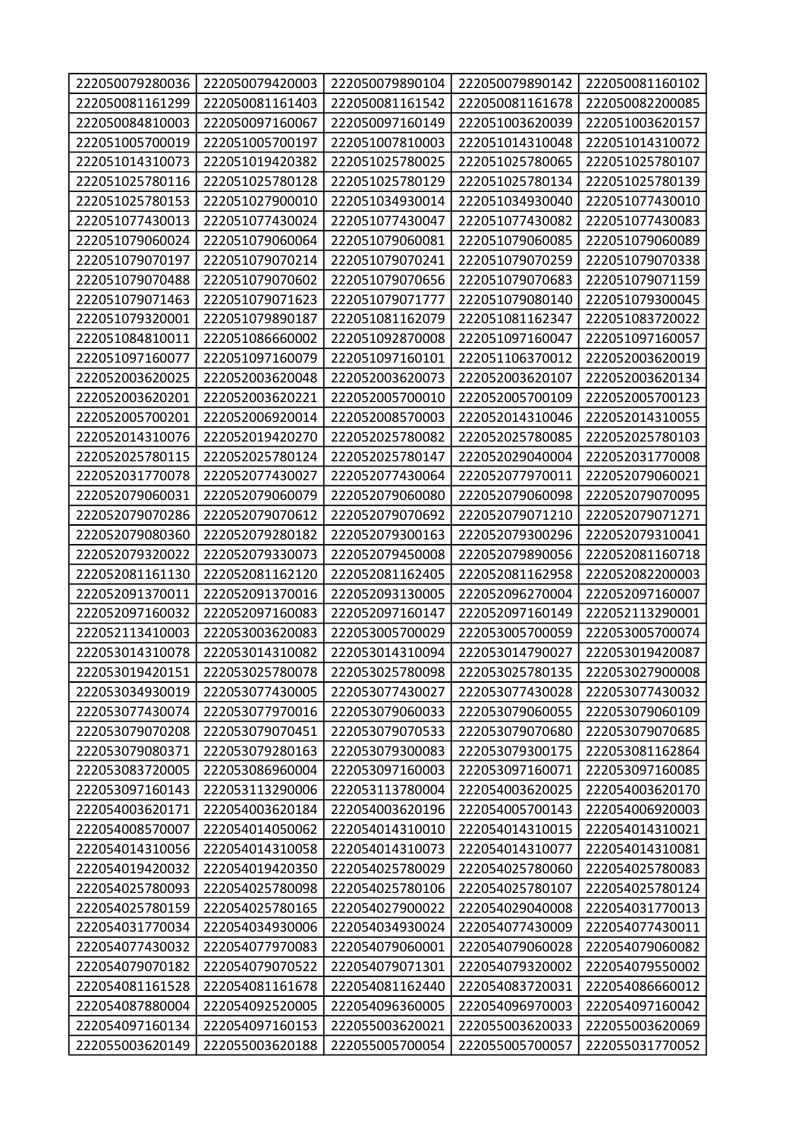| 222050079280036 | 222050079420003 | 222050079890104 | 222050079890142 | 222050081160102 |
|-----------------|-----------------|-----------------|-----------------|-----------------|
| 222050081161299 | 222050081161403 | 222050081161542 | 222050081161678 | 222050082200085 |
| 222050084810003 | 222050097160067 | 222050097160149 | 222051003620039 | 222051003620157 |
| 222051005700019 | 222051005700197 | 222051007810003 | 222051014310048 | 222051014310072 |
| 222051014310073 | 222051019420382 | 222051025780025 | 222051025780065 | 222051025780107 |
| 222051025780116 | 222051025780128 | 222051025780129 | 222051025780134 | 222051025780139 |
| 222051025780153 | 222051027900010 | 222051034930014 | 222051034930040 | 222051077430010 |
| 222051077430013 | 222051077430024 | 222051077430047 | 222051077430082 | 222051077430083 |
| 222051079060024 | 222051079060064 | 222051079060081 | 222051079060085 | 222051079060089 |
| 222051079070197 | 222051079070214 | 222051079070241 | 222051079070259 | 222051079070338 |
| 222051079070488 | 222051079070602 | 222051079070656 | 222051079070683 | 222051079071159 |
| 222051079071463 | 222051079071623 | 222051079071777 | 222051079080140 | 222051079300045 |
| 222051079320001 | 222051079890187 | 222051081162079 | 222051081162347 | 222051083720022 |
| 222051084810011 | 222051086660002 | 222051092870008 | 222051097160047 | 222051097160057 |
| 222051097160077 | 222051097160079 | 222051097160101 | 222051106370012 | 222052003620019 |
| 222052003620025 | 222052003620048 | 222052003620073 | 222052003620107 | 222052003620134 |
| 222052003620201 | 222052003620221 | 222052005700010 | 222052005700109 | 222052005700123 |
| 222052005700201 | 222052006920014 | 222052008570003 | 222052014310046 | 222052014310055 |
| 222052014310076 | 222052019420270 | 222052025780082 | 222052025780085 | 222052025780103 |
| 222052025780115 | 222052025780124 | 222052025780147 | 222052029040004 | 222052031770008 |
| 222052031770078 | 222052077430027 | 222052077430064 | 222052077970011 | 222052079060021 |
| 222052079060031 | 222052079060079 | 222052079060080 | 222052079060098 | 222052079070095 |
| 222052079070286 | 222052079070612 | 222052079070692 | 222052079071210 | 222052079071271 |
| 222052079080360 | 222052079280182 | 222052079300163 | 222052079300296 | 222052079310041 |
| 222052079320022 | 222052079330073 | 222052079450008 | 222052079890056 | 222052081160718 |
| 222052081161130 | 222052081162120 | 222052081162405 | 222052081162958 | 222052082200003 |
| 222052091370011 | 222052091370016 | 222052093130005 | 222052096270004 | 222052097160007 |
| 222052097160032 | 222052097160083 | 222052097160147 | 222052097160149 | 222052113290001 |
| 222052113410003 | 222053003620083 | 222053005700029 | 222053005700059 | 222053005700074 |
| 222053014310078 | 222053014310082 | 222053014310094 | 222053014790027 | 222053019420087 |
| 222053019420151 | 222053025780078 | 222053025780098 | 222053025780135 | 222053027900008 |
| 222053034930019 | 222053077430005 | 222053077430027 | 222053077430028 | 222053077430032 |
| 222053077430074 | 222053077970016 | 222053079060033 | 222053079060055 | 222053079060109 |
| 222053079070208 | 222053079070451 | 222053079070533 | 222053079070680 | 222053079070685 |
| 222053079080371 | 222053079280163 | 222053079300083 | 222053079300175 | 222053081162864 |
| 222053083720005 | 222053086960004 | 222053097160003 | 222053097160071 | 222053097160085 |
| 222053097160143 | 222053113290006 | 222053113780004 | 222054003620025 | 222054003620170 |
| 222054003620171 | 222054003620184 | 222054003620196 | 222054005700143 | 222054006920003 |
| 222054008570007 | 222054014050062 | 222054014310010 | 222054014310015 | 222054014310021 |
| 222054014310056 | 222054014310058 | 222054014310073 | 222054014310077 | 222054014310081 |
| 222054019420032 | 222054019420350 | 222054025780029 | 222054025780060 | 222054025780083 |
| 222054025780093 | 222054025780098 | 222054025780106 | 222054025780107 | 222054025780124 |
| 222054025780159 | 222054025780165 | 222054027900022 | 222054029040008 | 222054031770013 |
| 222054031770034 | 222054034930006 | 222054034930024 | 222054077430009 | 222054077430011 |
| 222054077430032 | 222054077970083 | 222054079060001 | 222054079060028 | 222054079060082 |
| 222054079070182 | 222054079070522 | 222054079071301 | 222054079320002 | 222054079550002 |
| 222054081161528 | 222054081161678 | 222054081162440 | 222054083720031 | 222054086660012 |
| 222054087880004 | 222054092520005 | 222054096360005 | 222054096970003 | 222054097160042 |
| 222054097160134 | 222054097160153 | 222055003620021 | 222055003620033 | 222055003620069 |
| 222055003620149 | 222055003620188 | 222055005700054 | 222055005700057 | 222055031770052 |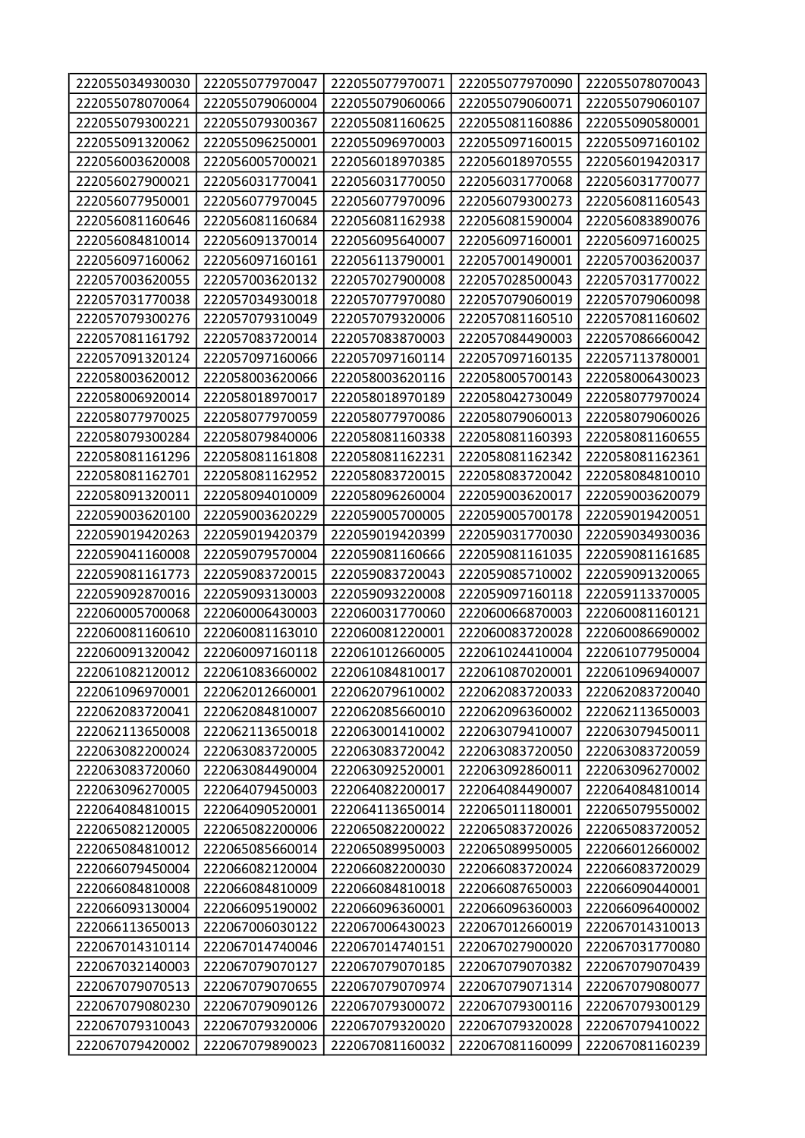| 222055034930030 | 222055077970047 | 222055077970071 | 222055077970090 | 222055078070043 |
|-----------------|-----------------|-----------------|-----------------|-----------------|
| 222055078070064 | 222055079060004 | 222055079060066 | 222055079060071 | 222055079060107 |
| 222055079300221 | 222055079300367 | 222055081160625 | 222055081160886 | 222055090580001 |
| 222055091320062 | 222055096250001 | 222055096970003 | 222055097160015 | 222055097160102 |
| 222056003620008 | 222056005700021 | 222056018970385 | 222056018970555 | 222056019420317 |
| 222056027900021 | 222056031770041 | 222056031770050 | 222056031770068 | 222056031770077 |
| 222056077950001 | 222056077970045 | 222056077970096 | 222056079300273 | 222056081160543 |
| 222056081160646 | 222056081160684 | 222056081162938 | 222056081590004 | 222056083890076 |
| 222056084810014 | 222056091370014 | 222056095640007 | 222056097160001 | 222056097160025 |
| 222056097160062 | 222056097160161 | 222056113790001 | 222057001490001 | 222057003620037 |
| 222057003620055 | 222057003620132 | 222057027900008 | 222057028500043 | 222057031770022 |
| 222057031770038 | 222057034930018 | 222057077970080 | 222057079060019 | 222057079060098 |
| 222057079300276 | 222057079310049 | 222057079320006 | 222057081160510 | 222057081160602 |
| 222057081161792 | 222057083720014 | 222057083870003 | 222057084490003 | 222057086660042 |
| 222057091320124 | 222057097160066 | 222057097160114 | 222057097160135 | 222057113780001 |
| 222058003620012 | 222058003620066 | 222058003620116 | 222058005700143 | 222058006430023 |
| 222058006920014 | 222058018970017 | 222058018970189 | 222058042730049 | 222058077970024 |
| 222058077970025 | 222058077970059 | 222058077970086 | 222058079060013 | 222058079060026 |
| 222058079300284 | 222058079840006 | 222058081160338 | 222058081160393 | 222058081160655 |
| 222058081161296 | 222058081161808 | 222058081162231 | 222058081162342 | 222058081162361 |
| 222058081162701 | 222058081162952 | 222058083720015 | 222058083720042 | 222058084810010 |
| 222058091320011 | 222058094010009 | 222058096260004 | 222059003620017 | 222059003620079 |
| 222059003620100 | 222059003620229 | 222059005700005 | 222059005700178 | 222059019420051 |
| 222059019420263 | 222059019420379 | 222059019420399 | 222059031770030 | 222059034930036 |
| 222059041160008 | 222059079570004 | 222059081160666 | 222059081161035 | 222059081161685 |
| 222059081161773 | 222059083720015 | 222059083720043 | 222059085710002 | 222059091320065 |
| 222059092870016 | 222059093130003 | 222059093220008 | 222059097160118 | 222059113370005 |
| 222060005700068 | 222060006430003 | 222060031770060 | 222060066870003 | 222060081160121 |
| 222060081160610 | 222060081163010 | 222060081220001 | 222060083720028 | 222060086690002 |
| 222060091320042 | 222060097160118 | 222061012660005 | 222061024410004 | 222061077950004 |
| 222061082120012 | 222061083660002 | 222061084810017 | 222061087020001 | 222061096940007 |
| 222061096970001 | 222062012660001 | 222062079610002 | 222062083720033 | 222062083720040 |
| 222062083720041 | 222062084810007 | 222062085660010 | 222062096360002 | 222062113650003 |
| 222062113650008 | 222062113650018 | 222063001410002 | 222063079410007 | 222063079450011 |
| 222063082200024 | 222063083720005 | 222063083720042 | 222063083720050 | 222063083720059 |
| 222063083720060 | 222063084490004 | 222063092520001 | 222063092860011 | 222063096270002 |
| 222063096270005 | 222064079450003 | 222064082200017 | 222064084490007 | 222064084810014 |
| 222064084810015 | 222064090520001 | 222064113650014 | 222065011180001 | 222065079550002 |
| 222065082120005 | 222065082200006 | 222065082200022 | 222065083720026 | 222065083720052 |
| 222065084810012 | 222065085660014 | 222065089950003 | 222065089950005 | 222066012660002 |
| 222066079450004 | 222066082120004 | 222066082200030 | 222066083720024 | 222066083720029 |
| 222066084810008 | 222066084810009 | 222066084810018 | 222066087650003 | 222066090440001 |
| 222066093130004 | 222066095190002 | 222066096360001 | 222066096360003 | 222066096400002 |
| 222066113650013 | 222067006030122 | 222067006430023 | 222067012660019 | 222067014310013 |
| 222067014310114 | 222067014740046 | 222067014740151 | 222067027900020 | 222067031770080 |
| 222067032140003 | 222067079070127 | 222067079070185 | 222067079070382 | 222067079070439 |
| 222067079070513 | 222067079070655 | 222067079070974 | 222067079071314 | 222067079080077 |
| 222067079080230 | 222067079090126 | 222067079300072 | 222067079300116 | 222067079300129 |
| 222067079310043 | 222067079320006 | 222067079320020 | 222067079320028 | 222067079410022 |
| 222067079420002 | 222067079890023 | 222067081160032 | 222067081160099 | 222067081160239 |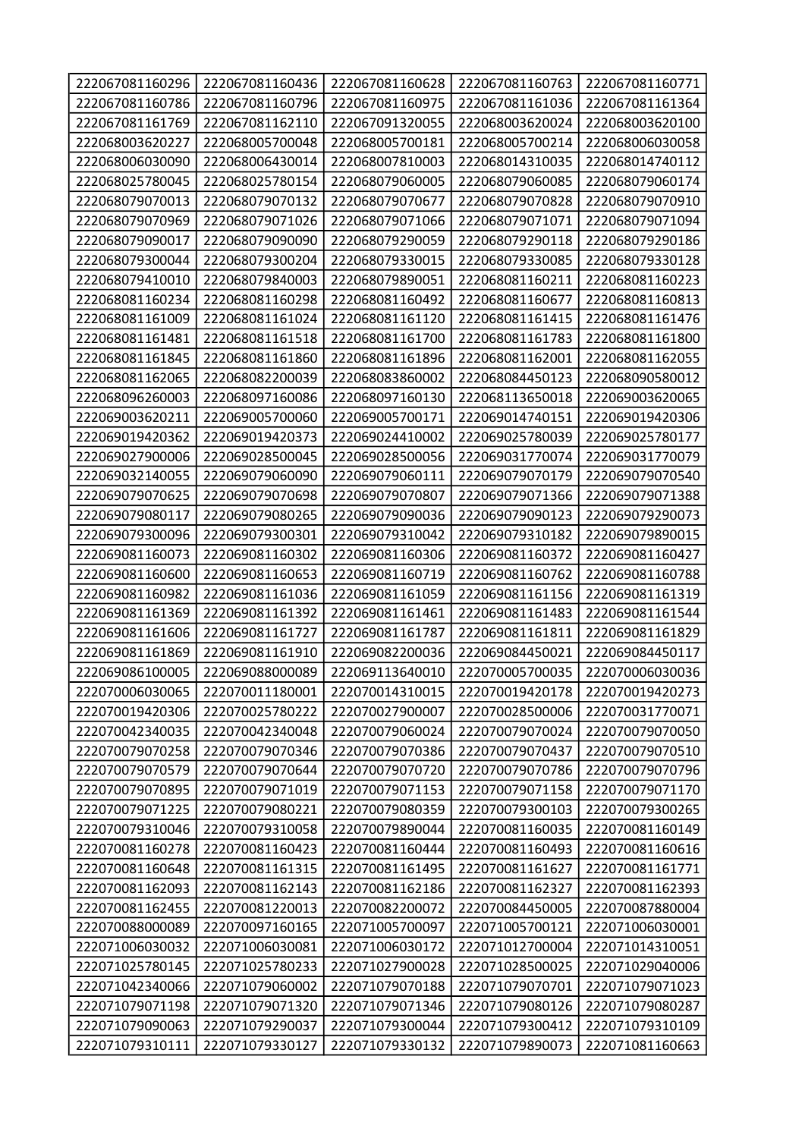| 222067081160296 | 222067081160436 | 222067081160628 | 222067081160763 | 222067081160771 |
|-----------------|-----------------|-----------------|-----------------|-----------------|
| 222067081160786 | 222067081160796 | 222067081160975 | 222067081161036 | 222067081161364 |
| 222067081161769 | 222067081162110 | 222067091320055 | 222068003620024 | 222068003620100 |
| 222068003620227 | 222068005700048 | 222068005700181 | 222068005700214 | 222068006030058 |
| 222068006030090 | 222068006430014 | 222068007810003 | 222068014310035 | 222068014740112 |
| 222068025780045 | 222068025780154 | 222068079060005 | 222068079060085 | 222068079060174 |
| 222068079070013 | 222068079070132 | 222068079070677 | 222068079070828 | 222068079070910 |
| 222068079070969 | 222068079071026 | 222068079071066 | 222068079071071 | 222068079071094 |
| 222068079090017 | 222068079090090 | 222068079290059 | 222068079290118 | 222068079290186 |
| 222068079300044 | 222068079300204 | 222068079330015 | 222068079330085 | 222068079330128 |
| 222068079410010 | 222068079840003 | 222068079890051 | 222068081160211 | 222068081160223 |
| 222068081160234 | 222068081160298 | 222068081160492 | 222068081160677 | 222068081160813 |
| 222068081161009 | 222068081161024 | 222068081161120 | 222068081161415 | 222068081161476 |
| 222068081161481 | 222068081161518 | 222068081161700 | 222068081161783 | 222068081161800 |
| 222068081161845 | 222068081161860 | 222068081161896 | 222068081162001 | 222068081162055 |
| 222068081162065 | 222068082200039 | 222068083860002 | 222068084450123 | 222068090580012 |
| 222068096260003 | 222068097160086 | 222068097160130 | 222068113650018 | 222069003620065 |
| 222069003620211 | 222069005700060 | 222069005700171 | 222069014740151 | 222069019420306 |
| 222069019420362 | 222069019420373 | 222069024410002 | 222069025780039 | 222069025780177 |
| 222069027900006 | 222069028500045 | 222069028500056 | 222069031770074 | 222069031770079 |
| 222069032140055 | 222069079060090 | 222069079060111 | 222069079070179 | 222069079070540 |
| 222069079070625 | 222069079070698 | 222069079070807 | 222069079071366 | 222069079071388 |
| 222069079080117 | 222069079080265 | 222069079090036 | 222069079090123 | 222069079290073 |
| 222069079300096 | 222069079300301 | 222069079310042 | 222069079310182 | 222069079890015 |
| 222069081160073 | 222069081160302 | 222069081160306 | 222069081160372 | 222069081160427 |
|                 |                 |                 |                 |                 |
| 222069081160600 | 222069081160653 | 222069081160719 | 222069081160762 | 222069081160788 |
| 222069081160982 | 222069081161036 | 222069081161059 | 222069081161156 | 222069081161319 |
| 222069081161369 | 222069081161392 | 222069081161461 | 222069081161483 | 222069081161544 |
| 222069081161606 | 222069081161727 | 222069081161787 | 222069081161811 | 222069081161829 |
| 222069081161869 | 222069081161910 | 222069082200036 | 222069084450021 | 222069084450117 |
| 222069086100005 | 222069088000089 | 222069113640010 | 222070005700035 | 222070006030036 |
| 222070006030065 | 222070011180001 | 222070014310015 | 222070019420178 | 222070019420273 |
| 222070019420306 | 222070025780222 | 222070027900007 | 222070028500006 | 222070031770071 |
| 222070042340035 | 222070042340048 | 222070079060024 | 222070079070024 | 222070079070050 |
| 222070079070258 | 222070079070346 | 222070079070386 | 222070079070437 | 222070079070510 |
| 222070079070579 | 222070079070644 | 222070079070720 | 222070079070786 | 222070079070796 |
| 222070079070895 | 222070079071019 | 222070079071153 | 222070079071158 | 222070079071170 |
| 222070079071225 | 222070079080221 | 222070079080359 | 222070079300103 | 222070079300265 |
| 222070079310046 | 222070079310058 | 222070079890044 | 222070081160035 | 222070081160149 |
| 222070081160278 | 222070081160423 | 222070081160444 | 222070081160493 | 222070081160616 |
| 222070081160648 | 222070081161315 | 222070081161495 | 222070081161627 | 222070081161771 |
| 222070081162093 | 222070081162143 | 222070081162186 | 222070081162327 | 222070081162393 |
| 222070081162455 | 222070081220013 | 222070082200072 | 222070084450005 | 222070087880004 |
| 222070088000089 | 222070097160165 | 222071005700097 | 222071005700121 | 222071006030001 |
| 222071006030032 | 222071006030081 | 222071006030172 | 222071012700004 | 222071014310051 |
| 222071025780145 | 222071025780233 | 222071027900028 | 222071028500025 | 222071029040006 |
| 222071042340066 | 222071079060002 | 222071079070188 | 222071079070701 | 222071079071023 |
| 222071079071198 | 222071079071320 | 222071079071346 | 222071079080126 | 222071079080287 |
| 222071079090063 | 222071079290037 | 222071079300044 | 222071079300412 | 222071079310109 |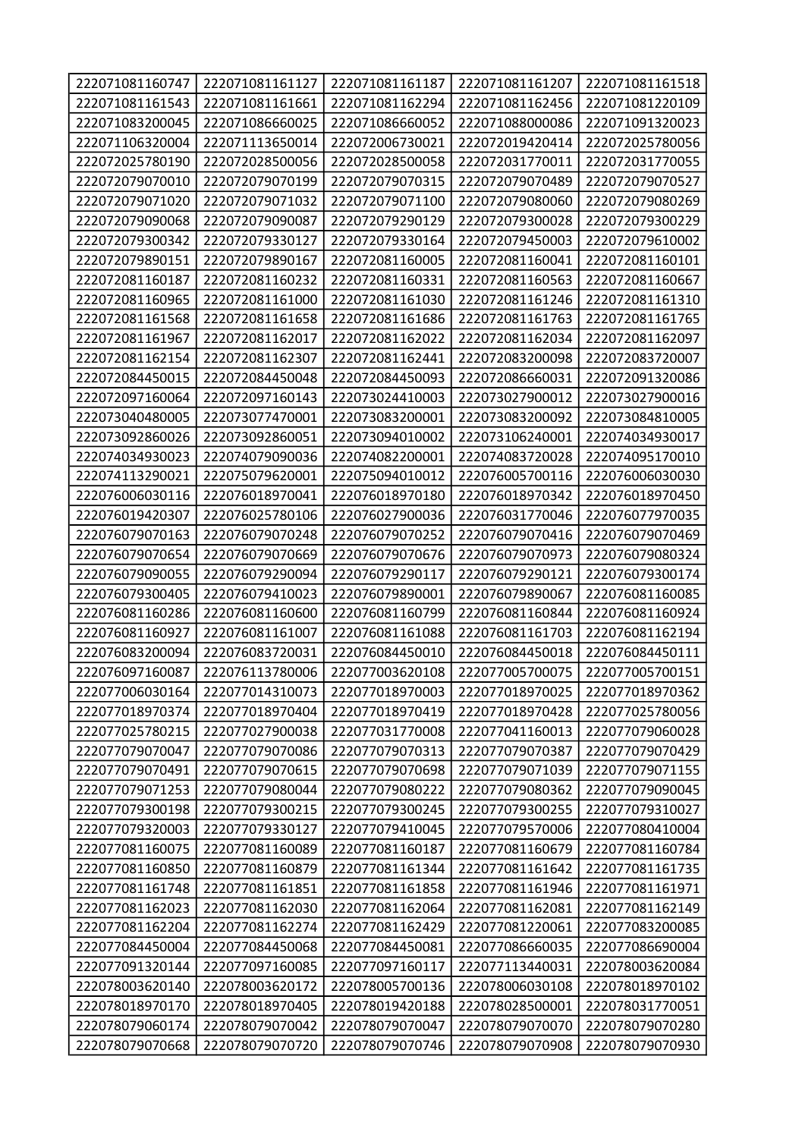| 222071081160747 | 222071081161127 | 222071081161187 | 222071081161207 | 222071081161518 |
|-----------------|-----------------|-----------------|-----------------|-----------------|
| 222071081161543 | 222071081161661 | 222071081162294 | 222071081162456 | 222071081220109 |
| 222071083200045 | 222071086660025 | 222071086660052 | 222071088000086 | 222071091320023 |
| 222071106320004 | 222071113650014 | 222072006730021 | 222072019420414 | 222072025780056 |
| 222072025780190 | 222072028500056 | 222072028500058 | 222072031770011 | 222072031770055 |
| 222072079070010 | 222072079070199 | 222072079070315 | 222072079070489 | 222072079070527 |
| 222072079071020 | 222072079071032 | 222072079071100 | 222072079080060 | 222072079080269 |
| 222072079090068 | 222072079090087 | 222072079290129 | 222072079300028 | 222072079300229 |
| 222072079300342 | 222072079330127 | 222072079330164 | 222072079450003 | 222072079610002 |
| 222072079890151 | 222072079890167 | 222072081160005 | 222072081160041 | 222072081160101 |
| 222072081160187 | 222072081160232 | 222072081160331 | 222072081160563 | 222072081160667 |
| 222072081160965 | 222072081161000 | 222072081161030 | 222072081161246 | 222072081161310 |
| 222072081161568 | 222072081161658 | 222072081161686 | 222072081161763 | 222072081161765 |
| 222072081161967 | 222072081162017 | 222072081162022 | 222072081162034 | 222072081162097 |
| 222072081162154 | 222072081162307 | 222072081162441 | 222072083200098 | 222072083720007 |
| 222072084450015 | 222072084450048 | 222072084450093 | 222072086660031 | 222072091320086 |
| 222072097160064 | 222072097160143 | 222073024410003 | 222073027900012 | 222073027900016 |
| 222073040480005 | 222073077470001 | 222073083200001 | 222073083200092 | 222073084810005 |
| 222073092860026 | 222073092860051 | 222073094010002 | 222073106240001 | 222074034930017 |
| 222074034930023 | 222074079090036 | 222074082200001 | 222074083720028 | 222074095170010 |
| 222074113290021 | 222075079620001 | 222075094010012 | 222076005700116 | 222076006030030 |
| 222076006030116 | 222076018970041 | 222076018970180 | 222076018970342 | 222076018970450 |
| 222076019420307 | 222076025780106 | 222076027900036 | 222076031770046 | 222076077970035 |
| 222076079070163 | 222076079070248 | 222076079070252 | 222076079070416 | 222076079070469 |
| 222076079070654 | 222076079070669 | 222076079070676 | 222076079070973 | 222076079080324 |
| 222076079090055 | 222076079290094 | 222076079290117 | 222076079290121 | 222076079300174 |
| 222076079300405 | 222076079410023 | 222076079890001 | 222076079890067 | 222076081160085 |
| 222076081160286 | 222076081160600 | 222076081160799 | 222076081160844 | 222076081160924 |
| 222076081160927 | 222076081161007 | 222076081161088 | 222076081161703 | 222076081162194 |
| 222076083200094 | 222076083720031 | 222076084450010 | 222076084450018 | 222076084450111 |
| 222076097160087 | 222076113780006 | 222077003620108 | 222077005700075 | 222077005700151 |
| 222077006030164 | 222077014310073 | 222077018970003 | 222077018970025 | 222077018970362 |
| 222077018970374 | 222077018970404 | 222077018970419 | 222077018970428 | 222077025780056 |
| 222077025780215 | 222077027900038 | 222077031770008 | 222077041160013 | 222077079060028 |
| 222077079070047 | 222077079070086 | 222077079070313 | 222077079070387 | 222077079070429 |
| 222077079070491 | 222077079070615 | 222077079070698 | 222077079071039 | 222077079071155 |
| 222077079071253 | 222077079080044 | 222077079080222 | 222077079080362 | 222077079090045 |
| 222077079300198 | 222077079300215 | 222077079300245 | 222077079300255 | 222077079310027 |
| 222077079320003 | 222077079330127 | 222077079410045 | 222077079570006 | 222077080410004 |
| 222077081160075 | 222077081160089 | 222077081160187 | 222077081160679 | 222077081160784 |
| 222077081160850 | 222077081160879 | 222077081161344 | 222077081161642 | 222077081161735 |
| 222077081161748 | 222077081161851 | 222077081161858 | 222077081161946 | 222077081161971 |
| 222077081162023 | 222077081162030 | 222077081162064 | 222077081162081 | 222077081162149 |
| 222077081162204 | 222077081162274 | 222077081162429 | 222077081220061 | 222077083200085 |
| 222077084450004 | 222077084450068 | 222077084450081 | 222077086660035 | 222077086690004 |
| 222077091320144 | 222077097160085 | 222077097160117 | 222077113440031 | 222078003620084 |
| 222078003620140 | 222078003620172 | 222078005700136 | 222078006030108 | 222078018970102 |
| 222078018970170 | 222078018970405 | 222078019420188 | 222078028500001 | 222078031770051 |
|                 |                 |                 |                 |                 |
| 222078079060174 | 222078079070042 | 222078079070047 | 222078079070070 | 222078079070280 |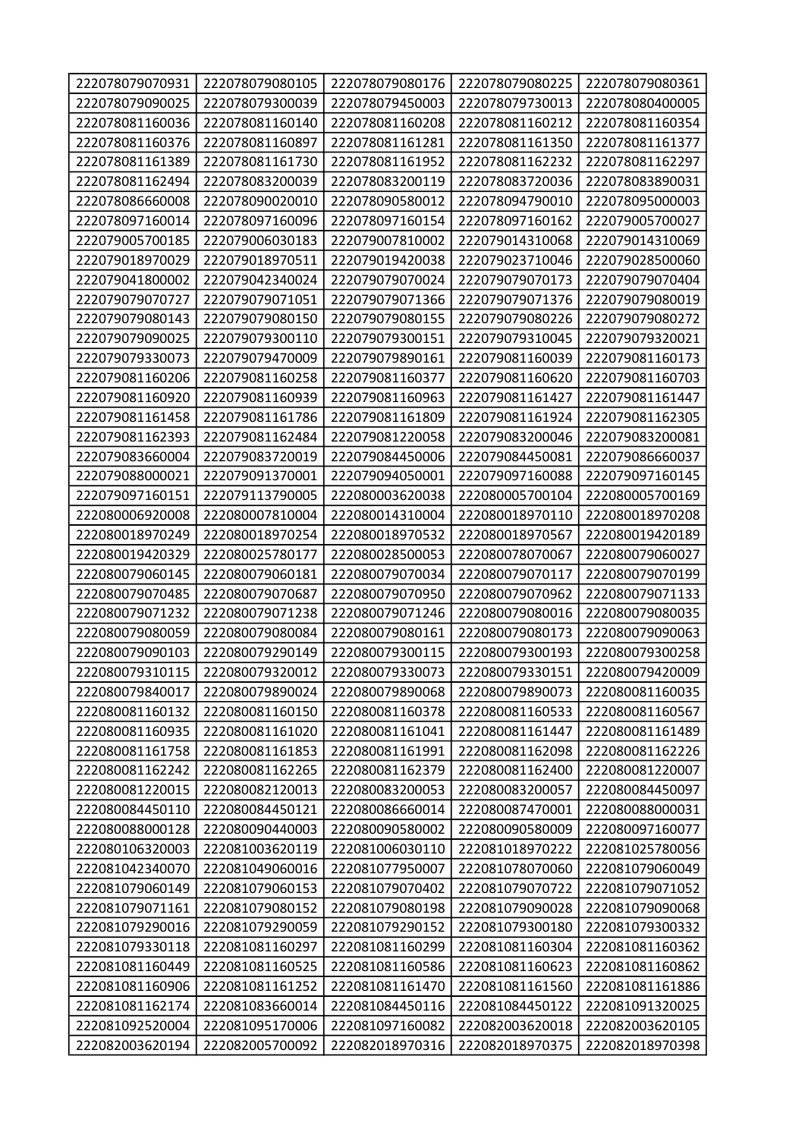| 222078079070931 | 222078079080105 | 222078079080176 | 222078079080225 | 222078079080361 |
|-----------------|-----------------|-----------------|-----------------|-----------------|
| 222078079090025 | 222078079300039 | 222078079450003 | 222078079730013 | 222078080400005 |
| 222078081160036 | 222078081160140 | 222078081160208 | 222078081160212 | 222078081160354 |
| 222078081160376 | 222078081160897 | 222078081161281 | 222078081161350 | 222078081161377 |
| 222078081161389 | 222078081161730 | 222078081161952 | 222078081162232 | 222078081162297 |
| 222078081162494 | 222078083200039 | 222078083200119 | 222078083720036 | 222078083890031 |
| 222078086660008 | 222078090020010 | 222078090580012 | 222078094790010 | 222078095000003 |
| 222078097160014 | 222078097160096 | 222078097160154 | 222078097160162 | 222079005700027 |
| 222079005700185 | 222079006030183 | 222079007810002 | 222079014310068 | 222079014310069 |
| 222079018970029 | 222079018970511 | 222079019420038 | 222079023710046 | 222079028500060 |
| 222079041800002 | 222079042340024 | 222079079070024 | 222079079070173 | 222079079070404 |
| 222079079070727 | 222079079071051 | 222079079071366 | 222079079071376 | 222079079080019 |
| 222079079080143 | 222079079080150 | 222079079080155 | 222079079080226 | 222079079080272 |
| 222079079090025 | 222079079300110 | 222079079300151 | 222079079310045 | 222079079320021 |
| 222079079330073 | 222079079470009 | 222079079890161 | 222079081160039 | 222079081160173 |
| 222079081160206 | 222079081160258 | 222079081160377 | 222079081160620 | 222079081160703 |
| 222079081160920 | 222079081160939 | 222079081160963 | 222079081161427 | 222079081161447 |
| 222079081161458 | 222079081161786 | 222079081161809 | 222079081161924 | 222079081162305 |
| 222079081162393 | 222079081162484 | 222079081220058 | 222079083200046 | 222079083200081 |
| 222079083660004 | 222079083720019 | 222079084450006 | 222079084450081 | 222079086660037 |
| 222079088000021 | 222079091370001 | 222079094050001 | 222079097160088 | 222079097160145 |
| 222079097160151 | 222079113790005 | 222080003620038 | 222080005700104 | 222080005700169 |
| 222080006920008 | 222080007810004 | 222080014310004 | 222080018970110 | 222080018970208 |
| 222080018970249 | 222080018970254 | 222080018970532 | 222080018970567 | 222080019420189 |
| 222080019420329 | 222080025780177 | 222080028500053 | 222080078070067 | 222080079060027 |
| 222080079060145 | 222080079060181 | 222080079070034 | 222080079070117 | 222080079070199 |
| 222080079070485 | 222080079070687 | 222080079070950 | 222080079070962 | 222080079071133 |
| 222080079071232 | 222080079071238 | 222080079071246 | 222080079080016 | 222080079080035 |
| 222080079080059 | 222080079080084 | 222080079080161 | 222080079080173 | 222080079090063 |
| 222080079090103 | 222080079290149 | 222080079300115 | 222080079300193 | 222080079300258 |
| 222080079310115 | 222080079320012 | 222080079330073 | 222080079330151 | 222080079420009 |
| 222080079840017 | 222080079890024 | 222080079890068 | 222080079890073 | 222080081160035 |
| 222080081160132 | 222080081160150 | 222080081160378 | 222080081160533 | 222080081160567 |
| 222080081160935 | 222080081161020 | 222080081161041 | 222080081161447 | 222080081161489 |
| 222080081161758 | 222080081161853 | 222080081161991 | 222080081162098 | 222080081162226 |
| 222080081162242 | 222080081162265 | 222080081162379 | 222080081162400 | 222080081220007 |
| 222080081220015 | 222080082120013 | 222080083200053 | 222080083200057 | 222080084450097 |
| 222080084450110 | 222080084450121 | 222080086660014 | 222080087470001 | 222080088000031 |
| 222080088000128 | 222080090440003 | 222080090580002 | 222080090580009 | 222080097160077 |
| 222080106320003 | 222081003620119 | 222081006030110 | 222081018970222 | 222081025780056 |
| 222081042340070 | 222081049060016 | 222081077950007 | 222081078070060 | 222081079060049 |
| 222081079060149 | 222081079060153 | 222081079070402 | 222081079070722 | 222081079071052 |
| 222081079071161 | 222081079080152 | 222081079080198 | 222081079090028 | 222081079090068 |
| 222081079290016 | 222081079290059 | 222081079290152 | 222081079300180 | 222081079300332 |
| 222081079330118 | 222081081160297 | 222081081160299 | 222081081160304 | 222081081160362 |
| 222081081160449 | 222081081160525 | 222081081160586 | 222081081160623 | 222081081160862 |
| 222081081160906 | 222081081161252 | 222081081161470 | 222081081161560 | 222081081161886 |
| 222081081162174 | 222081083660014 | 222081084450116 | 222081084450122 | 222081091320025 |
| 222081092520004 | 222081095170006 | 222081097160082 | 222082003620018 | 222082003620105 |
| 222082003620194 | 222082005700092 | 222082018970316 | 222082018970375 | 222082018970398 |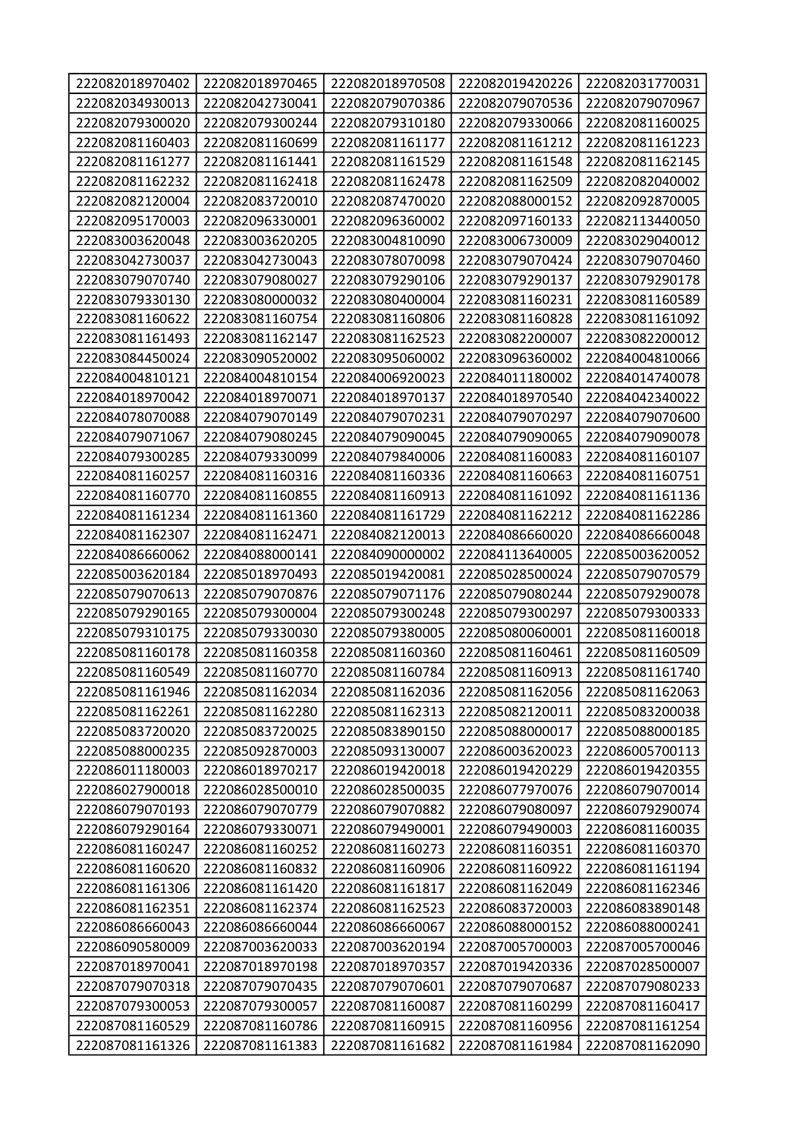| 222082018970402 | 222082018970465 | 222082018970508 | 222082019420226 | 222082031770031 |
|-----------------|-----------------|-----------------|-----------------|-----------------|
| 222082034930013 | 222082042730041 | 222082079070386 | 222082079070536 | 222082079070967 |
| 222082079300020 | 222082079300244 | 222082079310180 | 222082079330066 | 222082081160025 |
| 222082081160403 | 222082081160699 | 222082081161177 | 222082081161212 | 222082081161223 |
| 222082081161277 | 222082081161441 | 222082081161529 | 222082081161548 | 222082081162145 |
| 222082081162232 | 222082081162418 | 222082081162478 | 222082081162509 | 222082082040002 |
| 222082082120004 | 222082083720010 | 222082087470020 | 222082088000152 | 222082092870005 |
| 222082095170003 | 222082096330001 | 222082096360002 | 222082097160133 | 222082113440050 |
| 222083003620048 | 222083003620205 | 222083004810090 | 222083006730009 | 222083029040012 |
| 222083042730037 | 222083042730043 | 222083078070098 | 222083079070424 | 222083079070460 |
| 222083079070740 | 222083079080027 | 222083079290106 | 222083079290137 | 222083079290178 |
| 222083079330130 | 222083080000032 | 222083080400004 | 222083081160231 | 222083081160589 |
| 222083081160622 | 222083081160754 | 222083081160806 | 222083081160828 | 222083081161092 |
| 222083081161493 | 222083081162147 | 222083081162523 | 222083082200007 | 222083082200012 |
| 222083084450024 | 222083090520002 | 222083095060002 | 222083096360002 | 222084004810066 |
| 222084004810121 | 222084004810154 | 222084006920023 | 222084011180002 | 222084014740078 |
| 222084018970042 | 222084018970071 | 222084018970137 | 222084018970540 | 222084042340022 |
| 222084078070088 | 222084079070149 | 222084079070231 | 222084079070297 | 222084079070600 |
| 222084079071067 | 222084079080245 | 222084079090045 | 222084079090065 | 222084079090078 |
| 222084079300285 | 222084079330099 | 222084079840006 | 222084081160083 | 222084081160107 |
| 222084081160257 | 222084081160316 | 222084081160336 | 222084081160663 | 222084081160751 |
| 222084081160770 | 222084081160855 | 222084081160913 | 222084081161092 | 222084081161136 |
| 222084081161234 | 222084081161360 | 222084081161729 | 222084081162212 | 222084081162286 |
| 222084081162307 | 222084081162471 | 222084082120013 | 222084086660020 | 222084086660048 |
| 222084086660062 | 222084088000141 | 222084090000002 | 222084113640005 | 222085003620052 |
| 222085003620184 | 222085018970493 | 222085019420081 | 222085028500024 | 222085079070579 |
| 222085079070613 | 222085079070876 | 222085079071176 | 222085079080244 | 222085079290078 |
| 222085079290165 | 222085079300004 | 222085079300248 | 222085079300297 | 222085079300333 |
| 222085079310175 | 222085079330030 | 222085079380005 | 222085080060001 | 222085081160018 |
| 222085081160178 | 222085081160358 | 222085081160360 | 222085081160461 | 222085081160509 |
| 222085081160549 | 222085081160770 | 222085081160784 | 222085081160913 | 222085081161740 |
| 222085081161946 | 222085081162034 | 222085081162036 | 222085081162056 | 222085081162063 |
| 222085081162261 | 222085081162280 | 222085081162313 | 222085082120011 | 222085083200038 |
| 222085083720020 | 222085083720025 | 222085083890150 | 222085088000017 | 222085088000185 |
| 222085088000235 | 222085092870003 | 222085093130007 | 222086003620023 | 222086005700113 |
| 222086011180003 | 222086018970217 | 222086019420018 | 222086019420229 | 222086019420355 |
| 222086027900018 | 222086028500010 | 222086028500035 | 222086077970076 | 222086079070014 |
| 222086079070193 | 222086079070779 | 222086079070882 | 222086079080097 | 222086079290074 |
| 222086079290164 | 222086079330071 | 222086079490001 | 222086079490003 | 222086081160035 |
| 222086081160247 | 222086081160252 | 222086081160273 | 222086081160351 | 222086081160370 |
| 222086081160620 | 222086081160832 | 222086081160906 | 222086081160922 | 222086081161194 |
| 222086081161306 | 222086081161420 | 222086081161817 | 222086081162049 | 222086081162346 |
| 222086081162351 | 222086081162374 | 222086081162523 | 222086083720003 | 222086083890148 |
| 222086086660043 | 222086086660044 | 222086086660067 | 222086088000152 | 222086088000241 |
| 222086090580009 | 222087003620033 | 222087003620194 | 222087005700003 | 222087005700046 |
| 222087018970041 | 222087018970198 | 222087018970357 | 222087019420336 | 222087028500007 |
| 222087079070318 | 222087079070435 | 222087079070601 | 222087079070687 | 222087079080233 |
| 222087079300053 | 222087079300057 | 222087081160087 | 222087081160299 | 222087081160417 |
| 222087081160529 | 222087081160786 | 222087081160915 | 222087081160956 | 222087081161254 |
| 222087081161326 | 222087081161383 | 222087081161682 | 222087081161984 | 222087081162090 |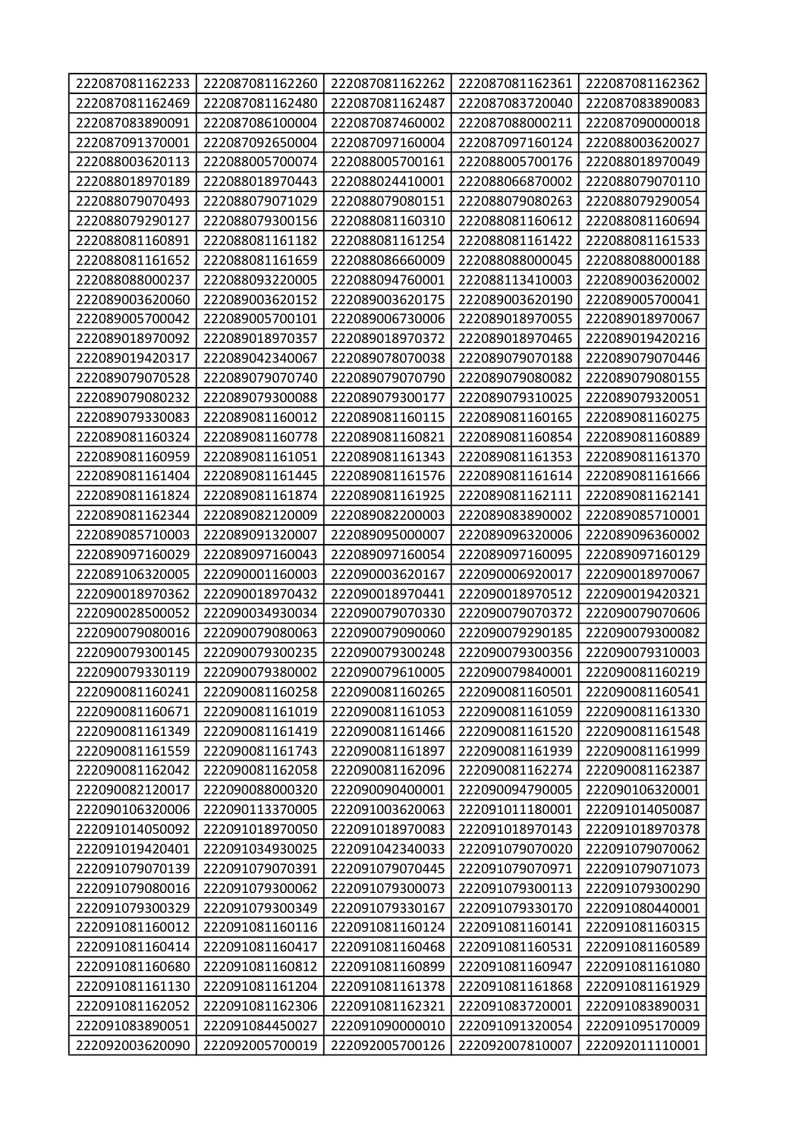| 222087081162233                    | 222087081162260                    | 222087081162262                    | 222087081162361                    | 222087081162362                    |
|------------------------------------|------------------------------------|------------------------------------|------------------------------------|------------------------------------|
| 222087081162469                    | 222087081162480                    | 222087081162487                    | 222087083720040                    | 222087083890083                    |
| 222087083890091                    | 222087086100004                    | 222087087460002                    | 222087088000211                    | 222087090000018                    |
| 222087091370001                    | 222087092650004                    | 222087097160004                    | 222087097160124                    | 222088003620027                    |
| 222088003620113                    | 222088005700074                    | 222088005700161                    | 222088005700176                    | 222088018970049                    |
| 222088018970189                    | 222088018970443                    | 222088024410001                    | 222088066870002                    | 222088079070110                    |
| 222088079070493                    | 222088079071029                    | 222088079080151                    | 222088079080263                    | 222088079290054                    |
| 222088079290127                    | 222088079300156                    | 222088081160310                    | 222088081160612                    | 222088081160694                    |
| 222088081160891                    | 222088081161182                    | 222088081161254                    | 222088081161422                    | 222088081161533                    |
| 222088081161652                    | 222088081161659                    | 222088086660009                    | 222088088000045                    | 222088088000188                    |
| 222088088000237                    | 222088093220005                    | 222088094760001                    | 222088113410003                    | 222089003620002                    |
| 222089003620060                    | 222089003620152                    | 222089003620175                    | 222089003620190                    | 222089005700041                    |
| 222089005700042                    | 222089005700101                    | 222089006730006                    | 222089018970055                    | 222089018970067                    |
| 222089018970092                    | 222089018970357                    | 222089018970372                    | 222089018970465                    | 222089019420216                    |
| 222089019420317                    | 222089042340067                    | 222089078070038                    | 222089079070188                    | 222089079070446                    |
| 222089079070528                    | 222089079070740                    | 222089079070790                    | 222089079080082                    | 222089079080155                    |
| 222089079080232                    | 222089079300088                    | 222089079300177                    | 222089079310025                    | 222089079320051                    |
| 222089079330083                    | 222089081160012                    | 222089081160115                    | 222089081160165                    | 222089081160275                    |
| 222089081160324                    | 222089081160778                    | 222089081160821                    | 222089081160854                    | 222089081160889                    |
| 222089081160959                    | 222089081161051                    | 222089081161343                    | 222089081161353                    | 222089081161370                    |
| 222089081161404                    | 222089081161445                    | 222089081161576                    | 222089081161614                    | 222089081161666                    |
| 222089081161824                    | 222089081161874                    | 222089081161925                    | 222089081162111                    | 222089081162141                    |
| 222089081162344                    | 222089082120009                    | 222089082200003                    | 222089083890002                    | 222089085710001                    |
| 222089085710003                    | 222089091320007                    | 222089095000007                    | 222089096320006                    | 222089096360002                    |
| 222089097160029                    | 222089097160043                    | 222089097160054                    | 222089097160095                    | 222089097160129                    |
|                                    |                                    |                                    |                                    |                                    |
| 222089106320005                    | 222090001160003                    | 222090003620167                    | 222090006920017                    | 222090018970067                    |
| 222090018970362                    | 222090018970432                    | 222090018970441                    | 222090018970512                    | 222090019420321                    |
| 222090028500052                    | 222090034930034                    | 222090079070330                    | 222090079070372                    | 222090079070606                    |
| 222090079080016                    | 222090079080063                    | 222090079090060                    | 222090079290185                    | 222090079300082                    |
| 222090079300145                    | 222090079300235                    | 222090079300248                    | 222090079300356                    | 222090079310003                    |
| 222090079330119                    | 222090079380002                    | 222090079610005                    | 222090079840001                    | 222090081160219                    |
| 222090081160241                    | 222090081160258                    | 222090081160265                    | 222090081160501                    | 222090081160541                    |
| 222090081160671                    | 222090081161019                    | 222090081161053                    | 222090081161059                    | 222090081161330                    |
| 222090081161349                    | 222090081161419                    | 222090081161466                    | 222090081161520                    | 222090081161548                    |
| 222090081161559                    | 222090081161743                    | 222090081161897                    | 222090081161939                    | 222090081161999                    |
| 222090081162042                    | 222090081162058                    | 222090081162096                    | 222090081162274                    | 222090081162387                    |
| 222090082120017                    | 222090088000320                    | 222090090400001                    | 222090094790005                    | 222090106320001                    |
| 222090106320006                    | 222090113370005                    | 222091003620063                    | 222091011180001                    | 222091014050087                    |
| 222091014050092                    | 222091018970050                    | 222091018970083                    | 222091018970143                    | 222091018970378                    |
| 222091019420401                    | 222091034930025                    | 222091042340033                    | 222091079070020                    | 222091079070062                    |
| 222091079070139                    | 222091079070391                    | 222091079070445                    | 222091079070971                    | 222091079071073                    |
| 222091079080016                    | 222091079300062                    | 222091079300073                    | 222091079300113                    | 222091079300290                    |
| 222091079300329                    | 222091079300349                    | 222091079330167                    | 222091079330170                    | 222091080440001                    |
| 222091081160012                    | 222091081160116                    | 222091081160124                    | 222091081160141                    | 222091081160315                    |
| 222091081160414                    | 222091081160417                    | 222091081160468                    | 222091081160531                    | 222091081160589                    |
| 222091081160680                    | 222091081160812                    | 222091081160899                    | 222091081160947                    | 222091081161080                    |
| 222091081161130                    | 222091081161204                    | 222091081161378                    | 222091081161868                    | 222091081161929                    |
| 222091081162052                    | 222091081162306                    | 222091081162321                    | 222091083720001                    | 222091083890031                    |
| 222091083890051<br>222092003620090 | 222091084450027<br>222092005700019 | 222091090000010<br>222092005700126 | 222091091320054<br>222092007810007 | 222091095170009<br>222092011110001 |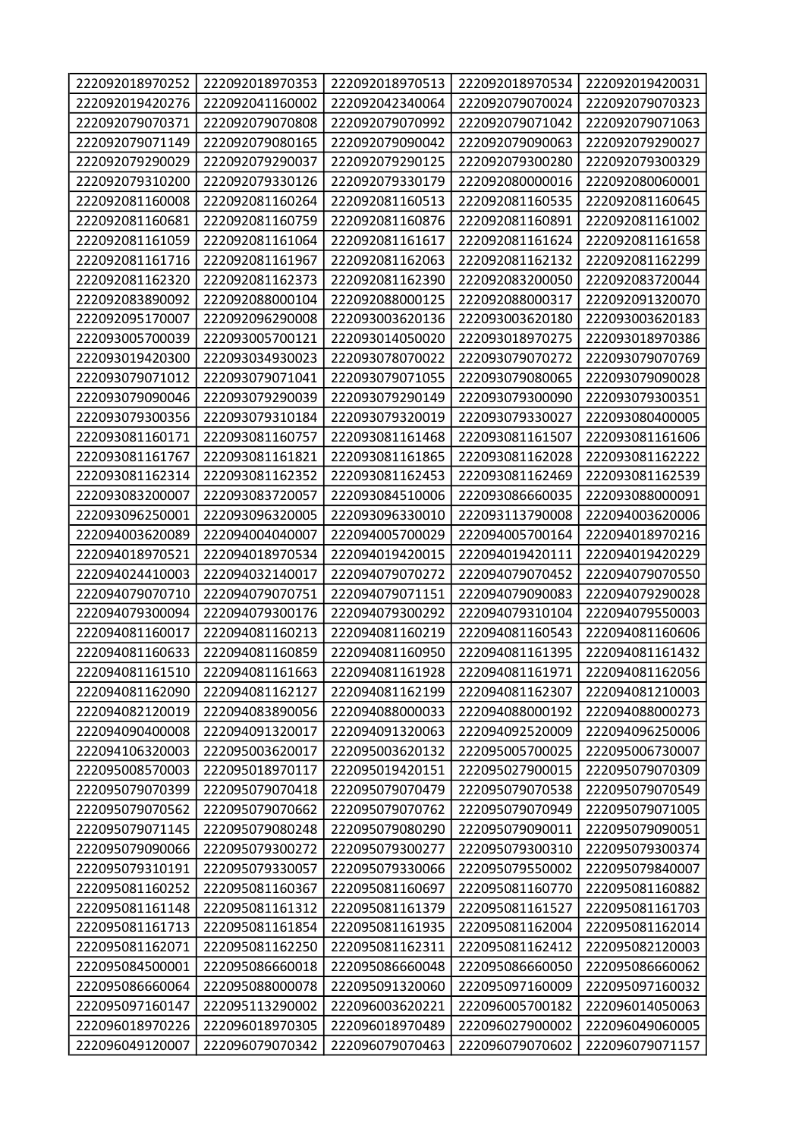| 222092018970252 | 222092018970353 | 222092018970513 | 222092018970534 | 222092019420031 |
|-----------------|-----------------|-----------------|-----------------|-----------------|
| 222092019420276 | 222092041160002 | 222092042340064 | 222092079070024 | 222092079070323 |
| 222092079070371 | 222092079070808 | 222092079070992 | 222092079071042 | 222092079071063 |
| 222092079071149 | 222092079080165 | 222092079090042 | 222092079090063 | 222092079290027 |
| 222092079290029 | 222092079290037 | 222092079290125 | 222092079300280 | 222092079300329 |
| 222092079310200 | 222092079330126 | 222092079330179 | 222092080000016 | 222092080060001 |
| 222092081160008 | 222092081160264 | 222092081160513 | 222092081160535 | 222092081160645 |
| 222092081160681 | 222092081160759 | 222092081160876 | 222092081160891 | 222092081161002 |
| 222092081161059 | 222092081161064 | 222092081161617 | 222092081161624 | 222092081161658 |
| 222092081161716 | 222092081161967 | 222092081162063 | 222092081162132 | 222092081162299 |
| 222092081162320 | 222092081162373 | 222092081162390 | 222092083200050 | 222092083720044 |
| 222092083890092 | 222092088000104 | 222092088000125 | 222092088000317 | 222092091320070 |
| 222092095170007 | 222092096290008 | 222093003620136 | 222093003620180 | 222093003620183 |
| 222093005700039 | 222093005700121 | 222093014050020 | 222093018970275 | 222093018970386 |
| 222093019420300 | 222093034930023 | 222093078070022 | 222093079070272 | 222093079070769 |
| 222093079071012 | 222093079071041 | 222093079071055 | 222093079080065 | 222093079090028 |
| 222093079090046 | 222093079290039 | 222093079290149 | 222093079300090 | 222093079300351 |
| 222093079300356 | 222093079310184 | 222093079320019 | 222093079330027 | 222093080400005 |
| 222093081160171 | 222093081160757 | 222093081161468 | 222093081161507 | 222093081161606 |
| 222093081161767 | 222093081161821 | 222093081161865 | 222093081162028 | 222093081162222 |
| 222093081162314 | 222093081162352 | 222093081162453 | 222093081162469 | 222093081162539 |
| 222093083200007 | 222093083720057 | 222093084510006 | 222093086660035 | 222093088000091 |
| 222093096250001 | 222093096320005 | 222093096330010 | 222093113790008 | 222094003620006 |
| 222094003620089 | 222094004040007 | 222094005700029 | 222094005700164 | 222094018970216 |
| 222094018970521 | 222094018970534 | 222094019420015 | 222094019420111 | 222094019420229 |
| 222094024410003 | 222094032140017 | 222094079070272 | 222094079070452 | 222094079070550 |
| 222094079070710 | 222094079070751 | 222094079071151 | 222094079090083 | 222094079290028 |
| 222094079300094 | 222094079300176 | 222094079300292 | 222094079310104 | 222094079550003 |
| 222094081160017 | 222094081160213 | 222094081160219 | 222094081160543 | 222094081160606 |
| 222094081160633 | 222094081160859 | 222094081160950 | 222094081161395 | 222094081161432 |
| 222094081161510 | 222094081161663 | 222094081161928 | 222094081161971 | 222094081162056 |
| 222094081162090 | 222094081162127 | 222094081162199 | 222094081162307 | 222094081210003 |
| 222094082120019 | 222094083890056 | 222094088000033 | 222094088000192 | 222094088000273 |
| 222094090400008 | 222094091320017 | 222094091320063 | 222094092520009 | 222094096250006 |
| 222094106320003 | 222095003620017 | 222095003620132 | 222095005700025 | 222095006730007 |
| 222095008570003 | 222095018970117 | 222095019420151 | 222095027900015 | 222095079070309 |
| 222095079070399 | 222095079070418 | 222095079070479 | 222095079070538 | 222095079070549 |
| 222095079070562 | 222095079070662 | 222095079070762 | 222095079070949 | 222095079071005 |
| 222095079071145 | 222095079080248 | 222095079080290 | 222095079090011 | 222095079090051 |
| 222095079090066 | 222095079300272 | 222095079300277 | 222095079300310 | 222095079300374 |
| 222095079310191 | 222095079330057 | 222095079330066 | 222095079550002 | 222095079840007 |
| 222095081160252 | 222095081160367 | 222095081160697 | 222095081160770 | 222095081160882 |
| 222095081161148 | 222095081161312 | 222095081161379 | 222095081161527 | 222095081161703 |
| 222095081161713 | 222095081161854 | 222095081161935 | 222095081162004 | 222095081162014 |
| 222095081162071 | 222095081162250 | 222095081162311 | 222095081162412 | 222095082120003 |
| 222095084500001 | 222095086660018 | 222095086660048 | 222095086660050 | 222095086660062 |
| 222095086660064 | 222095088000078 | 222095091320060 | 222095097160009 | 222095097160032 |
| 222095097160147 | 222095113290002 | 222096003620221 | 222096005700182 | 222096014050063 |
| 222096018970226 | 222096018970305 | 222096018970489 | 222096027900002 | 222096049060005 |
| 222096049120007 | 222096079070342 | 222096079070463 | 222096079070602 | 222096079071157 |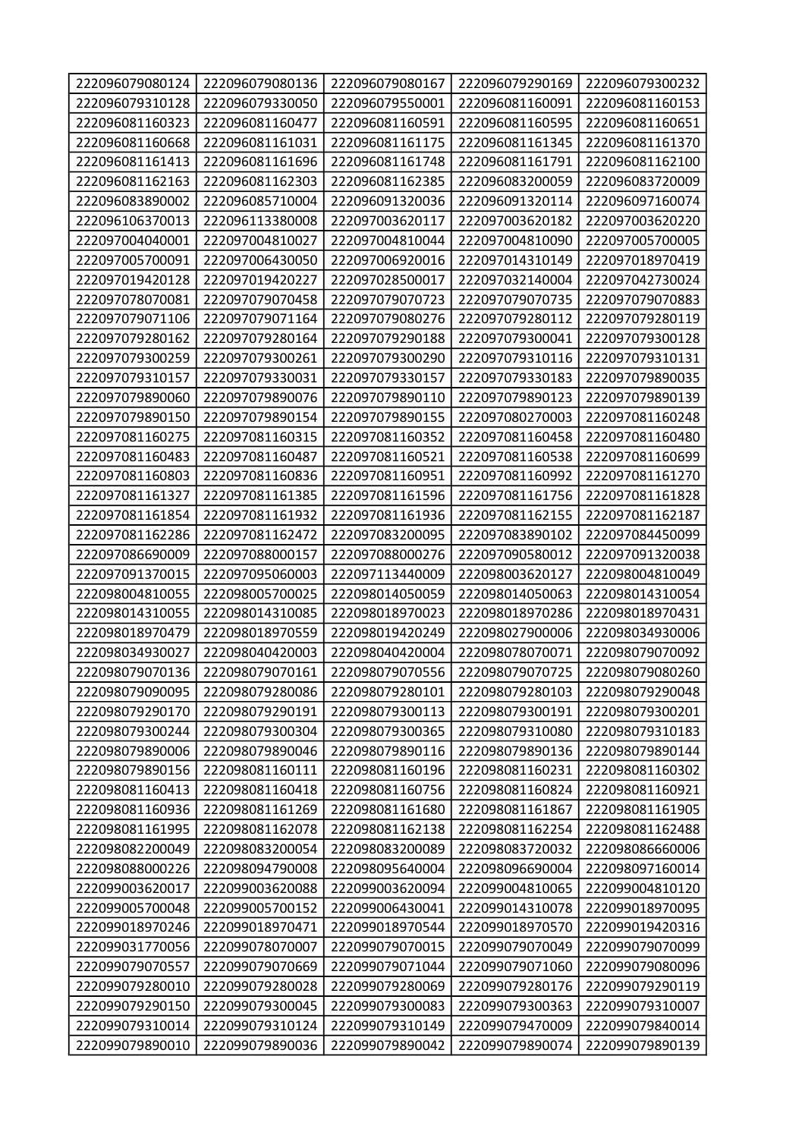| 222096079080124 | 222096079080136 | 222096079080167 | 222096079290169 | 222096079300232 |
|-----------------|-----------------|-----------------|-----------------|-----------------|
| 222096079310128 | 222096079330050 | 222096079550001 | 222096081160091 | 222096081160153 |
| 222096081160323 | 222096081160477 | 222096081160591 | 222096081160595 | 222096081160651 |
| 222096081160668 | 222096081161031 | 222096081161175 | 222096081161345 | 222096081161370 |
| 222096081161413 | 222096081161696 | 222096081161748 | 222096081161791 | 222096081162100 |
| 222096081162163 | 222096081162303 | 222096081162385 | 222096083200059 | 222096083720009 |
| 222096083890002 | 222096085710004 | 222096091320036 | 222096091320114 | 222096097160074 |
| 222096106370013 | 222096113380008 | 222097003620117 | 222097003620182 | 222097003620220 |
| 222097004040001 | 222097004810027 | 222097004810044 | 222097004810090 | 222097005700005 |
| 222097005700091 | 222097006430050 | 222097006920016 | 222097014310149 | 222097018970419 |
| 222097019420128 | 222097019420227 | 222097028500017 | 222097032140004 | 222097042730024 |
| 222097078070081 | 222097079070458 | 222097079070723 | 222097079070735 | 222097079070883 |
| 222097079071106 | 222097079071164 | 222097079080276 | 222097079280112 | 222097079280119 |
| 222097079280162 | 222097079280164 | 222097079290188 | 222097079300041 | 222097079300128 |
| 222097079300259 | 222097079300261 | 222097079300290 | 222097079310116 | 222097079310131 |
| 222097079310157 | 222097079330031 | 222097079330157 | 222097079330183 | 222097079890035 |
| 222097079890060 | 222097079890076 | 222097079890110 | 222097079890123 | 222097079890139 |
| 222097079890150 | 222097079890154 | 222097079890155 | 222097080270003 | 222097081160248 |
| 222097081160275 | 222097081160315 | 222097081160352 | 222097081160458 | 222097081160480 |
| 222097081160483 | 222097081160487 | 222097081160521 | 222097081160538 | 222097081160699 |
| 222097081160803 | 222097081160836 | 222097081160951 | 222097081160992 | 222097081161270 |
| 222097081161327 | 222097081161385 | 222097081161596 | 222097081161756 | 222097081161828 |
| 222097081161854 | 222097081161932 | 222097081161936 | 222097081162155 | 222097081162187 |
| 222097081162286 | 222097081162472 | 222097083200095 | 222097083890102 | 222097084450099 |
| 222097086690009 | 222097088000157 | 222097088000276 | 222097090580012 | 222097091320038 |
| 222097091370015 | 222097095060003 | 222097113440009 | 222098003620127 | 222098004810049 |
| 222098004810055 | 222098005700025 | 222098014050059 | 222098014050063 | 222098014310054 |
| 222098014310055 | 222098014310085 | 222098018970023 | 222098018970286 | 222098018970431 |
| 222098018970479 | 222098018970559 | 222098019420249 | 222098027900006 | 222098034930006 |
| 222098034930027 | 222098040420003 | 222098040420004 | 222098078070071 | 222098079070092 |
| 222098079070136 | 222098079070161 | 222098079070556 | 222098079070725 | 222098079080260 |
| 222098079090095 | 222098079280086 | 222098079280101 | 222098079280103 | 222098079290048 |
| 222098079290170 | 222098079290191 | 222098079300113 | 222098079300191 | 222098079300201 |
| 222098079300244 | 222098079300304 | 222098079300365 | 222098079310080 | 222098079310183 |
| 222098079890006 | 222098079890046 | 222098079890116 | 222098079890136 | 222098079890144 |
| 222098079890156 | 222098081160111 | 222098081160196 | 222098081160231 | 222098081160302 |
| 222098081160413 | 222098081160418 | 222098081160756 | 222098081160824 | 222098081160921 |
| 222098081160936 | 222098081161269 | 222098081161680 | 222098081161867 | 222098081161905 |
| 222098081161995 | 222098081162078 | 222098081162138 | 222098081162254 | 222098081162488 |
| 222098082200049 | 222098083200054 | 222098083200089 | 222098083720032 | 222098086660006 |
| 222098088000226 | 222098094790008 | 222098095640004 | 222098096690004 | 222098097160014 |
| 222099003620017 | 222099003620088 | 222099003620094 | 222099004810065 | 222099004810120 |
| 222099005700048 | 222099005700152 | 222099006430041 | 222099014310078 | 222099018970095 |
| 222099018970246 | 222099018970471 | 222099018970544 | 222099018970570 | 222099019420316 |
| 222099031770056 | 222099078070007 | 222099079070015 | 222099079070049 | 222099079070099 |
| 222099079070557 | 222099079070669 | 222099079071044 | 222099079071060 | 222099079080096 |
| 222099079280010 | 222099079280028 | 222099079280069 | 222099079280176 | 222099079290119 |
| 222099079290150 | 222099079300045 | 222099079300083 | 222099079300363 | 222099079310007 |
| 222099079310014 | 222099079310124 | 222099079310149 | 222099079470009 | 222099079840014 |
| 222099079890010 | 222099079890036 | 222099079890042 | 222099079890074 | 222099079890139 |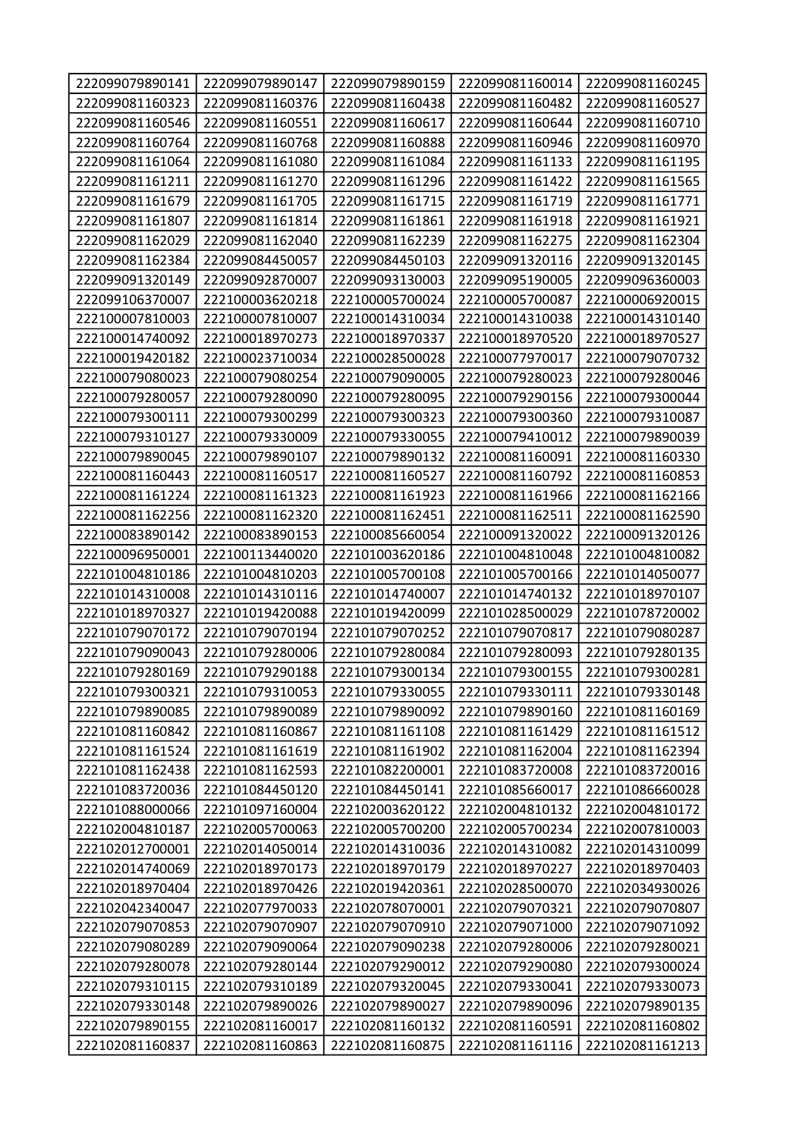| 222099079890141 | 222099079890147 | 222099079890159 | 222099081160014 | 222099081160245 |
|-----------------|-----------------|-----------------|-----------------|-----------------|
| 222099081160323 | 222099081160376 | 222099081160438 | 222099081160482 | 222099081160527 |
| 222099081160546 | 222099081160551 | 222099081160617 | 222099081160644 | 222099081160710 |
| 222099081160764 | 222099081160768 | 222099081160888 | 222099081160946 | 222099081160970 |
| 222099081161064 | 222099081161080 | 222099081161084 | 222099081161133 | 222099081161195 |
| 222099081161211 | 222099081161270 | 222099081161296 | 222099081161422 | 222099081161565 |
| 222099081161679 | 222099081161705 | 222099081161715 | 222099081161719 | 222099081161771 |
| 222099081161807 | 222099081161814 | 222099081161861 | 222099081161918 | 222099081161921 |
| 222099081162029 | 222099081162040 | 222099081162239 | 222099081162275 | 222099081162304 |
| 222099081162384 | 222099084450057 | 222099084450103 | 222099091320116 | 222099091320145 |
| 222099091320149 | 222099092870007 | 222099093130003 | 222099095190005 | 222099096360003 |
| 222099106370007 | 222100003620218 | 222100005700024 | 222100005700087 | 222100006920015 |
| 222100007810003 | 222100007810007 | 222100014310034 | 222100014310038 | 222100014310140 |
| 222100014740092 | 222100018970273 | 222100018970337 | 222100018970520 | 222100018970527 |
| 222100019420182 | 222100023710034 | 222100028500028 | 222100077970017 | 222100079070732 |
| 222100079080023 | 222100079080254 | 222100079090005 | 222100079280023 | 222100079280046 |
| 222100079280057 | 222100079280090 | 222100079280095 | 222100079290156 | 222100079300044 |
| 222100079300111 | 222100079300299 | 222100079300323 | 222100079300360 | 222100079310087 |
| 222100079310127 | 222100079330009 | 222100079330055 | 222100079410012 | 222100079890039 |
| 222100079890045 | 222100079890107 | 222100079890132 | 222100081160091 | 222100081160330 |
| 222100081160443 | 222100081160517 | 222100081160527 | 222100081160792 | 222100081160853 |
| 222100081161224 | 222100081161323 | 222100081161923 | 222100081161966 | 222100081162166 |
| 222100081162256 | 222100081162320 | 222100081162451 | 222100081162511 | 222100081162590 |
| 222100083890142 | 222100083890153 | 222100085660054 | 222100091320022 | 222100091320126 |
| 222100096950001 | 222100113440020 | 222101003620186 | 222101004810048 | 222101004810082 |
| 222101004810186 | 222101004810203 | 222101005700108 | 222101005700166 | 222101014050077 |
| 222101014310008 | 222101014310116 | 222101014740007 | 222101014740132 | 222101018970107 |
| 222101018970327 | 222101019420088 | 222101019420099 | 222101028500029 | 222101078720002 |
| 222101079070172 | 222101079070194 | 222101079070252 | 222101079070817 | 222101079080287 |
| 222101079090043 | 222101079280006 | 222101079280084 | 222101079280093 | 222101079280135 |
| 222101079280169 | 222101079290188 | 222101079300134 | 222101079300155 | 222101079300281 |
| 222101079300321 | 222101079310053 | 222101079330055 | 222101079330111 | 222101079330148 |
| 222101079890085 | 222101079890089 | 222101079890092 | 222101079890160 | 222101081160169 |
| 222101081160842 | 222101081160867 | 222101081161108 | 222101081161429 | 222101081161512 |
| 222101081161524 | 222101081161619 | 222101081161902 | 222101081162004 | 222101081162394 |
| 222101081162438 | 222101081162593 | 222101082200001 | 222101083720008 | 222101083720016 |
| 222101083720036 | 222101084450120 | 222101084450141 | 222101085660017 | 222101086660028 |
| 222101088000066 | 222101097160004 | 222102003620122 | 222102004810132 | 222102004810172 |
| 222102004810187 | 222102005700063 | 222102005700200 | 222102005700234 | 222102007810003 |
| 222102012700001 | 222102014050014 | 222102014310036 | 222102014310082 | 222102014310099 |
| 222102014740069 | 222102018970173 | 222102018970179 | 222102018970227 | 222102018970403 |
| 222102018970404 | 222102018970426 | 222102019420361 | 222102028500070 | 222102034930026 |
| 222102042340047 | 222102077970033 | 222102078070001 | 222102079070321 | 222102079070807 |
| 222102079070853 | 222102079070907 | 222102079070910 | 222102079071000 | 222102079071092 |
| 222102079080289 | 222102079090064 | 222102079090238 | 222102079280006 | 222102079280021 |
| 222102079280078 | 222102079280144 | 222102079290012 | 222102079290080 | 222102079300024 |
| 222102079310115 | 222102079310189 | 222102079320045 | 222102079330041 | 222102079330073 |
| 222102079330148 | 222102079890026 | 222102079890027 | 222102079890096 | 222102079890135 |
| 222102079890155 | 222102081160017 | 222102081160132 | 222102081160591 | 222102081160802 |
| 222102081160837 | 222102081160863 | 222102081160875 | 222102081161116 | 222102081161213 |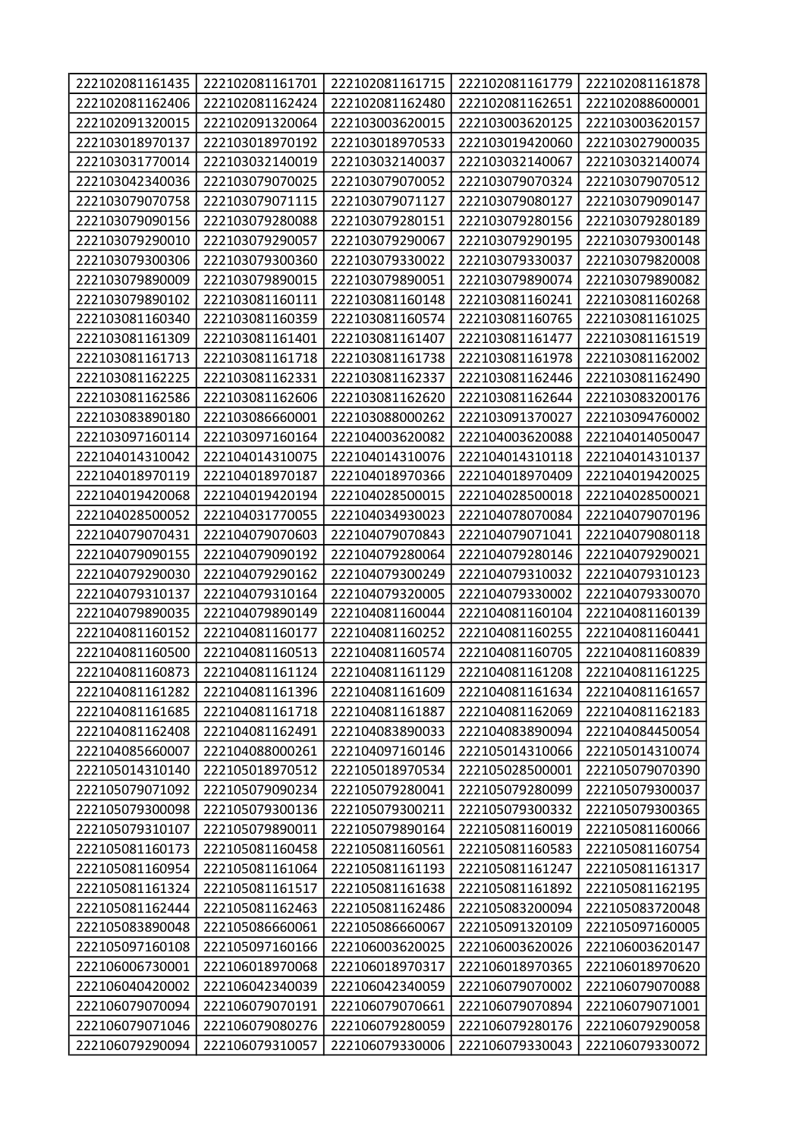| 222102081161435 | 222102081161701 | 222102081161715 | 222102081161779 | 222102081161878 |
|-----------------|-----------------|-----------------|-----------------|-----------------|
| 222102081162406 | 222102081162424 | 222102081162480 | 222102081162651 | 222102088600001 |
| 222102091320015 | 222102091320064 | 222103003620015 | 222103003620125 | 222103003620157 |
| 222103018970137 | 222103018970192 | 222103018970533 | 222103019420060 | 222103027900035 |
| 222103031770014 | 222103032140019 | 222103032140037 | 222103032140067 | 222103032140074 |
| 222103042340036 | 222103079070025 | 222103079070052 | 222103079070324 | 222103079070512 |
| 222103079070758 | 222103079071115 | 222103079071127 | 222103079080127 | 222103079090147 |
| 222103079090156 | 222103079280088 | 222103079280151 | 222103079280156 | 222103079280189 |
| 222103079290010 | 222103079290057 | 222103079290067 | 222103079290195 | 222103079300148 |
| 222103079300306 | 222103079300360 | 222103079330022 | 222103079330037 | 222103079820008 |
| 222103079890009 | 222103079890015 | 222103079890051 | 222103079890074 | 222103079890082 |
| 222103079890102 | 222103081160111 | 222103081160148 | 222103081160241 | 222103081160268 |
| 222103081160340 | 222103081160359 | 222103081160574 | 222103081160765 | 222103081161025 |
| 222103081161309 | 222103081161401 | 222103081161407 | 222103081161477 | 222103081161519 |
| 222103081161713 | 222103081161718 | 222103081161738 | 222103081161978 | 222103081162002 |
| 222103081162225 | 222103081162331 | 222103081162337 | 222103081162446 | 222103081162490 |
| 222103081162586 | 222103081162606 | 222103081162620 | 222103081162644 | 222103083200176 |
| 222103083890180 | 222103086660001 | 222103088000262 | 222103091370027 | 222103094760002 |
| 222103097160114 | 222103097160164 | 222104003620082 | 222104003620088 | 222104014050047 |
| 222104014310042 | 222104014310075 | 222104014310076 | 222104014310118 | 222104014310137 |
| 222104018970119 | 222104018970187 | 222104018970366 | 222104018970409 | 222104019420025 |
| 222104019420068 | 222104019420194 | 222104028500015 | 222104028500018 | 222104028500021 |
| 222104028500052 | 222104031770055 | 222104034930023 | 222104078070084 | 222104079070196 |
| 222104079070431 | 222104079070603 | 222104079070843 | 222104079071041 | 222104079080118 |
| 222104079090155 | 222104079090192 | 222104079280064 | 222104079280146 | 222104079290021 |
| 222104079290030 | 222104079290162 | 222104079300249 | 222104079310032 | 222104079310123 |
| 222104079310137 | 222104079310164 | 222104079320005 | 222104079330002 | 222104079330070 |
| 222104079890035 | 222104079890149 | 222104081160044 | 222104081160104 | 222104081160139 |
| 222104081160152 | 222104081160177 | 222104081160252 | 222104081160255 | 222104081160441 |
| 222104081160500 | 222104081160513 | 222104081160574 | 222104081160705 | 222104081160839 |
| 222104081160873 | 222104081161124 | 222104081161129 | 222104081161208 | 222104081161225 |
| 222104081161282 | 222104081161396 | 222104081161609 | 222104081161634 | 222104081161657 |
| 222104081161685 | 222104081161718 | 222104081161887 | 222104081162069 | 222104081162183 |
| 222104081162408 | 222104081162491 | 222104083890033 | 222104083890094 | 222104084450054 |
| 222104085660007 | 222104088000261 | 222104097160146 | 222105014310066 | 222105014310074 |
| 222105014310140 | 222105018970512 | 222105018970534 | 222105028500001 | 222105079070390 |
| 222105079071092 | 222105079090234 | 222105079280041 | 222105079280099 | 222105079300037 |
| 222105079300098 | 222105079300136 | 222105079300211 | 222105079300332 | 222105079300365 |
| 222105079310107 | 222105079890011 | 222105079890164 | 222105081160019 | 222105081160066 |
| 222105081160173 | 222105081160458 | 222105081160561 | 222105081160583 | 222105081160754 |
| 222105081160954 | 222105081161064 | 222105081161193 | 222105081161247 | 222105081161317 |
| 222105081161324 | 222105081161517 | 222105081161638 | 222105081161892 | 222105081162195 |
| 222105081162444 | 222105081162463 | 222105081162486 | 222105083200094 | 222105083720048 |
| 222105083890048 | 222105086660061 | 222105086660067 | 222105091320109 | 222105097160005 |
| 222105097160108 | 222105097160166 | 222106003620025 | 222106003620026 | 222106003620147 |
| 222106006730001 | 222106018970068 | 222106018970317 | 222106018970365 | 222106018970620 |
| 222106040420002 | 222106042340039 | 222106042340059 | 222106079070002 | 222106079070088 |
| 222106079070094 | 222106079070191 | 222106079070661 | 222106079070894 | 222106079071001 |
| 222106079071046 | 222106079080276 | 222106079280059 | 222106079280176 | 222106079290058 |
| 222106079290094 | 222106079310057 | 222106079330006 | 222106079330043 | 222106079330072 |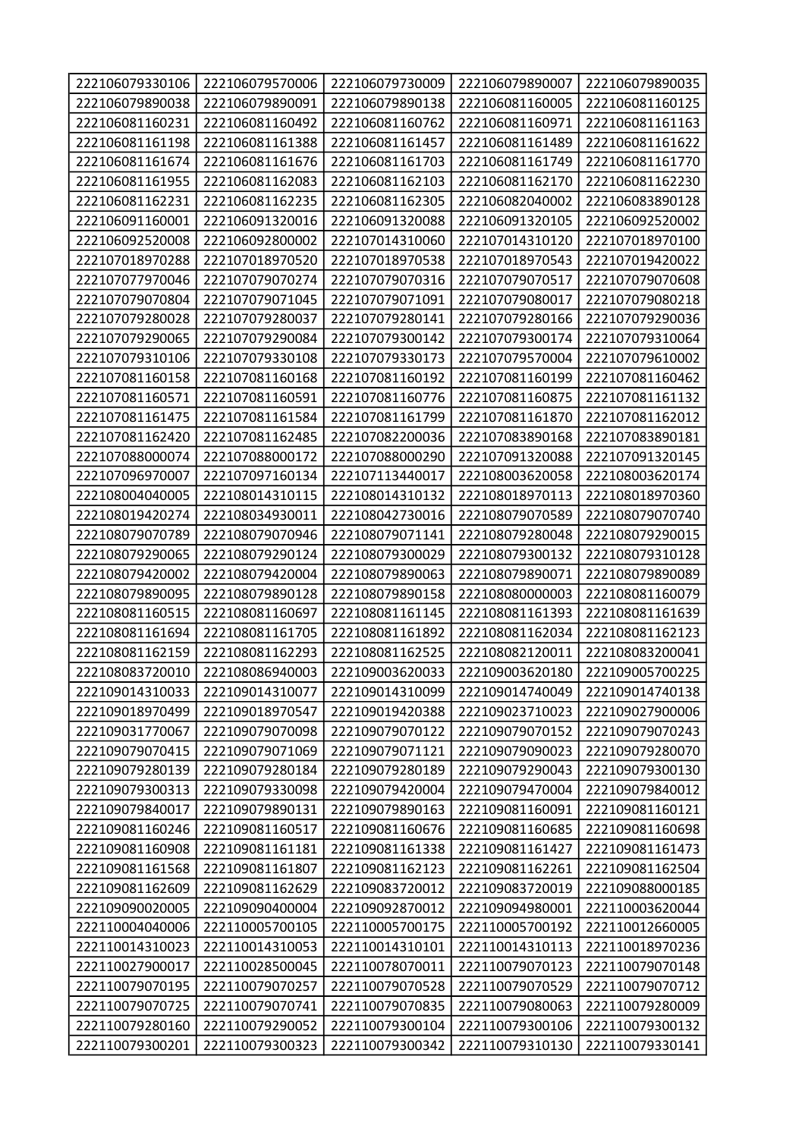| 222106079330106 | 222106079570006 | 222106079730009 | 222106079890007 | 222106079890035 |
|-----------------|-----------------|-----------------|-----------------|-----------------|
| 222106079890038 | 222106079890091 | 222106079890138 | 222106081160005 | 222106081160125 |
| 222106081160231 | 222106081160492 | 222106081160762 | 222106081160971 | 222106081161163 |
| 222106081161198 | 222106081161388 | 222106081161457 | 222106081161489 | 222106081161622 |
| 222106081161674 | 222106081161676 | 222106081161703 | 222106081161749 | 222106081161770 |
| 222106081161955 | 222106081162083 | 222106081162103 | 222106081162170 | 222106081162230 |
| 222106081162231 | 222106081162235 | 222106081162305 | 222106082040002 | 222106083890128 |
| 222106091160001 | 222106091320016 | 222106091320088 | 222106091320105 | 222106092520002 |
| 222106092520008 | 222106092800002 | 222107014310060 | 222107014310120 | 222107018970100 |
| 222107018970288 | 222107018970520 | 222107018970538 | 222107018970543 | 222107019420022 |
| 222107077970046 | 222107079070274 | 222107079070316 | 222107079070517 | 222107079070608 |
| 222107079070804 | 222107079071045 | 222107079071091 | 222107079080017 | 222107079080218 |
| 222107079280028 | 222107079280037 | 222107079280141 | 222107079280166 | 222107079290036 |
| 222107079290065 | 222107079290084 | 222107079300142 | 222107079300174 | 222107079310064 |
| 222107079310106 | 222107079330108 | 222107079330173 | 222107079570004 | 222107079610002 |
| 222107081160158 | 222107081160168 | 222107081160192 | 222107081160199 | 222107081160462 |
| 222107081160571 | 222107081160591 | 222107081160776 | 222107081160875 | 222107081161132 |
| 222107081161475 | 222107081161584 | 222107081161799 | 222107081161870 | 222107081162012 |
| 222107081162420 | 222107081162485 | 222107082200036 | 222107083890168 | 222107083890181 |
| 222107088000074 | 222107088000172 | 222107088000290 | 222107091320088 | 222107091320145 |
| 222107096970007 | 222107097160134 | 222107113440017 | 222108003620058 | 222108003620174 |
| 222108004040005 | 222108014310115 | 222108014310132 | 222108018970113 | 222108018970360 |
| 222108019420274 | 222108034930011 | 222108042730016 | 222108079070589 | 222108079070740 |
| 222108079070789 | 222108079070946 | 222108079071141 | 222108079280048 | 222108079290015 |
| 222108079290065 | 222108079290124 | 222108079300029 | 222108079300132 | 222108079310128 |
| 222108079420002 | 222108079420004 | 222108079890063 | 222108079890071 | 222108079890089 |
| 222108079890095 | 222108079890128 | 222108079890158 | 222108080000003 | 222108081160079 |
| 222108081160515 | 222108081160697 | 222108081161145 | 222108081161393 | 222108081161639 |
| 222108081161694 | 222108081161705 | 222108081161892 | 222108081162034 | 222108081162123 |
| 222108081162159 | 222108081162293 | 222108081162525 | 222108082120011 | 222108083200041 |
| 222108083720010 | 222108086940003 | 222109003620033 | 222109003620180 | 222109005700225 |
| 222109014310033 | 222109014310077 | 222109014310099 | 222109014740049 | 222109014740138 |
| 222109018970499 | 222109018970547 | 222109019420388 | 222109023710023 | 222109027900006 |
| 222109031770067 | 222109079070098 | 222109079070122 | 222109079070152 | 222109079070243 |
| 222109079070415 | 222109079071069 | 222109079071121 | 222109079090023 | 222109079280070 |
| 222109079280139 | 222109079280184 | 222109079280189 | 222109079290043 | 222109079300130 |
| 222109079300313 | 222109079330098 | 222109079420004 | 222109079470004 | 222109079840012 |
| 222109079840017 | 222109079890131 | 222109079890163 | 222109081160091 | 222109081160121 |
| 222109081160246 | 222109081160517 | 222109081160676 | 222109081160685 | 222109081160698 |
| 222109081160908 | 222109081161181 | 222109081161338 | 222109081161427 | 222109081161473 |
| 222109081161568 | 222109081161807 | 222109081162123 | 222109081162261 | 222109081162504 |
| 222109081162609 | 222109081162629 | 222109083720012 | 222109083720019 | 222109088000185 |
| 222109090020005 | 222109090400004 | 222109092870012 | 222109094980001 | 222110003620044 |
| 222110004040006 | 222110005700105 | 222110005700175 | 222110005700192 | 222110012660005 |
| 222110014310023 | 222110014310053 | 222110014310101 | 222110014310113 | 222110018970236 |
| 222110027900017 | 222110028500045 | 222110078070011 | 222110079070123 | 222110079070148 |
| 222110079070195 | 222110079070257 | 222110079070528 | 222110079070529 | 222110079070712 |
| 222110079070725 | 222110079070741 | 222110079070835 | 222110079080063 | 222110079280009 |
| 222110079280160 | 222110079290052 | 222110079300104 | 222110079300106 | 222110079300132 |
| 222110079300201 | 222110079300323 | 222110079300342 | 222110079310130 | 222110079330141 |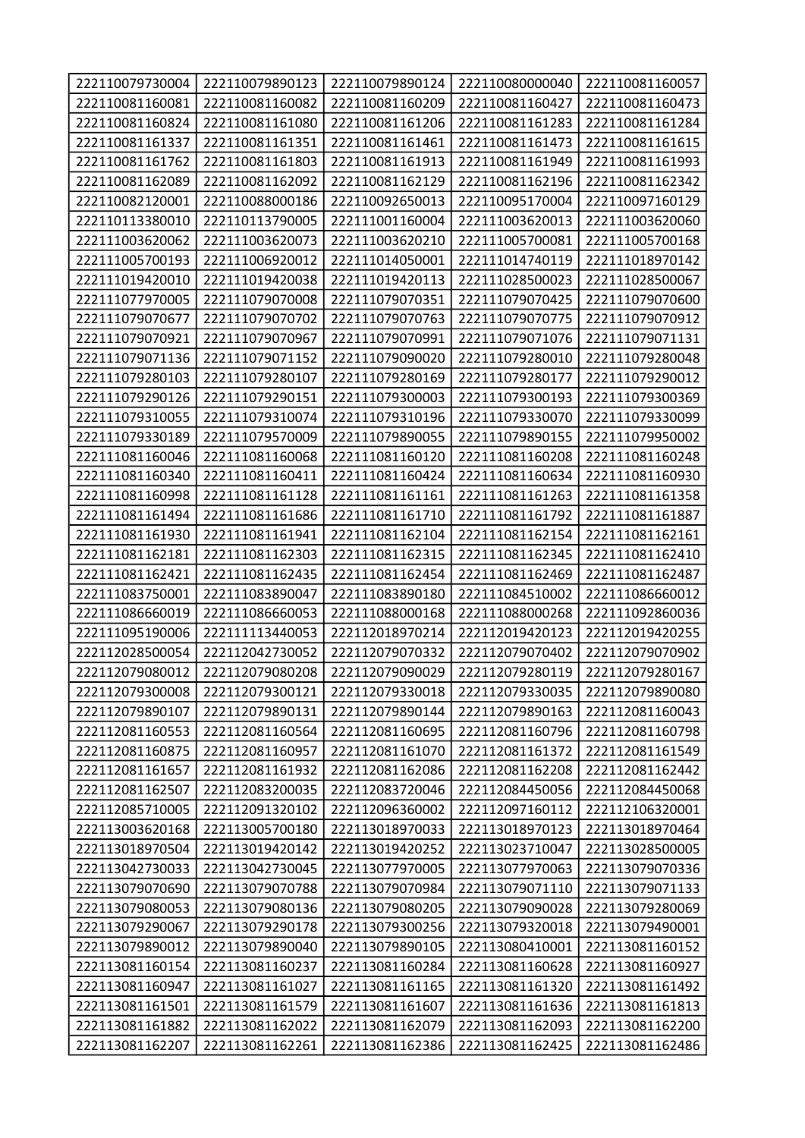| 222110079730004 | 222110079890123 | 222110079890124 | 222110080000040 | 222110081160057 |
|-----------------|-----------------|-----------------|-----------------|-----------------|
| 222110081160081 | 222110081160082 | 222110081160209 | 222110081160427 | 222110081160473 |
| 222110081160824 | 222110081161080 | 222110081161206 | 222110081161283 | 222110081161284 |
| 222110081161337 | 222110081161351 | 222110081161461 | 222110081161473 | 222110081161615 |
| 222110081161762 | 222110081161803 | 222110081161913 | 222110081161949 | 222110081161993 |
| 222110081162089 | 222110081162092 | 222110081162129 | 222110081162196 | 222110081162342 |
| 222110082120001 | 222110088000186 | 222110092650013 | 222110095170004 | 222110097160129 |
| 222110113380010 | 222110113790005 | 222111001160004 | 222111003620013 | 222111003620060 |
| 222111003620062 | 222111003620073 | 222111003620210 | 222111005700081 | 222111005700168 |
| 222111005700193 | 222111006920012 | 222111014050001 | 222111014740119 | 222111018970142 |
| 222111019420010 | 222111019420038 | 222111019420113 | 222111028500023 | 222111028500067 |
| 222111077970005 | 222111079070008 | 222111079070351 | 222111079070425 | 222111079070600 |
| 222111079070677 | 222111079070702 | 222111079070763 | 222111079070775 | 222111079070912 |
| 222111079070921 | 222111079070967 | 222111079070991 | 222111079071076 | 222111079071131 |
| 222111079071136 | 222111079071152 | 222111079090020 | 222111079280010 | 222111079280048 |
| 222111079280103 | 222111079280107 | 222111079280169 | 222111079280177 | 222111079290012 |
| 222111079290126 | 222111079290151 | 222111079300003 | 222111079300193 | 222111079300369 |
| 222111079310055 | 222111079310074 | 222111079310196 | 222111079330070 | 222111079330099 |
| 222111079330189 | 222111079570009 | 222111079890055 | 222111079890155 | 222111079950002 |
| 222111081160046 | 222111081160068 | 222111081160120 | 222111081160208 | 222111081160248 |
| 222111081160340 | 222111081160411 | 222111081160424 | 222111081160634 | 222111081160930 |
| 222111081160998 | 222111081161128 | 222111081161161 | 222111081161263 | 222111081161358 |
| 222111081161494 | 222111081161686 | 222111081161710 | 222111081161792 | 222111081161887 |
| 222111081161930 | 222111081161941 | 222111081162104 | 222111081162154 | 222111081162161 |
| 222111081162181 | 222111081162303 | 222111081162315 | 222111081162345 | 222111081162410 |
| 222111081162421 | 222111081162435 | 222111081162454 | 222111081162469 | 222111081162487 |
| 222111083750001 | 222111083890047 | 222111083890180 | 222111084510002 | 222111086660012 |
| 222111086660019 | 222111086660053 | 222111088000168 | 222111088000268 | 222111092860036 |
| 222111095190006 | 222111113440053 | 222112018970214 | 222112019420123 | 222112019420255 |
| 222112028500054 | 222112042730052 | 222112079070332 | 222112079070402 | 222112079070902 |
| 222112079080012 | 222112079080208 | 222112079090029 | 222112079280119 | 222112079280167 |
| 222112079300008 | 222112079300121 | 222112079330018 | 222112079330035 | 222112079890080 |
| 222112079890107 | 222112079890131 | 222112079890144 | 222112079890163 | 222112081160043 |
| 222112081160553 | 222112081160564 | 222112081160695 | 222112081160796 | 222112081160798 |
| 222112081160875 | 222112081160957 | 222112081161070 | 222112081161372 | 222112081161549 |
| 222112081161657 | 222112081161932 | 222112081162086 | 222112081162208 | 222112081162442 |
| 222112081162507 | 222112083200035 | 222112083720046 | 222112084450056 | 222112084450068 |
| 222112085710005 | 222112091320102 | 222112096360002 | 222112097160112 | 222112106320001 |
| 222113003620168 | 222113005700180 | 222113018970033 | 222113018970123 | 222113018970464 |
| 222113018970504 | 222113019420142 | 222113019420252 | 222113023710047 | 222113028500005 |
| 222113042730033 | 222113042730045 | 222113077970005 | 222113077970063 | 222113079070336 |
| 222113079070690 | 222113079070788 | 222113079070984 | 222113079071110 | 222113079071133 |
| 222113079080053 | 222113079080136 | 222113079080205 | 222113079090028 | 222113079280069 |
| 222113079290067 | 222113079290178 | 222113079300256 | 222113079320018 | 222113079490001 |
| 222113079890012 | 222113079890040 | 222113079890105 | 222113080410001 | 222113081160152 |
| 222113081160154 | 222113081160237 | 222113081160284 | 222113081160628 | 222113081160927 |
| 222113081160947 | 222113081161027 | 222113081161165 | 222113081161320 | 222113081161492 |
| 222113081161501 | 222113081161579 | 222113081161607 | 222113081161636 | 222113081161813 |
| 222113081161882 | 222113081162022 | 222113081162079 | 222113081162093 | 222113081162200 |
| 222113081162207 | 222113081162261 | 222113081162386 | 222113081162425 | 222113081162486 |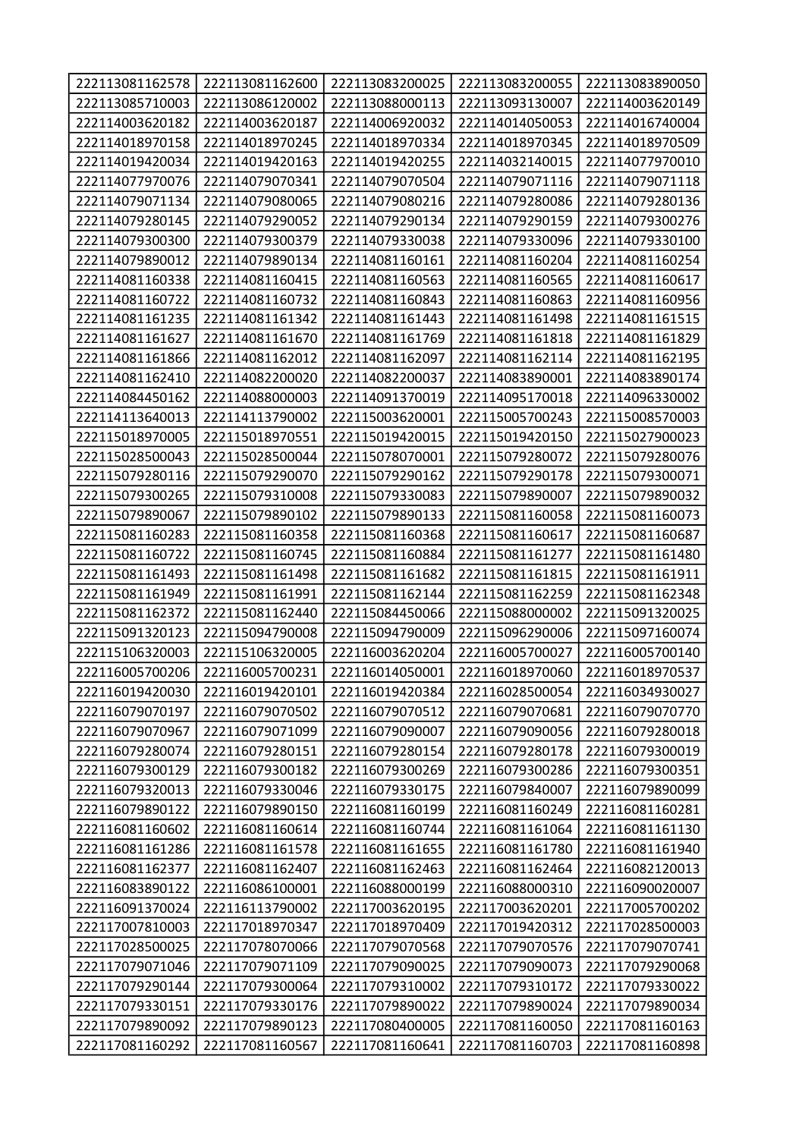| 222113081162578 | 222113081162600 | 222113083200025 | 222113083200055 | 222113083890050 |
|-----------------|-----------------|-----------------|-----------------|-----------------|
| 222113085710003 | 222113086120002 | 222113088000113 | 222113093130007 | 222114003620149 |
| 222114003620182 | 222114003620187 | 222114006920032 | 222114014050053 | 222114016740004 |
| 222114018970158 | 222114018970245 | 222114018970334 | 222114018970345 | 222114018970509 |
| 222114019420034 | 222114019420163 | 222114019420255 | 222114032140015 | 222114077970010 |
| 222114077970076 | 222114079070341 | 222114079070504 | 222114079071116 | 222114079071118 |
| 222114079071134 | 222114079080065 | 222114079080216 | 222114079280086 | 222114079280136 |
| 222114079280145 | 222114079290052 | 222114079290134 | 222114079290159 | 222114079300276 |
| 222114079300300 | 222114079300379 | 222114079330038 | 222114079330096 | 222114079330100 |
| 222114079890012 | 222114079890134 | 222114081160161 | 222114081160204 | 222114081160254 |
| 222114081160338 | 222114081160415 | 222114081160563 | 222114081160565 | 222114081160617 |
| 222114081160722 | 222114081160732 | 222114081160843 | 222114081160863 | 222114081160956 |
| 222114081161235 | 222114081161342 | 222114081161443 | 222114081161498 | 222114081161515 |
| 222114081161627 | 222114081161670 | 222114081161769 | 222114081161818 | 222114081161829 |
| 222114081161866 | 222114081162012 | 222114081162097 | 222114081162114 | 222114081162195 |
| 222114081162410 | 222114082200020 | 222114082200037 | 222114083890001 | 222114083890174 |
| 222114084450162 | 222114088000003 | 222114091370019 | 222114095170018 | 222114096330002 |
| 222114113640013 | 222114113790002 | 222115003620001 | 222115005700243 | 222115008570003 |
| 222115018970005 | 222115018970551 | 222115019420015 | 222115019420150 | 222115027900023 |
| 222115028500043 | 222115028500044 | 222115078070001 | 222115079280072 | 222115079280076 |
| 222115079280116 | 222115079290070 | 222115079290162 | 222115079290178 | 222115079300071 |
| 222115079300265 | 222115079310008 | 222115079330083 | 222115079890007 | 222115079890032 |
| 222115079890067 | 222115079890102 | 222115079890133 | 222115081160058 | 222115081160073 |
| 222115081160283 | 222115081160358 | 222115081160368 | 222115081160617 | 222115081160687 |
| 222115081160722 | 222115081160745 | 222115081160884 | 222115081161277 | 222115081161480 |
| 222115081161493 | 222115081161498 | 222115081161682 | 222115081161815 | 222115081161911 |
| 222115081161949 | 222115081161991 | 222115081162144 | 222115081162259 | 222115081162348 |
| 222115081162372 | 222115081162440 | 222115084450066 | 222115088000002 | 222115091320025 |
| 222115091320123 | 222115094790008 | 222115094790009 | 222115096290006 | 222115097160074 |
| 222115106320003 | 222115106320005 | 222116003620204 | 222116005700027 | 222116005700140 |
| 222116005700206 | 222116005700231 | 222116014050001 | 222116018970060 | 222116018970537 |
| 222116019420030 | 222116019420101 | 222116019420384 | 222116028500054 | 222116034930027 |
| 222116079070197 | 222116079070502 | 222116079070512 | 222116079070681 | 222116079070770 |
| 222116079070967 | 222116079071099 | 222116079090007 | 222116079090056 | 222116079280018 |
| 222116079280074 | 222116079280151 | 222116079280154 | 222116079280178 | 222116079300019 |
| 222116079300129 | 222116079300182 | 222116079300269 | 222116079300286 | 222116079300351 |
| 222116079320013 | 222116079330046 | 222116079330175 | 222116079840007 | 222116079890099 |
| 222116079890122 | 222116079890150 | 222116081160199 | 222116081160249 | 222116081160281 |
| 222116081160602 | 222116081160614 | 222116081160744 | 222116081161064 | 222116081161130 |
| 222116081161286 | 222116081161578 | 222116081161655 | 222116081161780 | 222116081161940 |
| 222116081162377 | 222116081162407 | 222116081162463 | 222116081162464 | 222116082120013 |
| 222116083890122 | 222116086100001 | 222116088000199 | 222116088000310 | 222116090020007 |
| 222116091370024 | 222116113790002 | 222117003620195 | 222117003620201 | 222117005700202 |
| 222117007810003 | 222117018970347 | 222117018970409 | 222117019420312 | 222117028500003 |
| 222117028500025 | 222117078070066 | 222117079070568 | 222117079070576 | 222117079070741 |
| 222117079071046 | 222117079071109 | 222117079090025 | 222117079090073 | 222117079290068 |
| 222117079290144 | 222117079300064 | 222117079310002 | 222117079310172 | 222117079330022 |
| 222117079330151 | 222117079330176 | 222117079890022 | 222117079890024 | 222117079890034 |
| 222117079890092 | 222117079890123 | 222117080400005 | 222117081160050 | 222117081160163 |
| 222117081160292 | 222117081160567 | 222117081160641 | 222117081160703 | 222117081160898 |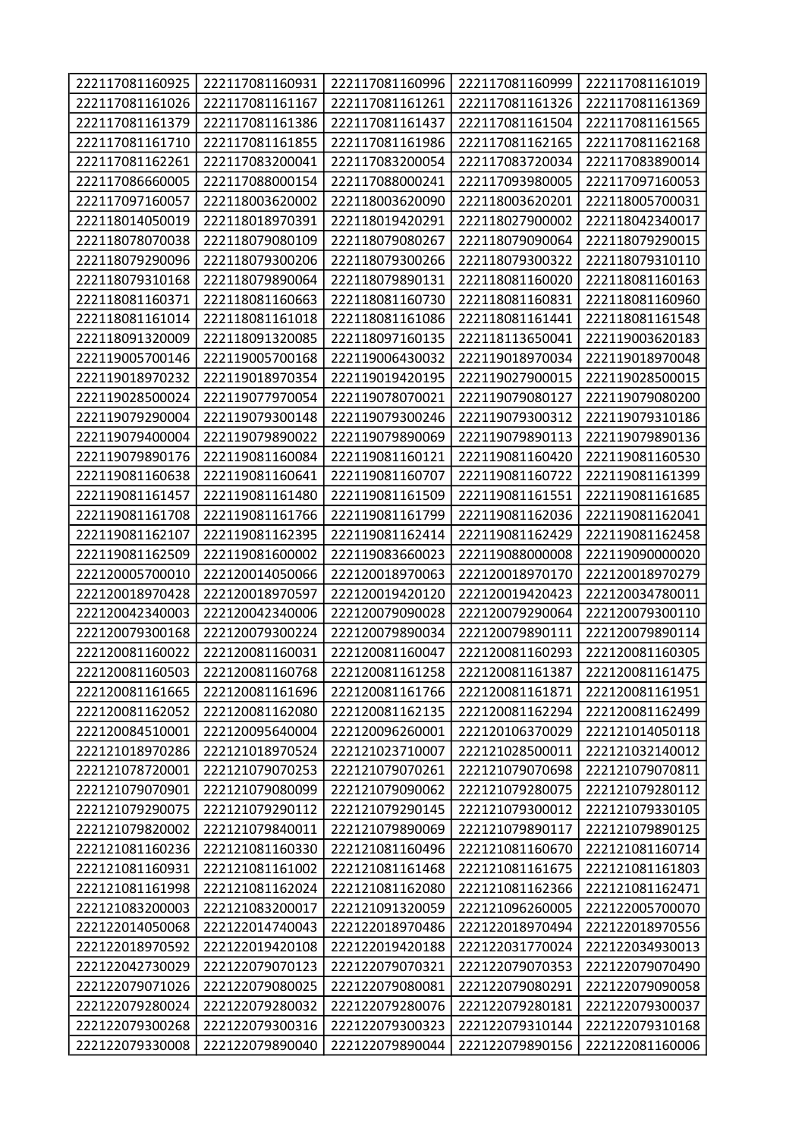| 222117081160925 | 222117081160931 | 222117081160996 | 222117081160999 | 222117081161019 |
|-----------------|-----------------|-----------------|-----------------|-----------------|
| 222117081161026 | 222117081161167 | 222117081161261 | 222117081161326 | 222117081161369 |
| 222117081161379 | 222117081161386 | 222117081161437 | 222117081161504 | 222117081161565 |
| 222117081161710 | 222117081161855 | 222117081161986 | 222117081162165 | 222117081162168 |
| 222117081162261 | 222117083200041 | 222117083200054 | 222117083720034 | 222117083890014 |
| 222117086660005 | 222117088000154 | 222117088000241 | 222117093980005 | 222117097160053 |
| 222117097160057 | 222118003620002 | 222118003620090 | 222118003620201 | 222118005700031 |
| 222118014050019 | 222118018970391 | 222118019420291 | 222118027900002 | 222118042340017 |
| 222118078070038 | 222118079080109 | 222118079080267 | 222118079090064 | 222118079290015 |
| 222118079290096 | 222118079300206 | 222118079300266 | 222118079300322 | 222118079310110 |
| 222118079310168 | 222118079890064 | 222118079890131 | 222118081160020 | 222118081160163 |
| 222118081160371 | 222118081160663 | 222118081160730 | 222118081160831 | 222118081160960 |
| 222118081161014 | 222118081161018 | 222118081161086 | 222118081161441 | 222118081161548 |
| 222118091320009 | 222118091320085 | 222118097160135 | 222118113650041 | 222119003620183 |
| 222119005700146 | 222119005700168 | 222119006430032 | 222119018970034 | 222119018970048 |
| 222119018970232 | 222119018970354 | 222119019420195 | 222119027900015 | 222119028500015 |
| 222119028500024 | 222119077970054 | 222119078070021 | 222119079080127 | 222119079080200 |
| 222119079290004 | 222119079300148 | 222119079300246 | 222119079300312 | 222119079310186 |
| 222119079400004 | 222119079890022 | 222119079890069 | 222119079890113 | 222119079890136 |
| 222119079890176 | 222119081160084 | 222119081160121 | 222119081160420 | 222119081160530 |
| 222119081160638 | 222119081160641 | 222119081160707 | 222119081160722 | 222119081161399 |
| 222119081161457 | 222119081161480 | 222119081161509 | 222119081161551 | 222119081161685 |
| 222119081161708 | 222119081161766 | 222119081161799 | 222119081162036 | 222119081162041 |
| 222119081162107 | 222119081162395 | 222119081162414 | 222119081162429 | 222119081162458 |
| 222119081162509 | 222119081600002 | 222119083660023 | 222119088000008 | 222119090000020 |
| 222120005700010 | 222120014050066 | 222120018970063 | 222120018970170 | 222120018970279 |
| 222120018970428 | 222120018970597 | 222120019420120 | 222120019420423 | 222120034780011 |
| 222120042340003 | 222120042340006 | 222120079090028 | 222120079290064 | 222120079300110 |
| 222120079300168 | 222120079300224 | 222120079890034 | 222120079890111 | 222120079890114 |
| 222120081160022 | 222120081160031 | 222120081160047 | 222120081160293 | 222120081160305 |
| 222120081160503 | 222120081160768 | 222120081161258 | 222120081161387 | 222120081161475 |
| 222120081161665 | 222120081161696 | 222120081161766 | 222120081161871 | 222120081161951 |
| 222120081162052 | 222120081162080 | 222120081162135 | 222120081162294 | 222120081162499 |
| 222120084510001 | 222120095640004 | 222120096260001 | 222120106370029 | 222121014050118 |
| 222121018970286 | 222121018970524 | 222121023710007 | 222121028500011 | 222121032140012 |
| 222121078720001 | 222121079070253 | 222121079070261 | 222121079070698 | 222121079070811 |
| 222121079070901 | 222121079080099 | 222121079090062 | 222121079280075 | 222121079280112 |
| 222121079290075 | 222121079290112 | 222121079290145 | 222121079300012 | 222121079330105 |
| 222121079820002 | 222121079840011 | 222121079890069 | 222121079890117 | 222121079890125 |
| 222121081160236 | 222121081160330 | 222121081160496 | 222121081160670 | 222121081160714 |
| 222121081160931 | 222121081161002 | 222121081161468 | 222121081161675 | 222121081161803 |
| 222121081161998 | 222121081162024 | 222121081162080 | 222121081162366 | 222121081162471 |
| 222121083200003 | 222121083200017 | 222121091320059 | 222121096260005 | 222122005700070 |
| 222122014050068 | 222122014740043 | 222122018970486 | 222122018970494 | 222122018970556 |
| 222122018970592 | 222122019420108 | 222122019420188 | 222122031770024 | 222122034930013 |
| 222122042730029 | 222122079070123 | 222122079070321 | 222122079070353 | 222122079070490 |
| 222122079071026 | 222122079080025 | 222122079080081 | 222122079080291 | 222122079090058 |
| 222122079280024 |                 |                 |                 |                 |
|                 | 222122079280032 | 222122079280076 | 222122079280181 | 222122079300037 |
| 222122079300268 | 222122079300316 | 222122079300323 | 222122079310144 | 222122079310168 |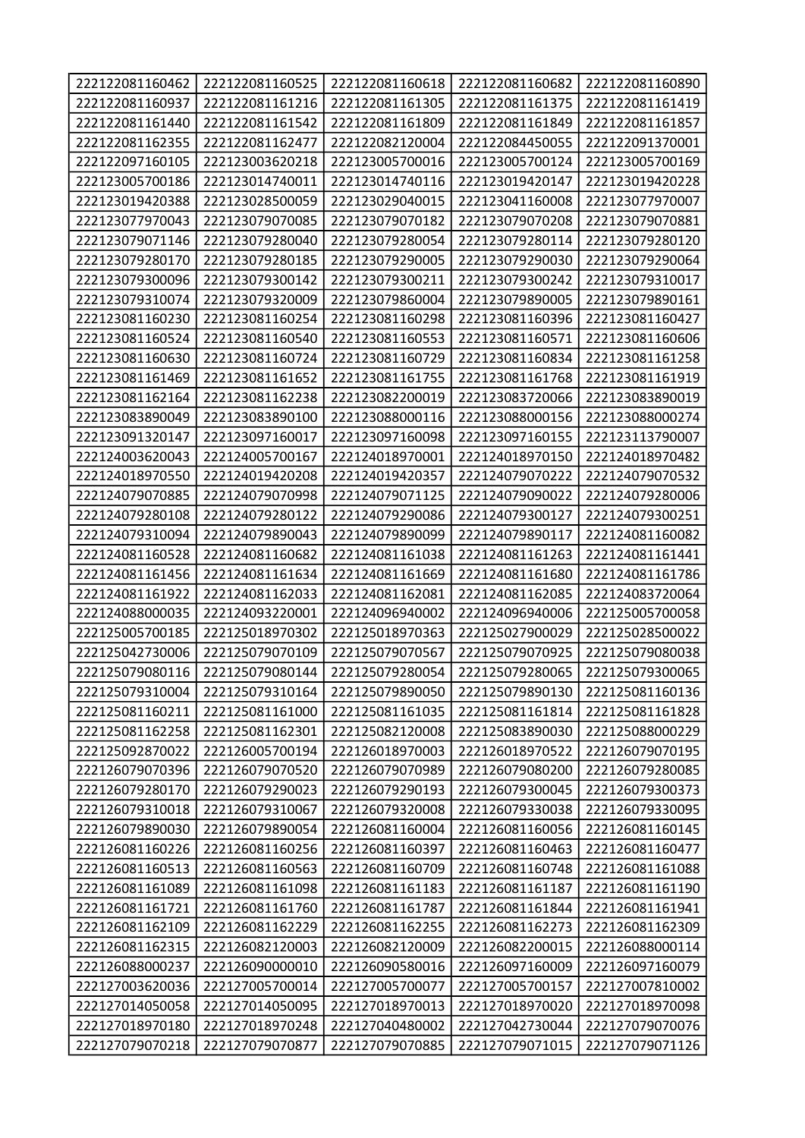| 222122081160462                    | 222122081160525                    | 222122081160618                    | 222122081160682                    | 222122081160890                    |
|------------------------------------|------------------------------------|------------------------------------|------------------------------------|------------------------------------|
| 222122081160937                    | 222122081161216                    | 222122081161305                    | 222122081161375                    | 222122081161419                    |
| 222122081161440                    | 222122081161542                    | 222122081161809                    | 222122081161849                    | 222122081161857                    |
| 222122081162355                    | 222122081162477                    | 222122082120004                    | 222122084450055                    | 222122091370001                    |
| 222122097160105                    | 222123003620218                    | 222123005700016                    | 222123005700124                    | 222123005700169                    |
| 222123005700186                    | 222123014740011                    | 222123014740116                    | 222123019420147                    | 222123019420228                    |
| 222123019420388                    | 222123028500059                    | 222123029040015                    | 222123041160008                    | 222123077970007                    |
| 222123077970043                    | 222123079070085                    | 222123079070182                    | 222123079070208                    | 222123079070881                    |
| 222123079071146                    | 222123079280040                    | 222123079280054                    | 222123079280114                    | 222123079280120                    |
| 222123079280170                    | 222123079280185                    | 222123079290005                    | 222123079290030                    | 222123079290064                    |
| 222123079300096                    | 222123079300142                    | 222123079300211                    | 222123079300242                    | 222123079310017                    |
| 222123079310074                    | 222123079320009                    | 222123079860004                    | 222123079890005                    | 222123079890161                    |
| 222123081160230                    | 222123081160254                    | 222123081160298                    | 222123081160396                    | 222123081160427                    |
| 222123081160524                    | 222123081160540                    | 222123081160553                    | 222123081160571                    | 222123081160606                    |
| 222123081160630                    | 222123081160724                    | 222123081160729                    | 222123081160834                    | 222123081161258                    |
| 222123081161469                    | 222123081161652                    | 222123081161755                    | 222123081161768                    | 222123081161919                    |
| 222123081162164                    | 222123081162238                    | 222123082200019                    | 222123083720066                    | 222123083890019                    |
| 222123083890049                    | 222123083890100                    | 222123088000116                    | 222123088000156                    | 222123088000274                    |
| 222123091320147                    | 222123097160017                    | 222123097160098                    | 222123097160155                    | 222123113790007                    |
| 222124003620043                    | 222124005700167                    | 222124018970001                    | 222124018970150                    | 222124018970482                    |
| 222124018970550                    | 222124019420208                    | 222124019420357                    | 222124079070222                    | 222124079070532                    |
| 222124079070885                    | 222124079070998                    | 222124079071125                    | 222124079090022                    | 222124079280006                    |
| 222124079280108                    | 222124079280122                    | 222124079290086                    | 222124079300127                    | 222124079300251                    |
| 222124079310094                    | 222124079890043                    | 222124079890099                    | 222124079890117                    | 222124081160082                    |
| 222124081160528                    | 222124081160682                    | 222124081161038                    | 222124081161263                    | 222124081161441                    |
|                                    |                                    |                                    |                                    |                                    |
| 222124081161456                    | 222124081161634                    | 222124081161669                    | 222124081161680                    | 222124081161786                    |
| 222124081161922                    | 222124081162033                    | 222124081162081                    | 222124081162085                    | 222124083720064                    |
| 222124088000035                    | 222124093220001                    | 222124096940002                    | 222124096940006                    | 222125005700058                    |
| 222125005700185                    | 222125018970302                    | 222125018970363                    | 222125027900029                    | 222125028500022                    |
| 222125042730006                    | 222125079070109                    | 222125079070567                    | 222125079070925                    | 222125079080038                    |
| 222125079080116                    | 222125079080144                    | 222125079280054                    | 222125079280065                    | 222125079300065                    |
| 222125079310004                    | 222125079310164                    | 222125079890050                    | 222125079890130                    | 222125081160136                    |
| 222125081160211                    | 222125081161000                    | 222125081161035                    | 222125081161814                    | 222125081161828                    |
| 222125081162258                    | 222125081162301                    | 222125082120008                    | 222125083890030                    | 222125088000229                    |
| 222125092870022                    | 222126005700194                    | 222126018970003                    | 222126018970522                    | 222126079070195                    |
| 222126079070396                    | 222126079070520                    | 222126079070989                    | 222126079080200                    | 222126079280085                    |
| 222126079280170                    | 222126079290023                    | 222126079290193                    | 222126079300045                    | 222126079300373                    |
| 222126079310018                    | 222126079310067                    | 222126079320008                    | 222126079330038                    | 222126079330095                    |
| 222126079890030                    | 222126079890054                    | 222126081160004                    | 222126081160056                    | 222126081160145                    |
| 222126081160226                    | 222126081160256                    | 222126081160397                    | 222126081160463                    | 222126081160477                    |
| 222126081160513                    | 222126081160563                    | 222126081160709                    | 222126081160748                    | 222126081161088                    |
| 222126081161089                    | 222126081161098                    | 222126081161183                    | 222126081161187                    | 222126081161190                    |
| 222126081161721                    | 222126081161760                    | 222126081161787                    | 222126081161844                    | 222126081161941                    |
| 222126081162109                    | 222126081162229                    | 222126081162255                    | 222126081162273                    | 222126081162309                    |
| 222126081162315                    | 222126082120003                    | 222126082120009                    | 222126082200015                    | 222126088000114                    |
| 222126088000237                    | 222126090000010                    | 222126090580016                    | 222126097160009                    | 222126097160079                    |
| 222127003620036                    | 222127005700014                    | 222127005700077                    | 222127005700157                    | 222127007810002                    |
| 222127014050058                    | 222127014050095                    | 222127018970013                    | 222127018970020                    | 222127018970098                    |
| 222127018970180<br>222127079070218 | 222127018970248<br>222127079070877 | 222127040480002<br>222127079070885 | 222127042730044<br>222127079071015 | 222127079070076<br>222127079071126 |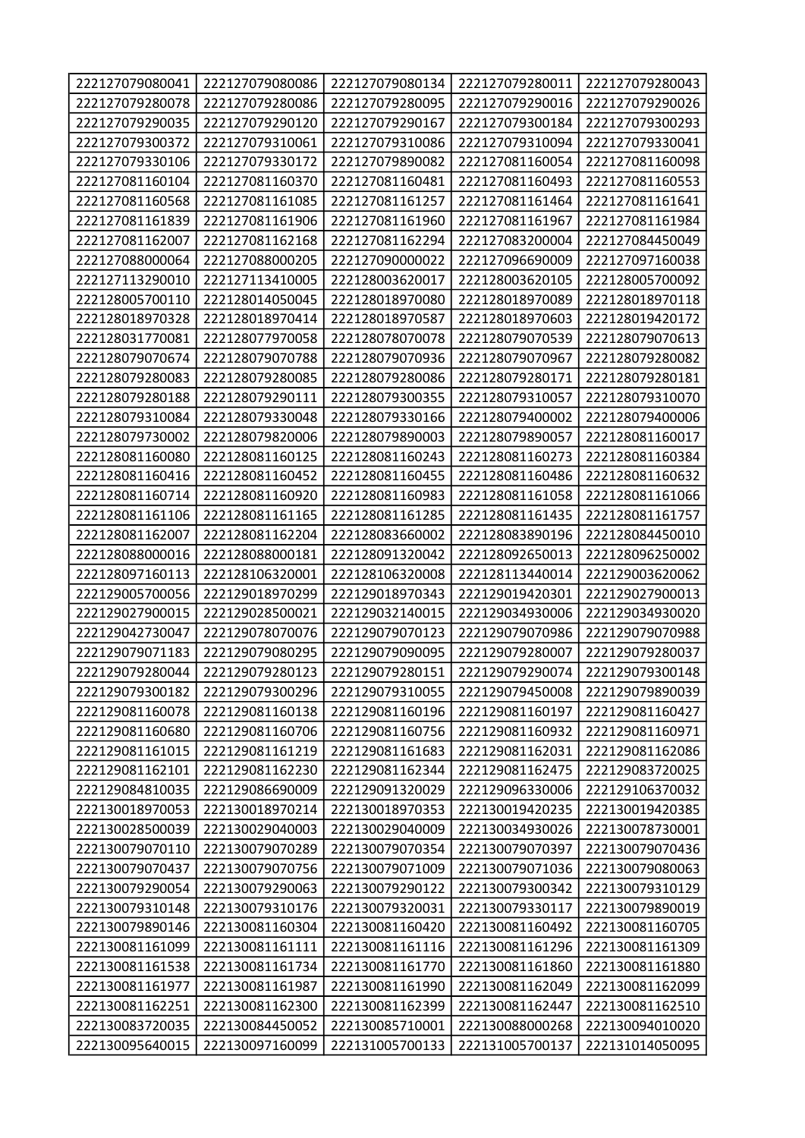| 222127079080041 | 222127079080086 | 222127079080134 | 222127079280011 | 222127079280043 |
|-----------------|-----------------|-----------------|-----------------|-----------------|
| 222127079280078 | 222127079280086 | 222127079280095 | 222127079290016 | 222127079290026 |
| 222127079290035 | 222127079290120 | 222127079290167 | 222127079300184 | 222127079300293 |
| 222127079300372 | 222127079310061 | 222127079310086 | 222127079310094 | 222127079330041 |
| 222127079330106 | 222127079330172 | 222127079890082 | 222127081160054 | 222127081160098 |
| 222127081160104 | 222127081160370 | 222127081160481 | 222127081160493 | 222127081160553 |
| 222127081160568 | 222127081161085 | 222127081161257 | 222127081161464 | 222127081161641 |
| 222127081161839 | 222127081161906 | 222127081161960 | 222127081161967 | 222127081161984 |
| 222127081162007 | 222127081162168 | 222127081162294 | 222127083200004 | 222127084450049 |
| 222127088000064 | 222127088000205 | 222127090000022 | 222127096690009 | 222127097160038 |
| 222127113290010 | 222127113410005 | 222128003620017 | 222128003620105 | 222128005700092 |
| 222128005700110 | 222128014050045 | 222128018970080 | 222128018970089 | 222128018970118 |
| 222128018970328 | 222128018970414 | 222128018970587 | 222128018970603 | 222128019420172 |
| 222128031770081 | 222128077970058 | 222128078070078 | 222128079070539 | 222128079070613 |
| 222128079070674 | 222128079070788 | 222128079070936 | 222128079070967 | 222128079280082 |
| 222128079280083 | 222128079280085 | 222128079280086 | 222128079280171 | 222128079280181 |
| 222128079280188 | 222128079290111 | 222128079300355 | 222128079310057 | 222128079310070 |
| 222128079310084 | 222128079330048 | 222128079330166 | 222128079400002 | 222128079400006 |
| 222128079730002 | 222128079820006 | 222128079890003 | 222128079890057 | 222128081160017 |
| 222128081160080 | 222128081160125 | 222128081160243 | 222128081160273 | 222128081160384 |
| 222128081160416 | 222128081160452 | 222128081160455 | 222128081160486 | 222128081160632 |
| 222128081160714 | 222128081160920 | 222128081160983 | 222128081161058 | 222128081161066 |
| 222128081161106 | 222128081161165 | 222128081161285 | 222128081161435 | 222128081161757 |
| 222128081162007 | 222128081162204 | 222128083660002 | 222128083890196 | 222128084450010 |
| 222128088000016 | 222128088000181 | 222128091320042 | 222128092650013 | 222128096250002 |
| 222128097160113 | 222128106320001 | 222128106320008 | 222128113440014 | 222129003620062 |
| 222129005700056 | 222129018970299 | 222129018970343 | 222129019420301 | 222129027900013 |
| 222129027900015 | 222129028500021 | 222129032140015 | 222129034930006 | 222129034930020 |
| 222129042730047 | 222129078070076 | 222129079070123 | 222129079070986 | 222129079070988 |
| 222129079071183 | 222129079080295 | 222129079090095 | 222129079280007 | 222129079280037 |
| 222129079280044 | 222129079280123 | 222129079280151 | 222129079290074 | 222129079300148 |
| 222129079300182 | 222129079300296 | 222129079310055 | 222129079450008 | 222129079890039 |
| 222129081160078 | 222129081160138 | 222129081160196 | 222129081160197 | 222129081160427 |
| 222129081160680 | 222129081160706 | 222129081160756 | 222129081160932 | 222129081160971 |
| 222129081161015 | 222129081161219 | 222129081161683 | 222129081162031 | 222129081162086 |
| 222129081162101 | 222129081162230 | 222129081162344 | 222129081162475 | 222129083720025 |
| 222129084810035 | 222129086690009 | 222129091320029 | 222129096330006 | 222129106370032 |
| 222130018970053 | 222130018970214 | 222130018970353 | 222130019420235 | 222130019420385 |
| 222130028500039 | 222130029040003 | 222130029040009 | 222130034930026 | 222130078730001 |
| 222130079070110 | 222130079070289 | 222130079070354 | 222130079070397 | 222130079070436 |
| 222130079070437 | 222130079070756 | 222130079071009 | 222130079071036 | 222130079080063 |
| 222130079290054 | 222130079290063 | 222130079290122 | 222130079300342 | 222130079310129 |
| 222130079310148 | 222130079310176 | 222130079320031 | 222130079330117 | 222130079890019 |
| 222130079890146 | 222130081160304 | 222130081160420 | 222130081160492 | 222130081160705 |
| 222130081161099 | 222130081161111 | 222130081161116 | 222130081161296 | 222130081161309 |
| 222130081161538 | 222130081161734 | 222130081161770 | 222130081161860 | 222130081161880 |
| 222130081161977 | 222130081161987 | 222130081161990 | 222130081162049 | 222130081162099 |
| 222130081162251 | 222130081162300 | 222130081162399 | 222130081162447 | 222130081162510 |
| 222130083720035 | 222130084450052 | 222130085710001 | 222130088000268 | 222130094010020 |
| 222130095640015 | 222130097160099 | 222131005700133 | 222131005700137 | 222131014050095 |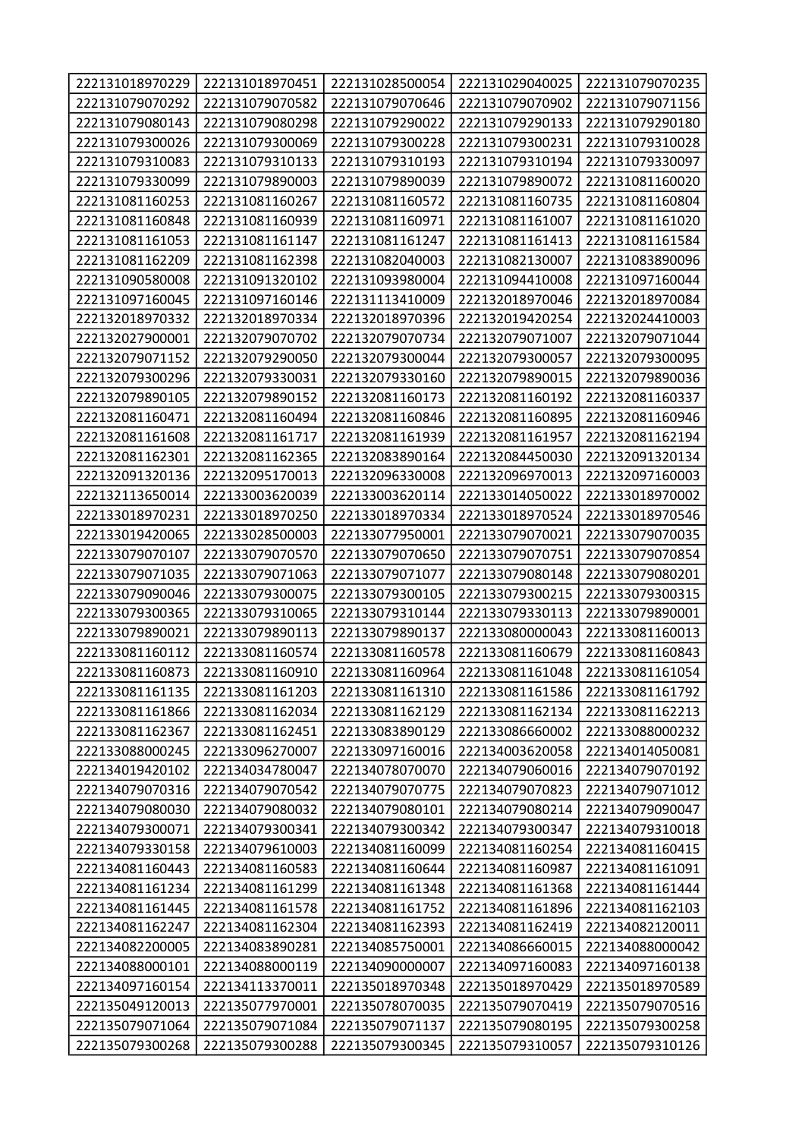| 222131018970229 | 222131018970451 | 222131028500054 | 222131029040025 | 222131079070235 |
|-----------------|-----------------|-----------------|-----------------|-----------------|
| 222131079070292 | 222131079070582 | 222131079070646 | 222131079070902 | 222131079071156 |
| 222131079080143 | 222131079080298 | 222131079290022 | 222131079290133 | 222131079290180 |
| 222131079300026 | 222131079300069 | 222131079300228 | 222131079300231 | 222131079310028 |
| 222131079310083 | 222131079310133 | 222131079310193 | 222131079310194 | 222131079330097 |
| 222131079330099 | 222131079890003 | 222131079890039 | 222131079890072 | 222131081160020 |
| 222131081160253 | 222131081160267 | 222131081160572 | 222131081160735 | 222131081160804 |
| 222131081160848 | 222131081160939 | 222131081160971 | 222131081161007 | 222131081161020 |
| 222131081161053 | 222131081161147 | 222131081161247 | 222131081161413 | 222131081161584 |
| 222131081162209 | 222131081162398 | 222131082040003 | 222131082130007 | 222131083890096 |
| 222131090580008 | 222131091320102 | 222131093980004 | 222131094410008 | 222131097160044 |
| 222131097160045 | 222131097160146 | 222131113410009 | 222132018970046 | 222132018970084 |
| 222132018970332 | 222132018970334 | 222132018970396 | 222132019420254 | 222132024410003 |
| 222132027900001 | 222132079070702 | 222132079070734 | 222132079071007 | 222132079071044 |
| 222132079071152 | 222132079290050 | 222132079300044 | 222132079300057 | 222132079300095 |
| 222132079300296 | 222132079330031 | 222132079330160 | 222132079890015 | 222132079890036 |
| 222132079890105 | 222132079890152 | 222132081160173 | 222132081160192 | 222132081160337 |
| 222132081160471 | 222132081160494 | 222132081160846 | 222132081160895 | 222132081160946 |
| 222132081161608 | 222132081161717 | 222132081161939 | 222132081161957 | 222132081162194 |
| 222132081162301 | 222132081162365 | 222132083890164 | 222132084450030 | 222132091320134 |
| 222132091320136 | 222132095170013 | 222132096330008 | 222132096970013 | 222132097160003 |
| 222132113650014 | 222133003620039 | 222133003620114 | 222133014050022 | 222133018970002 |
| 222133018970231 | 222133018970250 | 222133018970334 | 222133018970524 | 222133018970546 |
| 222133019420065 | 222133028500003 | 222133077950001 | 222133079070021 | 222133079070035 |
| 222133079070107 | 222133079070570 | 222133079070650 | 222133079070751 | 222133079070854 |
| 222133079071035 | 222133079071063 | 222133079071077 | 222133079080148 | 222133079080201 |
| 222133079090046 | 222133079300075 | 222133079300105 | 222133079300215 | 222133079300315 |
| 222133079300365 | 222133079310065 | 222133079310144 | 222133079330113 | 222133079890001 |
| 222133079890021 | 222133079890113 | 222133079890137 | 222133080000043 | 222133081160013 |
| 222133081160112 | 222133081160574 | 222133081160578 | 222133081160679 | 222133081160843 |
| 222133081160873 | 222133081160910 | 222133081160964 | 222133081161048 | 222133081161054 |
| 222133081161135 | 222133081161203 | 222133081161310 | 222133081161586 | 222133081161792 |
| 222133081161866 | 222133081162034 | 222133081162129 | 222133081162134 | 222133081162213 |
| 222133081162367 | 222133081162451 | 222133083890129 | 222133086660002 | 222133088000232 |
| 222133088000245 | 222133096270007 | 222133097160016 | 222134003620058 | 222134014050081 |
| 222134019420102 | 222134034780047 | 222134078070070 | 222134079060016 | 222134079070192 |
| 222134079070316 | 222134079070542 | 222134079070775 | 222134079070823 | 222134079071012 |
| 222134079080030 | 222134079080032 | 222134079080101 | 222134079080214 | 222134079090047 |
| 222134079300071 | 222134079300341 | 222134079300342 | 222134079300347 | 222134079310018 |
| 222134079330158 | 222134079610003 | 222134081160099 | 222134081160254 | 222134081160415 |
| 222134081160443 | 222134081160583 | 222134081160644 | 222134081160987 | 222134081161091 |
| 222134081161234 | 222134081161299 | 222134081161348 | 222134081161368 | 222134081161444 |
| 222134081161445 | 222134081161578 | 222134081161752 | 222134081161896 | 222134081162103 |
| 222134081162247 | 222134081162304 | 222134081162393 | 222134081162419 | 222134082120011 |
| 222134082200005 | 222134083890281 | 222134085750001 | 222134086660015 | 222134088000042 |
| 222134088000101 | 222134088000119 | 222134090000007 | 222134097160083 | 222134097160138 |
| 222134097160154 | 222134113370011 | 222135018970348 | 222135018970429 | 222135018970589 |
| 222135049120013 | 222135077970001 | 222135078070035 | 222135079070419 | 222135079070516 |
| 222135079071064 | 222135079071084 | 222135079071137 | 222135079080195 | 222135079300258 |
| 222135079300268 | 222135079300288 | 222135079300345 | 222135079310057 | 222135079310126 |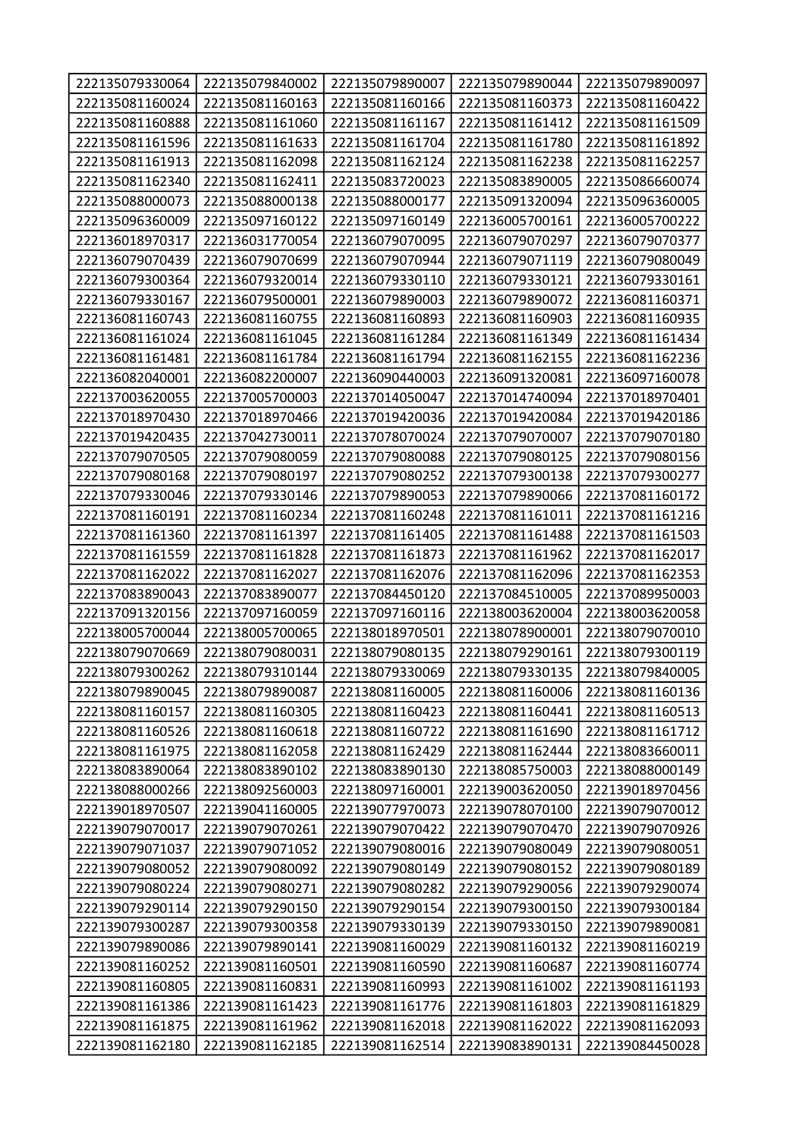| 222135079330064 | 222135079840002 | 222135079890007 | 222135079890044 | 222135079890097 |
|-----------------|-----------------|-----------------|-----------------|-----------------|
| 222135081160024 | 222135081160163 | 222135081160166 | 222135081160373 | 222135081160422 |
| 222135081160888 | 222135081161060 | 222135081161167 | 222135081161412 | 222135081161509 |
| 222135081161596 | 222135081161633 | 222135081161704 | 222135081161780 | 222135081161892 |
| 222135081161913 | 222135081162098 | 222135081162124 | 222135081162238 | 222135081162257 |
| 222135081162340 | 222135081162411 | 222135083720023 | 222135083890005 | 222135086660074 |
| 222135088000073 | 222135088000138 | 222135088000177 | 222135091320094 | 222135096360005 |
| 222135096360009 | 222135097160122 | 222135097160149 | 222136005700161 | 222136005700222 |
| 222136018970317 | 222136031770054 | 222136079070095 | 222136079070297 | 222136079070377 |
| 222136079070439 | 222136079070699 | 222136079070944 | 222136079071119 | 222136079080049 |
| 222136079300364 | 222136079320014 | 222136079330110 | 222136079330121 | 222136079330161 |
| 222136079330167 | 222136079500001 | 222136079890003 | 222136079890072 | 222136081160371 |
| 222136081160743 | 222136081160755 | 222136081160893 | 222136081160903 | 222136081160935 |
| 222136081161024 | 222136081161045 | 222136081161284 | 222136081161349 | 222136081161434 |
| 222136081161481 | 222136081161784 | 222136081161794 | 222136081162155 | 222136081162236 |
| 222136082040001 | 222136082200007 | 222136090440003 | 222136091320081 | 222136097160078 |
| 222137003620055 | 222137005700003 | 222137014050047 | 222137014740094 | 222137018970401 |
| 222137018970430 | 222137018970466 | 222137019420036 | 222137019420084 | 222137019420186 |
| 222137019420435 | 222137042730011 | 222137078070024 | 222137079070007 | 222137079070180 |
| 222137079070505 | 222137079080059 | 222137079080088 | 222137079080125 | 222137079080156 |
| 222137079080168 | 222137079080197 | 222137079080252 | 222137079300138 | 222137079300277 |
| 222137079330046 | 222137079330146 | 222137079890053 | 222137079890066 | 222137081160172 |
| 222137081160191 | 222137081160234 | 222137081160248 | 222137081161011 | 222137081161216 |
| 222137081161360 | 222137081161397 | 222137081161405 | 222137081161488 | 222137081161503 |
| 222137081161559 | 222137081161828 | 222137081161873 | 222137081161962 | 222137081162017 |
| 222137081162022 | 222137081162027 | 222137081162076 | 222137081162096 | 222137081162353 |
| 222137083890043 | 222137083890077 | 222137084450120 | 222137084510005 | 222137089950003 |
| 222137091320156 | 222137097160059 | 222137097160116 | 222138003620004 | 222138003620058 |
| 222138005700044 | 222138005700065 | 222138018970501 | 222138078900001 | 222138079070010 |
| 222138079070669 | 222138079080031 | 222138079080135 | 222138079290161 | 222138079300119 |
| 222138079300262 | 222138079310144 | 222138079330069 | 222138079330135 | 222138079840005 |
| 222138079890045 | 222138079890087 | 222138081160005 | 222138081160006 | 222138081160136 |
| 222138081160157 | 222138081160305 | 222138081160423 | 222138081160441 | 222138081160513 |
| 222138081160526 | 222138081160618 | 222138081160722 | 222138081161690 | 222138081161712 |
| 222138081161975 | 222138081162058 | 222138081162429 | 222138081162444 | 222138083660011 |
| 222138083890064 | 222138083890102 | 222138083890130 | 222138085750003 | 222138088000149 |
| 222138088000266 | 222138092560003 | 222138097160001 | 222139003620050 | 222139018970456 |
| 222139018970507 | 222139041160005 | 222139077970073 | 222139078070100 | 222139079070012 |
| 222139079070017 | 222139079070261 | 222139079070422 | 222139079070470 | 222139079070926 |
| 222139079071037 | 222139079071052 | 222139079080016 | 222139079080049 | 222139079080051 |
| 222139079080052 | 222139079080092 | 222139079080149 | 222139079080152 | 222139079080189 |
| 222139079080224 | 222139079080271 | 222139079080282 | 222139079290056 | 222139079290074 |
| 222139079290114 | 222139079290150 | 222139079290154 | 222139079300150 | 222139079300184 |
| 222139079300287 | 222139079300358 | 222139079330139 | 222139079330150 | 222139079890081 |
| 222139079890086 | 222139079890141 | 222139081160029 | 222139081160132 | 222139081160219 |
| 222139081160252 | 222139081160501 | 222139081160590 | 222139081160687 | 222139081160774 |
| 222139081160805 | 222139081160831 | 222139081160993 | 222139081161002 | 222139081161193 |
| 222139081161386 | 222139081161423 | 222139081161776 | 222139081161803 | 222139081161829 |
| 222139081161875 | 222139081161962 | 222139081162018 | 222139081162022 | 222139081162093 |
| 222139081162180 | 222139081162185 | 222139081162514 | 222139083890131 | 222139084450028 |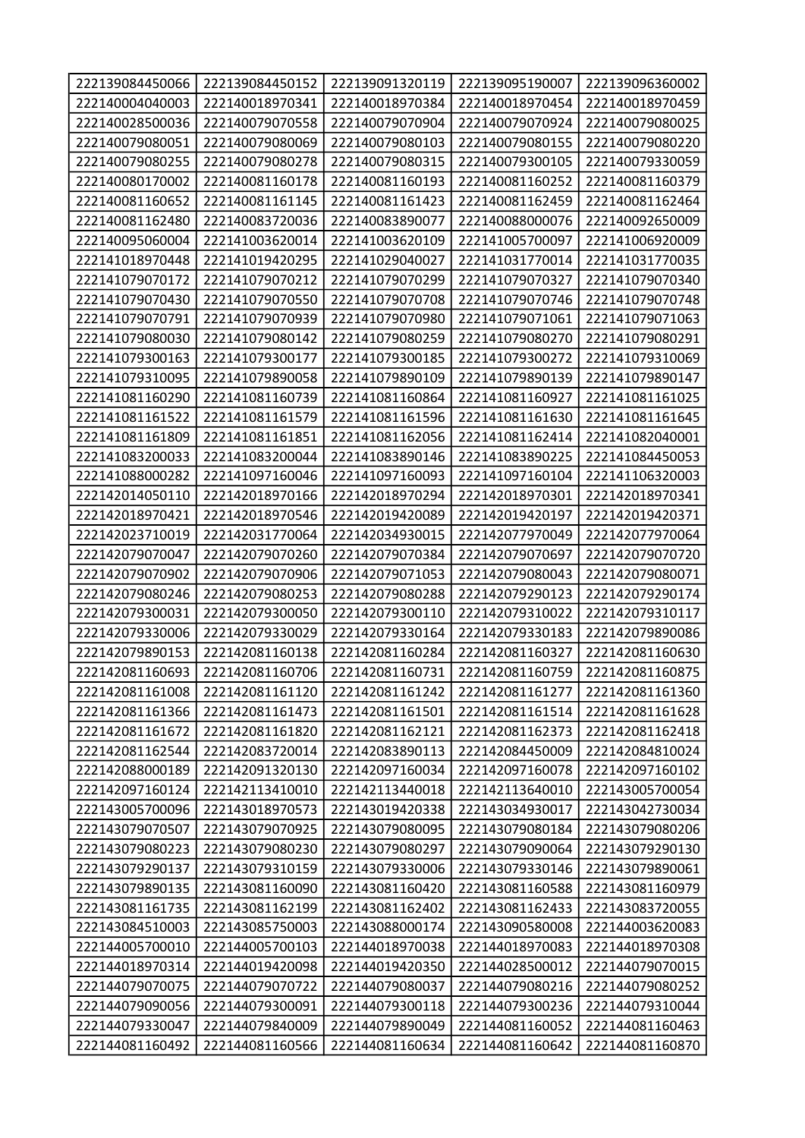| 222139084450066 | 222139084450152 | 222139091320119 | 222139095190007 | 222139096360002 |
|-----------------|-----------------|-----------------|-----------------|-----------------|
| 222140004040003 | 222140018970341 | 222140018970384 | 222140018970454 | 222140018970459 |
| 222140028500036 | 222140079070558 | 222140079070904 | 222140079070924 | 222140079080025 |
| 222140079080051 | 222140079080069 | 222140079080103 | 222140079080155 | 222140079080220 |
| 222140079080255 | 222140079080278 | 222140079080315 | 222140079300105 | 222140079330059 |
| 222140080170002 | 222140081160178 | 222140081160193 | 222140081160252 | 222140081160379 |
| 222140081160652 | 222140081161145 | 222140081161423 | 222140081162459 | 222140081162464 |
| 222140081162480 | 222140083720036 | 222140083890077 | 222140088000076 | 222140092650009 |
| 222140095060004 | 222141003620014 | 222141003620109 | 222141005700097 | 222141006920009 |
| 222141018970448 | 222141019420295 | 222141029040027 | 222141031770014 | 222141031770035 |
| 222141079070172 | 222141079070212 | 222141079070299 | 222141079070327 | 222141079070340 |
| 222141079070430 | 222141079070550 | 222141079070708 | 222141079070746 | 222141079070748 |
| 222141079070791 | 222141079070939 | 222141079070980 | 222141079071061 | 222141079071063 |
| 222141079080030 | 222141079080142 | 222141079080259 | 222141079080270 | 222141079080291 |
| 222141079300163 | 222141079300177 | 222141079300185 | 222141079300272 | 222141079310069 |
| 222141079310095 | 222141079890058 | 222141079890109 | 222141079890139 | 222141079890147 |
| 222141081160290 | 222141081160739 | 222141081160864 | 222141081160927 | 222141081161025 |
| 222141081161522 | 222141081161579 | 222141081161596 | 222141081161630 | 222141081161645 |
| 222141081161809 | 222141081161851 | 222141081162056 | 222141081162414 | 222141082040001 |
| 222141083200033 | 222141083200044 | 222141083890146 | 222141083890225 | 222141084450053 |
| 222141088000282 | 222141097160046 | 222141097160093 | 222141097160104 | 222141106320003 |
| 222142014050110 | 222142018970166 | 222142018970294 | 222142018970301 | 222142018970341 |
| 222142018970421 | 222142018970546 | 222142019420089 | 222142019420197 | 222142019420371 |
| 222142023710019 | 222142031770064 | 222142034930015 | 222142077970049 | 222142077970064 |
| 222142079070047 | 222142079070260 | 222142079070384 | 222142079070697 | 222142079070720 |
| 222142079070902 | 222142079070906 | 222142079071053 | 222142079080043 | 222142079080071 |
| 222142079080246 | 222142079080253 | 222142079080288 | 222142079290123 | 222142079290174 |
| 222142079300031 | 222142079300050 | 222142079300110 | 222142079310022 | 222142079310117 |
| 222142079330006 | 222142079330029 | 222142079330164 | 222142079330183 | 222142079890086 |
| 222142079890153 | 222142081160138 | 222142081160284 | 222142081160327 | 222142081160630 |
| 222142081160693 | 222142081160706 | 222142081160731 | 222142081160759 | 222142081160875 |
| 222142081161008 | 222142081161120 | 222142081161242 | 222142081161277 | 222142081161360 |
| 222142081161366 | 222142081161473 | 222142081161501 | 222142081161514 | 222142081161628 |
| 222142081161672 | 222142081161820 | 222142081162121 | 222142081162373 | 222142081162418 |
| 222142081162544 | 222142083720014 | 222142083890113 | 222142084450009 | 222142084810024 |
| 222142088000189 | 222142091320130 | 222142097160034 | 222142097160078 | 222142097160102 |
| 222142097160124 | 222142113410010 | 222142113440018 | 222142113640010 | 222143005700054 |
| 222143005700096 | 222143018970573 | 222143019420338 | 222143034930017 | 222143042730034 |
| 222143079070507 | 222143079070925 | 222143079080095 | 222143079080184 | 222143079080206 |
| 222143079080223 | 222143079080230 | 222143079080297 | 222143079090064 | 222143079290130 |
| 222143079290137 | 222143079310159 | 222143079330006 | 222143079330146 | 222143079890061 |
| 222143079890135 | 222143081160090 | 222143081160420 | 222143081160588 | 222143081160979 |
| 222143081161735 | 222143081162199 | 222143081162402 | 222143081162433 | 222143083720055 |
| 222143084510003 | 222143085750003 | 222143088000174 | 222143090580008 | 222144003620083 |
| 222144005700010 | 222144005700103 | 222144018970038 | 222144018970083 | 222144018970308 |
| 222144018970314 | 222144019420098 | 222144019420350 | 222144028500012 | 222144079070015 |
| 222144079070075 | 222144079070722 | 222144079080037 | 222144079080216 | 222144079080252 |
| 222144079090056 | 222144079300091 | 222144079300118 | 222144079300236 | 222144079310044 |
| 222144079330047 | 222144079840009 | 222144079890049 | 222144081160052 | 222144081160463 |
| 222144081160492 | 222144081160566 | 222144081160634 | 222144081160642 | 222144081160870 |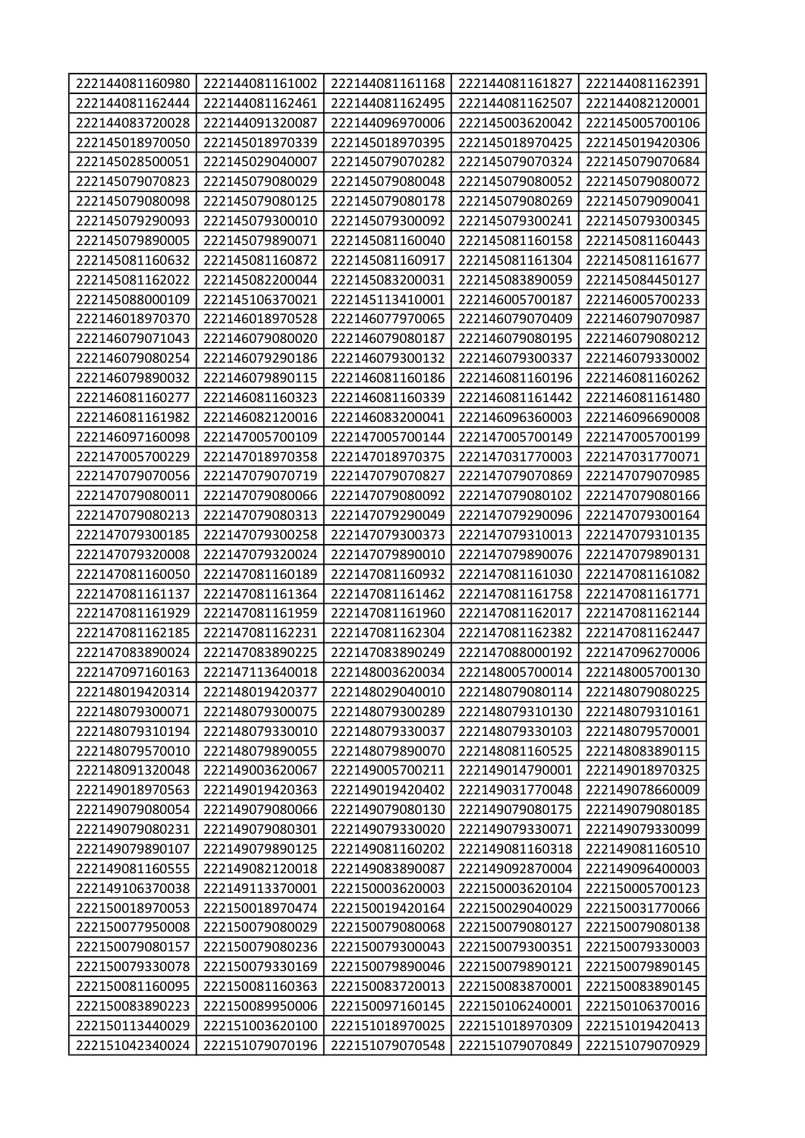| 222144081160980 | 222144081161002 | 222144081161168 | 222144081161827 | 222144081162391 |
|-----------------|-----------------|-----------------|-----------------|-----------------|
| 222144081162444 | 222144081162461 | 222144081162495 | 222144081162507 | 222144082120001 |
| 222144083720028 | 222144091320087 | 222144096970006 | 222145003620042 | 222145005700106 |
| 222145018970050 | 222145018970339 | 222145018970395 | 222145018970425 | 222145019420306 |
| 222145028500051 | 222145029040007 | 222145079070282 | 222145079070324 | 222145079070684 |
| 222145079070823 | 222145079080029 | 222145079080048 | 222145079080052 | 222145079080072 |
| 222145079080098 | 222145079080125 | 222145079080178 | 222145079080269 | 222145079090041 |
| 222145079290093 | 222145079300010 | 222145079300092 | 222145079300241 | 222145079300345 |
| 222145079890005 | 222145079890071 | 222145081160040 | 222145081160158 | 222145081160443 |
| 222145081160632 | 222145081160872 | 222145081160917 | 222145081161304 | 222145081161677 |
| 222145081162022 | 222145082200044 | 222145083200031 | 222145083890059 | 222145084450127 |
| 222145088000109 | 222145106370021 | 222145113410001 | 222146005700187 | 222146005700233 |
| 222146018970370 | 222146018970528 | 222146077970065 | 222146079070409 | 222146079070987 |
| 222146079071043 | 222146079080020 | 222146079080187 | 222146079080195 | 222146079080212 |
| 222146079080254 | 222146079290186 | 222146079300132 | 222146079300337 | 222146079330002 |
| 222146079890032 | 222146079890115 | 222146081160186 | 222146081160196 | 222146081160262 |
| 222146081160277 | 222146081160323 | 222146081160339 | 222146081161442 | 222146081161480 |
| 222146081161982 | 222146082120016 | 222146083200041 | 222146096360003 | 222146096690008 |
| 222146097160098 | 222147005700109 | 222147005700144 | 222147005700149 | 222147005700199 |
| 222147005700229 | 222147018970358 | 222147018970375 | 222147031770003 | 222147031770071 |
| 222147079070056 | 222147079070719 | 222147079070827 | 222147079070869 | 222147079070985 |
| 222147079080011 | 222147079080066 | 222147079080092 | 222147079080102 | 222147079080166 |
| 222147079080213 | 222147079080313 | 222147079290049 | 222147079290096 | 222147079300164 |
| 222147079300185 | 222147079300258 | 222147079300373 | 222147079310013 | 222147079310135 |
| 222147079320008 | 222147079320024 | 222147079890010 | 222147079890076 | 222147079890131 |
| 222147081160050 | 222147081160189 | 222147081160932 | 222147081161030 | 222147081161082 |
| 222147081161137 | 222147081161364 | 222147081161462 | 222147081161758 | 222147081161771 |
| 222147081161929 | 222147081161959 | 222147081161960 | 222147081162017 | 222147081162144 |
| 222147081162185 | 222147081162231 | 222147081162304 | 222147081162382 | 222147081162447 |
| 222147083890024 | 222147083890225 | 222147083890249 | 222147088000192 | 222147096270006 |
| 222147097160163 | 222147113640018 | 222148003620034 | 222148005700014 | 222148005700130 |
| 222148019420314 | 222148019420377 | 222148029040010 | 222148079080114 | 222148079080225 |
| 222148079300071 | 222148079300075 | 222148079300289 | 222148079310130 | 222148079310161 |
| 222148079310194 | 222148079330010 | 222148079330037 | 222148079330103 | 222148079570001 |
| 222148079570010 | 222148079890055 | 222148079890070 | 222148081160525 | 222148083890115 |
| 222148091320048 | 222149003620067 | 222149005700211 | 222149014790001 | 222149018970325 |
| 222149018970563 | 222149019420363 | 222149019420402 | 222149031770048 | 222149078660009 |
| 222149079080054 | 222149079080066 | 222149079080130 | 222149079080175 | 222149079080185 |
| 222149079080231 | 222149079080301 | 222149079330020 | 222149079330071 | 222149079330099 |
| 222149079890107 | 222149079890125 | 222149081160202 | 222149081160318 | 222149081160510 |
| 222149081160555 | 222149082120018 | 222149083890087 | 222149092870004 | 222149096400003 |
| 222149106370038 | 222149113370001 | 222150003620003 | 222150003620104 | 222150005700123 |
| 222150018970053 | 222150018970474 | 222150019420164 | 222150029040029 | 222150031770066 |
| 222150077950008 | 222150079080029 | 222150079080068 | 222150079080127 | 222150079080138 |
| 222150079080157 | 222150079080236 | 222150079300043 | 222150079300351 | 222150079330003 |
| 222150079330078 | 222150079330169 | 222150079890046 | 222150079890121 | 222150079890145 |
| 222150081160095 | 222150081160363 | 222150083720013 | 222150083870001 | 222150083890145 |
| 222150083890223 | 222150089950006 | 222150097160145 | 222150106240001 | 222150106370016 |
| 222150113440029 | 222151003620100 | 222151018970025 | 222151018970309 | 222151019420413 |
| 222151042340024 | 222151079070196 | 222151079070548 | 222151079070849 | 222151079070929 |